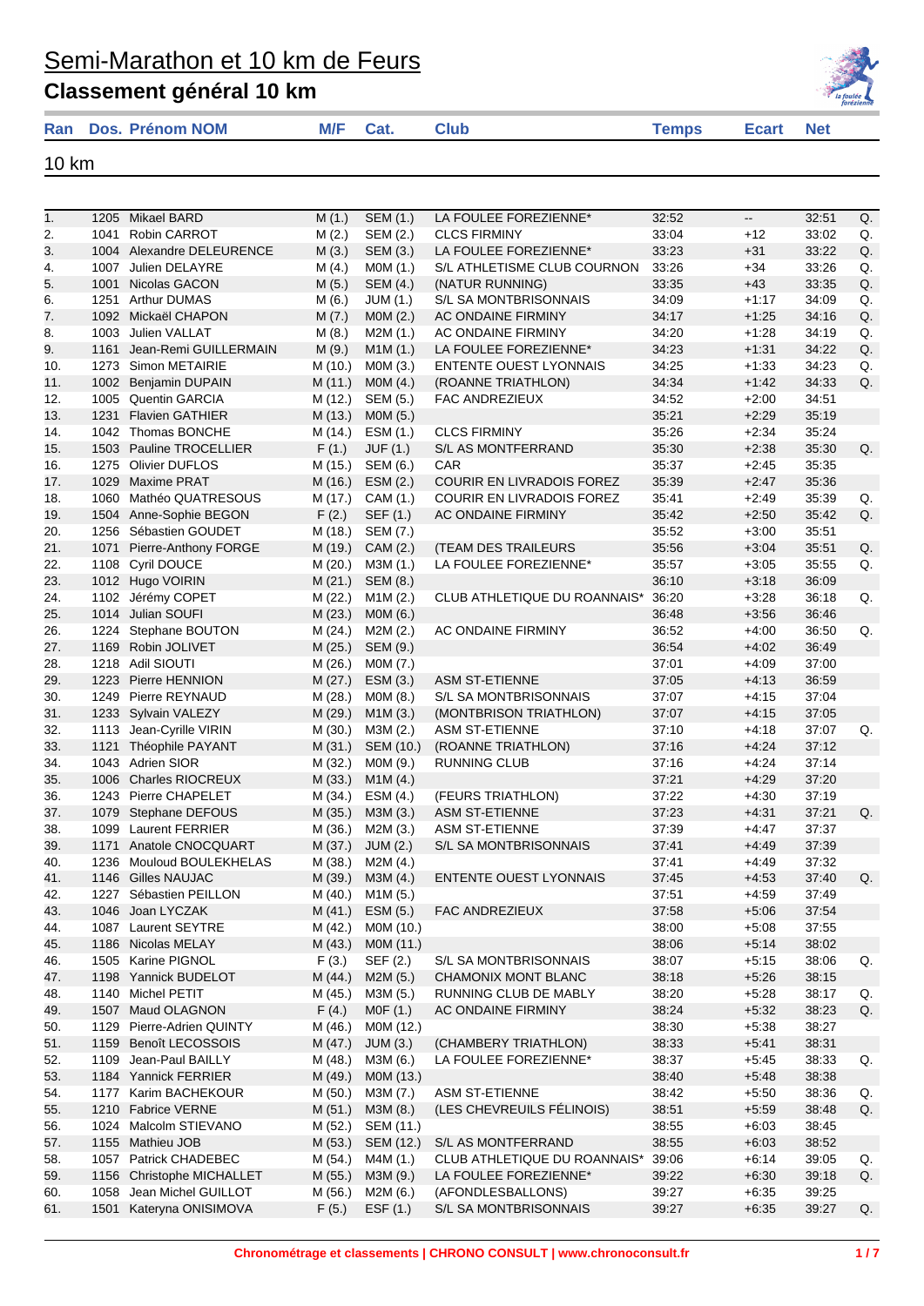| <b>Classement général 10 km</b> |          |             |              |           | la foulée |
|---------------------------------|----------|-------------|--------------|-----------|-----------|
| <b>Ran</b> Dos. Prénom NOM      | M/F Cat. | <b>Club</b> | <b>Temps</b> | Ecart Net |           |
|                                 |          |             |              |           |           |

10 km

| 1.  |      | 1205 Mikael BARD          | M(1.)   | SEM (1.)         | LA FOULEE FOREZIENNE*         | 32:52 | $\overline{\phantom{a}}$ | 32:51 | Q. |
|-----|------|---------------------------|---------|------------------|-------------------------------|-------|--------------------------|-------|----|
| 2.  | 1041 | <b>Robin CARROT</b>       | M(2.)   | SEM (2.)         | <b>CLCS FIRMINY</b>           | 33:04 | $+12$                    | 33:02 | Q. |
| 3.  | 1004 | Alexandre DELEURENCE      | M(3.)   | SEM (3.)         | LA FOULEE FOREZIENNE*         | 33:23 | $+31$                    | 33:22 | Q. |
| 4.  | 1007 | Julien DELAYRE            | M(4.)   | MOM(1.)          | S/L ATHLETISME CLUB COURNON   | 33:26 | $+34$                    | 33:26 | Q. |
| 5.  | 1001 | Nicolas GACON             | M(5.)   | SEM (4.)         | (NATUR RUNNING)               | 33:35 | $+43$                    | 33:35 | Q. |
| 6.  |      | 1251 Arthur DUMAS         | M(6.)   | <b>JUM (1.)</b>  | S/L SA MONTBRISONNAIS         | 34:09 | $+1:17$                  | 34:09 | Q. |
| 7.  | 1092 | Mickaël CHAPON            | M(7.)   | MOM(2.)          | AC ONDAINE FIRMINY            | 34:17 | $+1:25$                  | 34:16 | Q. |
| 8.  | 1003 | Julien VALLAT             | M(8.)   | M2M (1.)         | AC ONDAINE FIRMINY            | 34:20 | $+1:28$                  | 34:19 | Q. |
| 9.  | 1161 | Jean-Remi GUILLERMAIN     | M(9.)   | M1M(1.)          | LA FOULEE FOREZIENNE*         | 34:23 | $+1:31$                  | 34:22 | Q. |
| 10. | 1273 | Simon METAIRIE            | M (10.) | MOM(3.)          | <b>ENTENTE OUEST LYONNAIS</b> | 34:25 | $+1:33$                  | 34:23 | Q. |
| 11. |      | 1002 Benjamin DUPAIN      | M(11.)  | MOM(4.)          | (ROANNE TRIATHLON)            | 34:34 | $+1:42$                  | 34:33 | Q. |
| 12. | 1005 | <b>Quentin GARCIA</b>     | M (12.) | SEM (5.)         | FAC ANDREZIEUX                | 34:52 | $+2:00$                  | 34:51 |    |
| 13. | 1231 | <b>Flavien GATHIER</b>    | M(13.)  | MOM(5.)          |                               | 35:21 | $+2:29$                  | 35:19 |    |
| 14. |      | 1042 Thomas BONCHE        | M (14.) | ESM(1.)          | <b>CLCS FIRMINY</b>           | 35:26 | $+2:34$                  | 35:24 |    |
| 15. |      | 1503 Pauline TROCELLIER   | F(1.)   | JUF (1.)         | S/L AS MONTFERRAND            | 35:30 | $+2:38$                  | 35:30 | Q. |
| 16. | 1275 | Olivier DUFLOS            | M (15.) | SEM (6.)         | CAR                           | 35:37 | $+2:45$                  | 35:35 |    |
| 17. | 1029 | <b>Maxime PRAT</b>        | M (16.) | ESM(2.)          | COURIR EN LIVRADOIS FOREZ     | 35:39 | $+2:47$                  | 35:36 |    |
| 18. | 1060 | Mathéo QUATRESOUS         | M (17.) | CAM (1.)         | COURIR EN LIVRADOIS FOREZ     | 35:41 | $+2:49$                  | 35:39 | Q. |
| 19. | 1504 | Anne-Sophie BEGON         | F(2.)   | SEF (1.)         | AC ONDAINE FIRMINY            | 35:42 | $+2:50$                  | 35:42 | Q. |
| 20. |      | 1256 Sébastien GOUDET     | M (18.) | SEM (7.)         |                               | 35:52 | $+3:00$                  | 35:51 |    |
| 21. | 1071 | Pierre-Anthony FORGE      | M (19.) | CAM (2.)         | <b>(TEAM DES TRAILEURS</b>    | 35:56 | $+3:04$                  | 35:51 | Q. |
| 22. | 1108 | Cyril DOUCE               | M (20.) | M3M (1.)         | LA FOULEE FOREZIENNE*         | 35:57 | $+3:05$                  | 35:55 | Q. |
| 23. |      | 1012 Hugo VOIRIN          | M(21.)  | SEM (8.)         |                               | 36:10 | $+3:18$                  | 36:09 |    |
| 24. | 1102 | Jérémy COPET              | M(22.)  | M1M(2.)          | CLUB ATHLETIQUE DU ROANNAIS*  | 36:20 | $+3:28$                  | 36:18 | Q. |
| 25. | 1014 | Julian SOUFI              | M(23.)  | MOM (6.)         |                               | 36:48 | $+3:56$                  | 36:46 |    |
| 26. | 1224 | Stephane BOUTON           | M(24.)  | M2M(2.)          | AC ONDAINE FIRMINY            | 36:52 | $+4:00$                  | 36:50 | Q. |
| 27. | 1169 | Robin JOLIVET             | M(25.)  | SEM (9.)         |                               | 36:54 | $+4:02$                  | 36:49 |    |
|     |      |                           |         |                  |                               |       |                          |       |    |
| 28. |      | 1218 Adil SIOUTI          | M(26.)  | M0M (7.)         |                               | 37:01 | $+4:09$                  | 37:00 |    |
| 29. |      | 1223 Pierre HENNION       | M(27.)  | ESM (3.)         | <b>ASM ST-ETIENNE</b>         | 37:05 | $+4:13$                  | 36:59 |    |
| 30. | 1249 | Pierre REYNAUD            | M(28.)  | MOM(8.)          | S/L SA MONTBRISONNAIS         | 37:07 | $+4:15$                  | 37:04 |    |
| 31. |      | 1233 Sylvain VALEZY       | M(29.)  | M1M(3.)          | (MONTBRISON TRIATHLON)        | 37:07 | $+4:15$                  | 37:05 |    |
| 32. |      | 1113 Jean-Cyrille VIRIN   | M(30.)  | M3M (2.)         | <b>ASM ST-ETIENNE</b>         | 37:10 | $+4:18$                  | 37:07 | Q. |
| 33. | 1121 | Théophile PAYANT          | M(31.)  | SEM (10.)        | (ROANNE TRIATHLON)            | 37:16 | $+4:24$                  | 37:12 |    |
| 34. | 1043 | Adrien SIOR               | M (32.) | MOM (9.)         | <b>RUNNING CLUB</b>           | 37:16 | $+4:24$                  | 37:14 |    |
| 35. | 1006 | <b>Charles RIOCREUX</b>   | M(33.)  | M1M(4.)          |                               | 37:21 | $+4:29$                  | 37:20 |    |
| 36. |      | 1243 Pierre CHAPELET      | M (34.) | ESM(4.)          | (FEURS TRIATHLON)             | 37:22 | $+4:30$                  | 37:19 |    |
| 37. | 1079 | <b>Stephane DEFOUS</b>    | M (35.) | M3M (3.)         | <b>ASM ST-ETIENNE</b>         | 37:23 | $+4:31$                  | 37:21 | Q. |
| 38. | 1099 | <b>Laurent FERRIER</b>    | M (36.) | M2M (3.)         | <b>ASM ST-ETIENNE</b>         | 37:39 | +4:47                    | 37:37 |    |
| 39. | 1171 | Anatole CNOCQUART         | M (37.) | JUM(2.)          | S/L SA MONTBRISONNAIS         | 37:41 | $+4:49$                  | 37:39 |    |
| 40. | 1236 | Mouloud BOULEKHELAS       | M (38.) | M2M (4.)         |                               | 37:41 | $+4.49$                  | 37:32 |    |
| 41. |      | 1146 Gilles NAUJAC        | M (39.) | M3M (4.)         | <b>ENTENTE OUEST LYONNAIS</b> | 37:45 | $+4.53$                  | 37:40 | Q. |
| 42. |      | 1227 Sébastien PEILLON    |         | M (40.) M1M (5.) |                               | 37:51 | $+4:59$                  | 37:49 |    |
| 43. |      | 1046 Joan LYCZAK          | M(41.)  | ESM (5.)         | FAC ANDREZIEUX                | 37:58 | $+5.06$                  | 37:54 |    |
| 44. |      | 1087 Laurent SEYTRE       | M (42.) | M0M (10.)        |                               | 38:00 | $+5:08$                  | 37:55 |    |
| 45. | 1186 | Nicolas MELAY             | M (43.) | MOM (11.)        |                               | 38:06 | $+5:14$                  | 38:02 |    |
| 46. |      | 1505 Karine PIGNOL        | F(3.)   | SEF (2.)         | S/L SA MONTBRISONNAIS         | 38:07 | $+5:15$                  | 38:06 | Q. |
| 47. |      | 1198 Yannick BUDELOT      | M(44.)  | M2M (5.)         | CHAMONIX MONT BLANC           | 38:18 | $+5:26$                  | 38:15 |    |
| 48. | 1140 | Michel PETIT              | M (45.) | M3M (5.)         | RUNNING CLUB DE MABLY         | 38:20 | $+5:28$                  | 38:17 | Q. |
| 49. |      | 1507 Maud OLAGNON         | F(4.)   | MOF(1.)          | AC ONDAINE FIRMINY            | 38:24 | $+5:32$                  | 38:23 | Q. |
| 50. | 1129 | Pierre-Adrien QUINTY      | M (46.) | M0M (12.)        |                               | 38:30 | $+5.38$                  | 38:27 |    |
| 51. |      | 1159 Benoît LECOSSOIS     | M (47.) | JUM(3.)          | (CHAMBERY TRIATHLON)          | 38:33 | $+5:41$                  | 38:31 |    |
| 52. |      | 1109 Jean-Paul BAILLY     | M (48.) | M3M (6.)         | LA FOULEE FOREZIENNE*         | 38:37 | $+5:45$                  | 38:33 | Q. |
| 53. |      | 1184 Yannick FERRIER      | M (49.) | MOM (13.)        |                               | 38:40 | $+5.48$                  | 38:38 |    |
| 54. |      | 1177 Karim BACHEKOUR      | M(50.)  | M3M (7.)         | <b>ASM ST-ETIENNE</b>         | 38:42 | $+5:50$                  | 38:36 | Q. |
| 55. |      | 1210 Fabrice VERNE        | M(51.)  | M3M (8.)         | (LES CHEVREUILS FÉLINOIS)     | 38:51 | $+5:59$                  | 38:48 | Q. |
| 56. |      | 1024 Malcolm STIEVANO     | M (52.) | SEM (11.)        |                               | 38:55 | $+6:03$                  | 38:45 |    |
|     |      |                           |         |                  |                               |       |                          |       |    |
| 57. |      | 1155 Mathieu JOB          | M(53.)  | SEM (12.)        | S/L AS MONTFERRAND            | 38:55 | $+6:03$                  | 38:52 |    |
| 58. |      | 1057 Patrick CHADEBEC     | M (54.) | M4M (1.)         | CLUB ATHLETIQUE DU ROANNAIS*  | 39:06 | $+6:14$                  | 39:05 | Q. |
| 59. |      | 1156 Christophe MICHALLET | M (55.) | M3M (9.)         | LA FOULEE FOREZIENNE*         | 39:22 | $+6:30$                  | 39:18 | Q. |
| 60. | 1058 | Jean Michel GUILLOT       | M (56.) | M2M (6.)         | (AFONDLESBALLONS)             | 39:27 | $+6:35$                  | 39:25 |    |
| 61. | 1501 | Kateryna ONISIMOVA        | F(5.)   | ESF (1.)         | S/L SA MONTBRISONNAIS         | 39:27 | $+6:35$                  | 39:27 | Q. |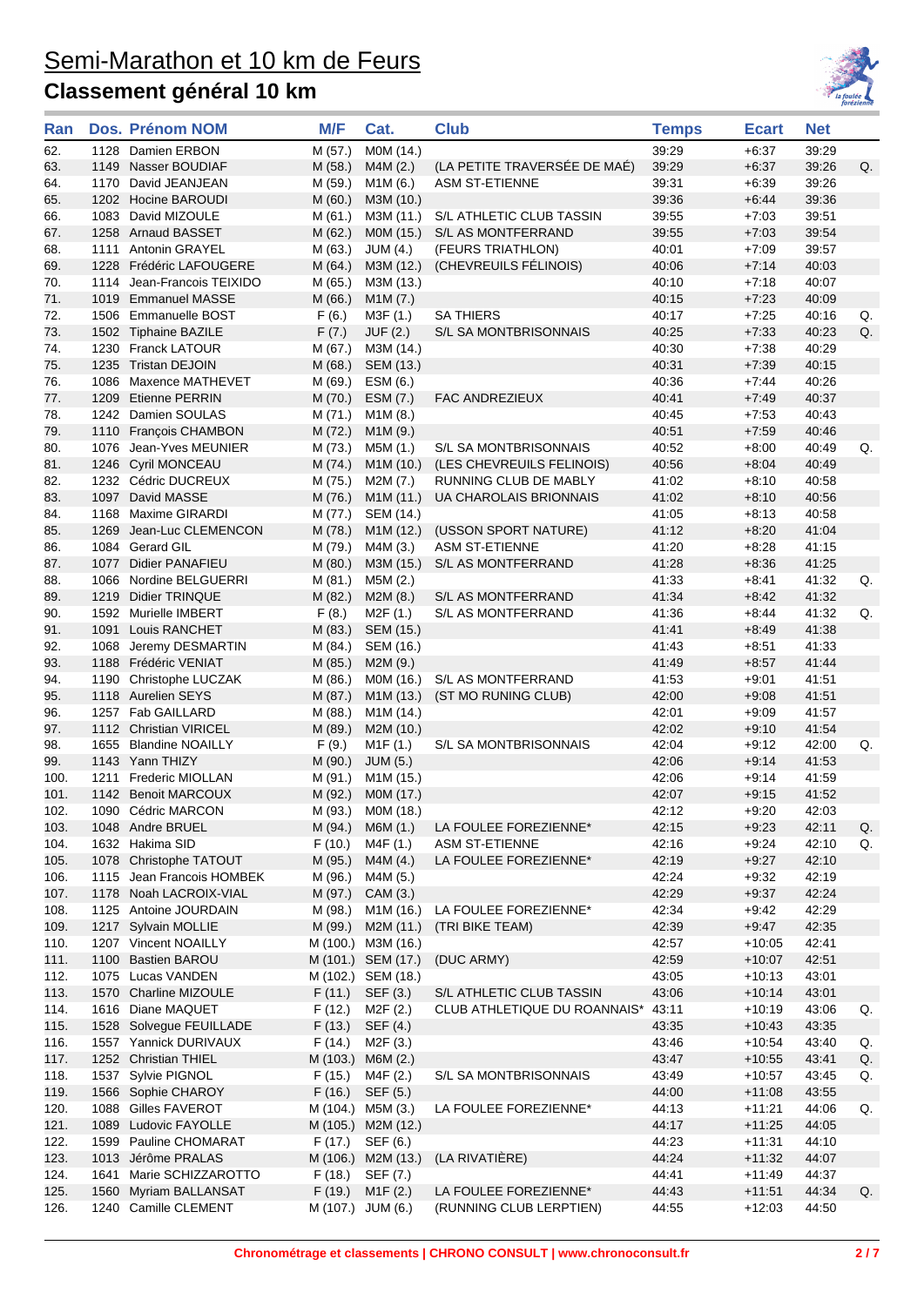

| Ran          |      | Dos. Prénom NOM            | M/F     | Cat.                            | <b>Club</b>                  | <b>Temps</b> | <b>Ecart</b>        | <b>Net</b>     |    |
|--------------|------|----------------------------|---------|---------------------------------|------------------------------|--------------|---------------------|----------------|----|
| 62.          |      | 1128 Damien ERBON          | M (57.) | MOM (14.)                       |                              | 39:29        | $+6:37$             | 39:29          |    |
| 63.          |      | 1149 Nasser BOUDIAF        | M (58.) | M4M (2.)                        | (LA PETITE TRAVERSÉE DE MAÉ) | 39:29        | $+6:37$             | 39:26          | Q. |
| 64.          |      | 1170 David JEANJEAN        | M (59.) | M1M (6.)                        | <b>ASM ST-ETIENNE</b>        | 39:31        | $+6:39$             | 39:26          |    |
| 65.          |      | 1202 Hocine BAROUDI        | M(60.)  | M3M (10.)                       |                              | 39:36        | $+6:44$             | 39:36          |    |
| 66.          |      | 1083 David MIZOULE         | M(61.)  | M3M (11.)                       | S/L ATHLETIC CLUB TASSIN     | 39:55        | $+7:03$             | 39:51          |    |
| 67.          |      | 1258 Arnaud BASSET         | M(62.)  | MOM (15.)                       | S/L AS MONTFERRAND           | 39:55        | $+7:03$             | 39:54          |    |
| 68.          |      | 1111 Antonin GRAYEL        | M (63.) | JUM (4.)                        | (FEURS TRIATHLON)            | 40:01        | $+7:09$             | 39:57          |    |
| 69.          |      | 1228 Frédéric LAFOUGERE    | M (64.) | M3M (12.)                       | (CHEVREUILS FÉLINOIS)        | 40:06        | $+7:14$             | 40:03          |    |
| 70.          |      | 1114 Jean-Francois TEIXIDO | M (65.) | M3M (13.)                       |                              | 40:10        | $+7:18$             | 40:07          |    |
| 71.          |      | 1019 Emmanuel MASSE        | M (66.) | M1M (7.)                        |                              | 40:15        | $+7:23$             | 40:09          |    |
| 72.          |      | 1506 Emmanuelle BOST       | F(6.)   | M3F (1.)                        | <b>SA THIERS</b>             | 40:17        | $+7:25$             | 40:16          | Q. |
| 73.          |      | 1502 Tiphaine BAZILE       | F(7.)   | JUF (2.)                        | S/L SA MONTBRISONNAIS        | 40:25        | $+7:33$             | 40:23          | Q. |
| 74.          |      | 1230 Franck LATOUR         | M (67.) | M3M (14.)                       |                              | 40:30        | $+7:38$             | 40:29          |    |
| 75.          |      | 1235 Tristan DEJOIN        | M(68.)  | SEM (13.)                       |                              | 40:31        | $+7:39$             | 40:15          |    |
| 76.          |      | 1086 Maxence MATHEVET      | M (69.) | ESM (6.)                        |                              | 40:36        | $+7.44$             | 40:26          |    |
| 77.          |      | 1209 Etienne PERRIN        | M(70.)  | ESM (7.)                        | <b>FAC ANDREZIEUX</b>        | 40:41        | $+7:49$             | 40:37          |    |
| 78.          |      | 1242 Damien SOULAS         | M(71.)  | M1M(8.)                         |                              | 40:45        | $+7:53$             | 40:43          |    |
| 79.          |      | 1110 François CHAMBON      | M(72.)  | M1M(9.)                         |                              | 40:51        | $+7:59$             | 40:46          |    |
| 80.          |      | 1076 Jean-Yves MEUNIER     | M (73.) | M5M (1.)                        | S/L SA MONTBRISONNAIS        | 40:52        | $+8:00$             | 40:49          | Q. |
| 81.          |      | 1246 Cyril MONCEAU         | M (74.) | M1M (10.)                       | (LES CHEVREUILS FELINOIS)    | 40:56        | $+8:04$             | 40:49          |    |
| 82.          |      | 1232 Cédric DUCREUX        | M (75.) | M2M (7.)                        | RUNNING CLUB DE MABLY        | 41:02        | $+8:10$             | 40:58          |    |
| 83.          |      | 1097 David MASSE           | M (76.) | M1M (11.)                       | UA CHAROLAIS BRIONNAIS       | 41:02        | $+8:10$             | 40:56          |    |
| 84.          |      | 1168 Maxime GIRARDI        | M (77.) | SEM (14.)                       |                              | 41:05        | $+8:13$             | 40:58          |    |
| 85.          |      | 1269 Jean-Luc CLEMENCON    | M (78.) | M1M (12.)                       | (USSON SPORT NATURE)         | 41:12        | $+8:20$             | 41:04          |    |
| 86.          |      | 1084 Gerard GIL            | M (79.) | M4M (3.)                        | <b>ASM ST-ETIENNE</b>        | 41:20        | $+8:28$             | 41:15          |    |
| 87.          |      | 1077 Didier PANAFIEU       | M(80.)  | M3M (15.)                       | S/L AS MONTFERRAND           | 41:28        | $+8:36$             | 41:25          |    |
| 88.          |      | 1066 Nordine BELGUERRI     | M (81.) | M5M (2.)                        |                              | 41:33        | $+8:41$             | 41:32          | Q. |
| 89.          |      | 1219 Didier TRINQUE        | M (82.) | M2M(8.)                         | S/L AS MONTFERRAND           | 41:34        | $+8:42$             | 41:32          |    |
| 90.          |      | 1592 Murielle IMBERT       | F(8.)   | M2F (1.)                        | S/L AS MONTFERRAND           | 41:36        | $+8:44$             | 41:32          | Q. |
| 91.          |      | 1091 Louis RANCHET         | M (83.) | SEM (15.)                       |                              | 41:41        | $+8.49$             | 41:38          |    |
| 92.          |      | 1068 Jeremy DESMARTIN      | M (84.) | SEM (16.)                       |                              | 41:43        | $+8.51$             | 41:33          |    |
| 93.          |      | 1188 Frédéric VENIAT       | M (85.) | M2M (9.)                        |                              | 41:49        | $+8:57$             | 41:44          |    |
| 94.          |      | 1190 Christophe LUCZAK     | M (86.) | M0M (16.)                       | S/L AS MONTFERRAND           | 41:53        | $+9:01$             | 41:51          |    |
| 95.          |      | 1118 Aurelien SEYS         | M (87.) | M <sub>1</sub> M (13.)          | (ST MO RUNING CLUB)          | 42:00        | $+9:08$             | 41:51          |    |
| 96.          |      | 1257 Fab GAILLARD          | M (88.) | M <sub>1</sub> M (14.)          |                              | 42:01        | $+9:09$             | 41:57          |    |
| 97.          |      | 1112 Christian VIRICEL     | M (89.) | M2M (10.)                       |                              | 42:02        | $+9:10$             | 41:54          |    |
| 98.          |      | 1655 Blandine NOAILLY      | F(9.)   | M1F(1.)                         | S/L SA MONTBRISONNAIS        | 42:04        | $+9:12$             | 42:00          | Q. |
| 99.          |      | 1143 Yann THIZY            | M (90.) | JUM(5.)                         |                              | 42:06        | $+9:14$             | 41:53          |    |
| 100.         |      | 1211 Frederic MIOLLAN      | M (91.) | M1M (15.)                       |                              | 42:06        | $+9:14$             | 41:59          |    |
| 101.         |      | 1142 Benoit MARCOUX        | M (92.) | M0M (17.)                       |                              | 42:07        | $+9:15$             | 41:52          |    |
| 102.         |      | 1090 Cédric MARCON         |         | M (93.) M0M (18.)               |                              | 42:12        | $+9:20$             | 42:03          |    |
| 103.         |      | 1048 Andre BRUEL           | M (94.) | M6M (1.)                        | LA FOULEE FOREZIENNE*        | 42:15        | $+9:23$             | 42:11          | Q. |
| 104.         |      | 1632 Hakima SID            | F(10.)  | M4F (1.)                        | <b>ASM ST-ETIENNE</b>        | 42:16        | $+9:24$             | 42:10          | Q. |
| 105.         |      | 1078 Christophe TATOUT     | M (95.) |                                 | LA FOULEE FOREZIENNE*        | 42:19        | $+9:27$             | 42:10          |    |
| 106.         |      | 1115 Jean Francois HOMBEK  | M (96.) | M4M (4.)<br>M4M (5.)            |                              | 42:24        | $+9:32$             | 42:19          |    |
| 107.         |      | 1178 Noah LACROIX-VIAL     | M (97.) | CAM (3.)                        |                              | 42:29        | $+9:37$             | 42:24          |    |
| 108.         |      | 1125 Antoine JOURDAIN      | M (98.) | M1M (16.)                       | LA FOULEE FOREZIENNE*        | 42:34        | $+9:42$             | 42:29          |    |
|              |      | 1217 Sylvain MOLLIE        |         |                                 |                              | 42:39        |                     |                |    |
| 109.<br>110. |      | 1207 Vincent NOAILLY       | M (99.) | M2M (11.)<br>M (100.) M3M (16.) | (TRI BIKE TEAM)              | 42:57        | $+9:47$<br>$+10:05$ | 42:35<br>42:41 |    |
| 111.         |      | 1100 Bastien BAROU         |         | M (101.) SEM (17.)              | (DUC ARMY)                   | 42:59        | $+10:07$            | 42:51          |    |
| 112.         |      | 1075 Lucas VANDEN          |         | M (102.) SEM (18.)              |                              | 43:05        |                     | 43:01          |    |
|              |      | 1570 Charline MIZOULE      |         |                                 | S/L ATHLETIC CLUB TASSIN     | 43:06        | $+10:13$            |                |    |
| 113.         |      | 1616 Diane MAQUET          | F(11.)  | SEF (3.)                        | CLUB ATHLETIQUE DU ROANNAIS* |              | $+10:14$            | 43:01          |    |
| 114.         |      |                            | F(12.)  | M <sub>2</sub> F (2.)           |                              | 43:11        | $+10:19$            | 43:06          | Q. |
| 115.         |      | 1528 Solvegue FEUILLADE    | F(13.)  | SEF (4.)                        |                              | 43:35        | $+10.43$            | 43:35          |    |
| 116.         |      | 1557 Yannick DURIVAUX      | F(14.)  | M2F (3.)                        |                              | 43:46        | $+10.54$            | 43:40          | Q. |
| 117.         |      | 1252 Christian THIEL       |         | M (103.) M6M (2.)               |                              | 43:47        | $+10:55$            | 43:41          | Q. |
| 118.         |      | 1537 Sylvie PIGNOL         | F(15.)  | M4F (2.)                        | S/L SA MONTBRISONNAIS        | 43:49        | $+10:57$            | 43:45          | Q. |
| 119.         |      | 1566 Sophie CHAROY         | F(16.)  | SEF (5.)                        |                              | 44:00        | $+11:08$            | 43:55          |    |
| 120.         |      | 1088 Gilles FAVEROT        |         | M (104.) M5M (3.)               | LA FOULEE FOREZIENNE*        | 44:13        | $+11:21$            | 44:06          | Q. |
| 121.         |      | 1089 Ludovic FAYOLLE       |         | M (105.) M2M (12.)              |                              | 44:17        | $+11:25$            | 44:05          |    |
| 122.         |      | 1599 Pauline CHOMARAT      | F (17.) | SEF (6.)                        |                              | 44:23        | $+11:31$            | 44:10          |    |
| 123.         |      | 1013 Jérôme PRALAS         |         | M (106.) M2M (13.)              | (LA RIVATIÈRE)               | 44:24        | $+11:32$            | 44:07          |    |
| 124.         | 1641 | Marie SCHIZZAROTTO         | F(18.)  | SEF (7.)                        |                              | 44:41        | $+11:49$            | 44:37          |    |
| 125.         |      | 1560 Myriam BALLANSAT      | F(19.)  | M1F(2.)                         | LA FOULEE FOREZIENNE*        | 44:43        | $+11:51$            | 44:34          | Q. |
| 126.         |      | 1240 Camille CLEMENT       |         | M (107.) JUM (6.)               | (RUNNING CLUB LERPTIEN)      | 44:55        | $+12:03$            | 44:50          |    |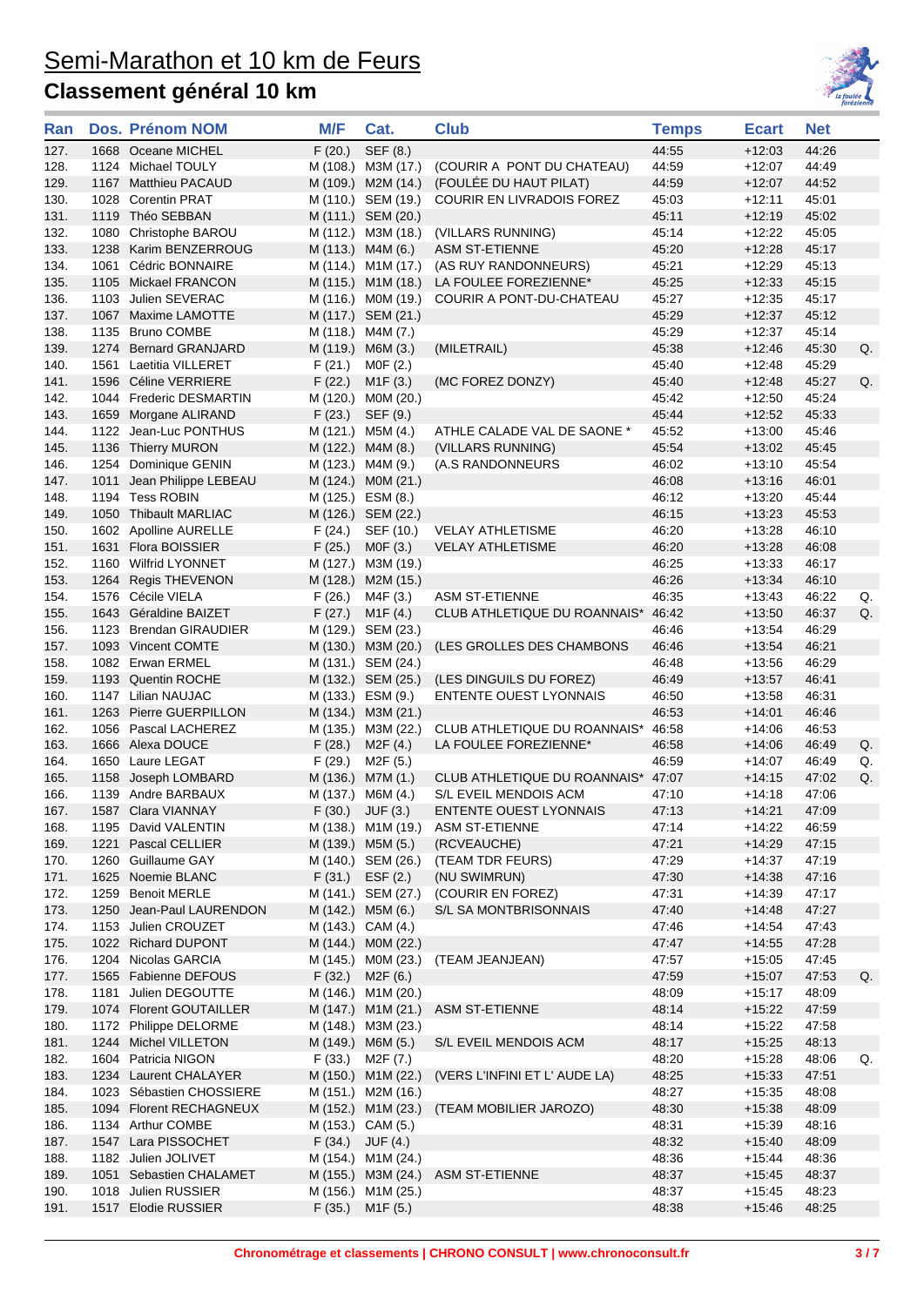

| Ran          |      | Dos. Prénom NOM                                | M/F              | Cat.                           | <b>Club</b>                                           | <b>Temps</b>   | <b>Ecart</b>         | <b>Net</b>     |    |
|--------------|------|------------------------------------------------|------------------|--------------------------------|-------------------------------------------------------|----------------|----------------------|----------------|----|
| 127.         |      | 1668 Oceane MICHEL                             | F(20.)           | SEF (8.)                       |                                                       | 44:55          | $+12:03$             | 44:26          |    |
| 128.         |      | 1124 Michael TOULY                             |                  | M (108.) M3M (17.)             | (COURIR A PONT DU CHATEAU)                            | 44:59          | $+12:07$             | 44:49          |    |
| 129.         |      | 1167 Matthieu PACAUD                           |                  | M (109.) M2M (14.)             | (FOULÉE DU HAUT PILAT)                                | 44:59          | $+12:07$             | 44:52          |    |
| 130.         |      | 1028 Corentin PRAT                             |                  | M (110.) SEM (19.)             | COURIR EN LIVRADOIS FOREZ                             | 45:03          | $+12:11$             | 45:01          |    |
| 131.         |      | 1119 Théo SEBBAN                               |                  | M (111.) SEM (20.)             |                                                       | 45:11          | $+12:19$             | 45:02          |    |
| 132.         |      | 1080 Christophe BAROU                          |                  | M (112.) M3M (18.)             | (VILLARS RUNNING)                                     | 45:14          | $+12:22$             | 45:05          |    |
| 133.         |      | 1238 Karim BENZERROUG                          |                  | M (113.) M4M (6.)              | <b>ASM ST-ETIENNE</b>                                 | 45:20          | $+12:28$             | 45:17          |    |
| 134.         |      | 1061 Cédric BONNAIRE                           |                  | M (114.) M1M (17.)             | (AS RUY RANDONNEURS)                                  | 45:21          | $+12:29$             | 45:13          |    |
| 135.         |      | 1105 Mickael FRANCON                           |                  | M (115.) M1M (18.)             | LA FOULEE FOREZIENNE*                                 | 45:25          | $+12:33$             | 45:15          |    |
| 136.         |      | 1103 Julien SEVERAC                            |                  | M (116.) MOM (19.)             | COURIR A PONT-DU-CHATEAU                              | 45:27          | $+12:35$             | 45:17          |    |
| 137.         |      | 1067 Maxime LAMOTTE                            |                  | M (117.) SEM (21.)             |                                                       | 45:29          | $+12:37$             | 45:12          |    |
| 138.         |      | 1135 Bruno COMBE                               |                  | M (118.) M4M (7.)              |                                                       | 45:29          | $+12:37$             | 45:14          |    |
| 139.         |      | 1274 Bernard GRANJARD                          |                  | M (119.) M6M (3.)              | (MILETRAIL)                                           | 45:38          | $+12.46$             | 45:30          | Q. |
| 140.<br>141. |      | 1561 Laetitia VILLERET<br>1596 Céline VERRIERE | F(21.)<br>F(22.) | MOF(2.)                        |                                                       | 45:40<br>45:40 | $+12:48$<br>$+12:48$ | 45:29<br>45:27 | Q. |
| 142.         |      | 1044 Frederic DESMARTIN                        |                  | M1F(3.)<br>M (120.) M0M (20.)  | (MC FOREZ DONZY)                                      | 45:42          | $+12:50$             | 45:24          |    |
| 143.         |      | 1659 Morgane ALIRAND                           | F(23.)           | SEF (9.)                       |                                                       | 45:44          | $+12:52$             | 45:33          |    |
| 144.         |      | 1122 Jean-Luc PONTHUS                          |                  | M (121.) M5M (4.)              | ATHLE CALADE VAL DE SAONE *                           | 45:52          | $+13:00$             | 45:46          |    |
| 145.         |      | 1136 Thierry MURON                             |                  | M (122.) M4M (8.)              | (VILLARS RUNNING)                                     | 45:54          | $+13:02$             | 45:45          |    |
| 146.         |      | 1254 Dominique GENIN                           |                  | M (123.) M4M (9.)              | (A.S RANDONNEURS                                      | 46:02          | $+13:10$             | 45:54          |    |
| 147.         | 1011 | Jean Philippe LEBEAU                           |                  | M (124.) MOM (21.)             |                                                       | 46:08          | $+13:16$             | 46:01          |    |
| 148.         |      | 1194 Tess ROBIN                                |                  | M (125.) ESM (8.)              |                                                       | 46:12          | $+13:20$             | 45:44          |    |
| 149.         |      | 1050 Thibault MARLIAC                          |                  | M (126.) SEM (22.)             |                                                       | 46:15          | $+13:23$             | 45:53          |    |
| 150.         |      | 1602 Apolline AURELLE                          | F(24.)           | SEF (10.)                      | <b>VELAY ATHLETISME</b>                               | 46:20          | $+13.28$             | 46:10          |    |
| 151.         |      | 1631 Flora BOISSIER                            | F(25.)           | MOF(3.)                        | <b>VELAY ATHLETISME</b>                               | 46:20          | $+13.28$             | 46:08          |    |
| 152.         |      | 1160 Wilfrid LYONNET                           |                  | M (127.) M3M (19.)             |                                                       | 46:25          | $+13:33$             | 46:17          |    |
| 153.         |      | 1264 Regis THEVENON                            |                  | M (128.) M2M (15.)             |                                                       | 46:26          | $+13.34$             | 46:10          |    |
| 154.         |      | 1576 Cécile VIELA                              | F(26.)           | M4F (3.)                       | <b>ASM ST-ETIENNE</b>                                 | 46:35          | $+13:43$             | 46:22          | Q. |
| 155.         |      | 1643 Géraldine BAIZET                          | F(27.)           | M1F(4.)                        | CLUB ATHLETIQUE DU ROANNAIS*                          | 46:42          | $+13:50$             | 46:37          | Q. |
| 156.         |      | 1123 Brendan GIRAUDIER                         |                  | M (129.) SEM (23.)             |                                                       | 46:46          | $+13:54$             | 46:29          |    |
| 157.         |      | 1093 Vincent COMTE                             |                  | M (130.) M3M (20.)             | (LES GROLLES DES CHAMBONS                             | 46:46          | $+13.54$             | 46:21          |    |
| 158.         |      | 1082 Erwan ERMEL                               |                  | M (131.) SEM (24.)             |                                                       | 46:48          | $+13.56$             | 46:29          |    |
| 159.         |      | 1193 Quentin ROCHE                             |                  | M (132.) SEM (25.)             | (LES DINGUILS DU FOREZ)                               | 46:49          | $+13.57$             | 46:41          |    |
| 160.         |      | 1147 Lilian NAUJAC                             |                  | M (133.) ESM (9.)              | ENTENTE OUEST LYONNAIS                                | 46:50          | $+13:58$             | 46:31          |    |
| 161.         |      | 1263 Pierre GUERPILLON                         |                  | M (134.) M3M (21.)             |                                                       | 46:53          | $+14:01$             | 46:46          |    |
| 162.<br>163. |      | 1056 Pascal LACHEREZ<br>1666 Alexa DOUCE       | F(28.)           | M (135.) M3M (22.)<br>M2F (4.) | CLUB ATHLETIQUE DU ROANNAIS*<br>LA FOULEE FOREZIENNE* | 46:58<br>46:58 | $+14.06$<br>$+14.06$ | 46:53<br>46:49 | Q. |
| 164.         |      | 1650 Laure LEGAT                               | F(29.)           | M <sub>2</sub> F (5.)          |                                                       | 46:59          | $+14:07$             | 46:49          | Q. |
| 165.         |      | 1158 Joseph LOMBARD                            |                  | M (136.) M7M (1.)              | CLUB ATHLETIQUE DU ROANNAIS*                          | 47:07          | $+14.15$             | 47:02          | Q. |
| 166.         |      | 1139 Andre BARBAUX                             |                  | M (137.) M6M (4.)              | S/L EVEIL MENDOIS ACM                                 | 47:10          | $+14:18$             | 47:06          |    |
| 167.         |      | 1587 Clara VIANNAY                             |                  | $F(30.)$ JUF $(3.)$            | ENTENTE OUEST LYONNAIS                                | 47:13          | $+14:21$             | 47:09          |    |
| 168.         |      | 1195 David VALENTIN                            |                  | M (138.) M1M (19.)             | ASM ST-ETIENNE                                        | 47:14          | $+14.22$             | 46:59          |    |
| 169.         | 1221 | Pascal CELLIER                                 |                  | M (139.) M5M (5.)              | (RCVEAUCHE)                                           | 47:21          | $+14.29$             | 47:15          |    |
| 170.         |      | 1260 Guillaume GAY                             |                  | M (140.) SEM (26.)             | (TEAM TDR FEURS)                                      | 47:29          | $+14.37$             | 47:19          |    |
| 171.         |      | 1625 Noemie BLANC                              |                  | $F(31.)$ ESF $(2.)$            | (NU SWIMRUN)                                          | 47:30          | $+14.38$             | 47:16          |    |
| 172.         |      | 1259 Benoit MERLE                              |                  | M (141.) SEM (27.)             | (COURIR EN FOREZ)                                     | 47:31          | $+14:39$             | 47:17          |    |
| 173.         |      | 1250 Jean-Paul LAURENDON                       |                  | M (142.) M5M (6.)              | S/L SA MONTBRISONNAIS                                 | 47:40          | $+14.48$             | 47:27          |    |
| 174.         |      | 1153 Julien CROUZET                            |                  | M (143.) CAM (4.)              |                                                       | 47:46          | $+14.54$             | 47:43          |    |
| 175.         |      | 1022 Richard DUPONT                            |                  | M (144.) MOM (22.)             |                                                       | 47:47          | $+14:55$             | 47:28          |    |
| 176.         |      | 1204 Nicolas GARCIA                            |                  | M (145.) MOM (23.)             | (TEAM JEANJEAN)                                       | 47:57          | $+15:05$             | 47:45          |    |
| 177.         |      | 1565 Fabienne DEFOUS                           | F(32.)           | M2F(6.)                        |                                                       | 47:59          | $+15.07$             | 47:53          | Q. |
| 178.         |      | 1181 Julien DEGOUTTE                           |                  | M (146.) M1M (20.)             |                                                       | 48:09          | $+15:17$             | 48:09          |    |
| 179.         |      | 1074 Florent GOUTAILLER                        |                  | M (147.) M1M (21.)             | <b>ASM ST-ETIENNE</b>                                 | 48:14          | $+15.22$             | 47:59          |    |
| 180.         |      | 1172 Philippe DELORME                          |                  | M (148.) M3M (23.)             |                                                       | 48:14          | $+15:22$             | 47:58          |    |
| 181.         |      | 1244 Michel VILLETON                           |                  | M (149.) M6M (5.)              | S/L EVEIL MENDOIS ACM                                 | 48:17          | $+15.25$             | 48:13          |    |
| 182.<br>183. |      | 1604 Patricia NIGON<br>1234 Laurent CHALAYER   | F(33.)           | M2F (7.)<br>M (150.) M1M (22.) | (VERS L'INFINI ET L'AUDE LA)                          | 48:20<br>48:25 | $+15.28$<br>$+15.33$ | 48:06<br>47:51 | Q. |
| 184.         |      | 1023 Sébastien CHOSSIERE                       |                  | M (151.) M2M (16.)             |                                                       | 48:27          | $+15.35$             | 48:08          |    |
| 185.         |      | 1094 Florent RECHAGNEUX                        |                  | M (152.) M1M (23.)             | (TEAM MOBILIER JAROZO)                                | 48:30          | $+15.38$             | 48:09          |    |
| 186.         |      | 1134 Arthur COMBE                              |                  | M (153.) CAM (5.)              |                                                       | 48:31          | $+15:39$             | 48:16          |    |
| 187.         |      | 1547 Lara PISSOCHET                            | F(34.)           | JUF (4.)                       |                                                       | 48:32          | $+15.40$             | 48:09          |    |
| 188.         |      | 1182 Julien JOLIVET                            |                  | M (154.) M1M (24.)             |                                                       | 48:36          | $+15.44$             | 48:36          |    |
| 189.         |      | 1051 Sebastien CHALAMET                        |                  | M (155.) M3M (24.)             | <b>ASM ST-ETIENNE</b>                                 | 48:37          | $+15:45$             | 48:37          |    |
| 190.         |      | 1018 Julien RUSSIER                            |                  | M (156.) M1M (25.)             |                                                       | 48:37          | $+15.45$             | 48:23          |    |
| 191.         |      | 1517 Elodie RUSSIER                            | F(35.)           | M <sub>1</sub> F (5.)          |                                                       | 48:38          | $+15.46$             | 48:25          |    |
|              |      |                                                |                  |                                |                                                       |                |                      |                |    |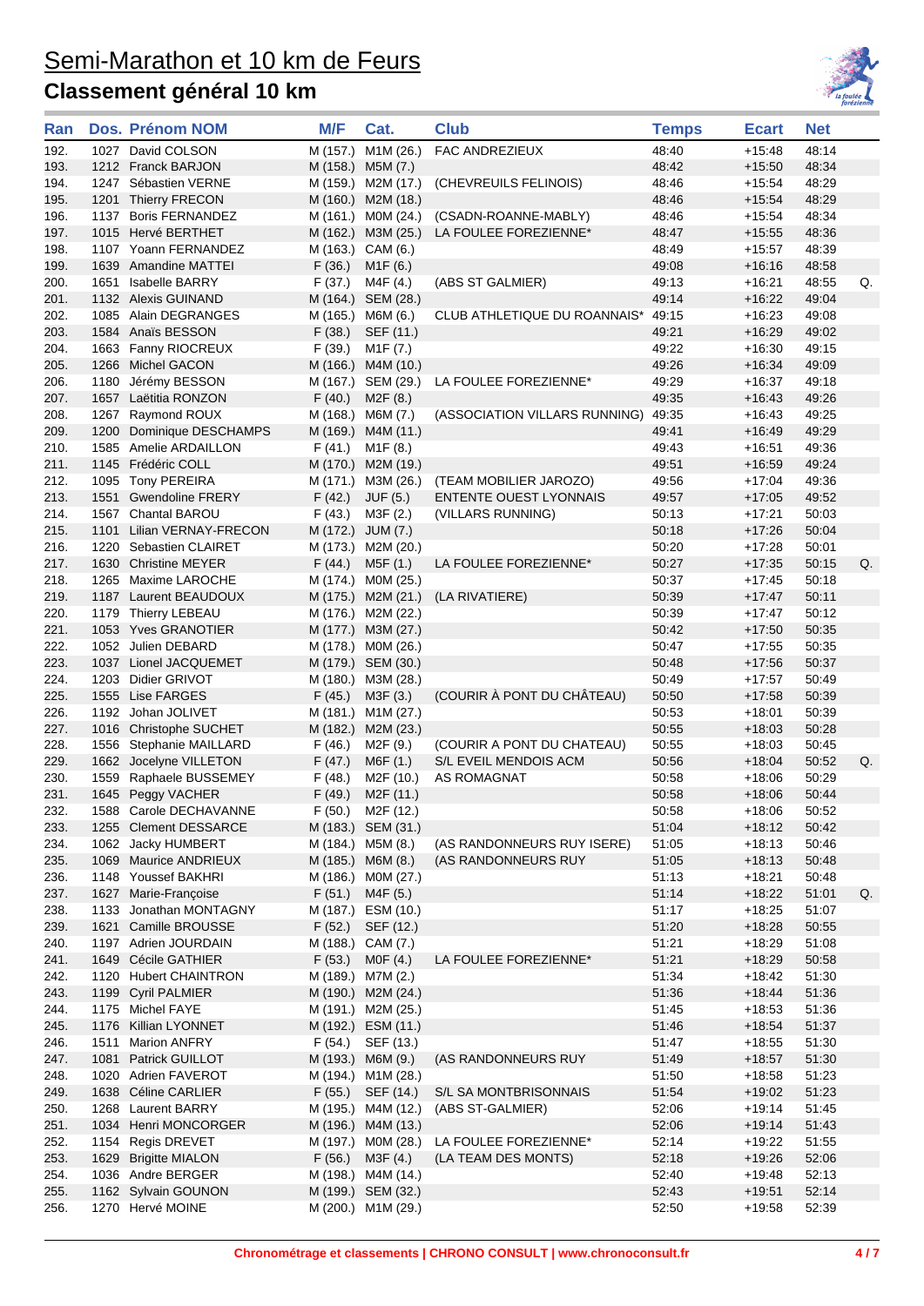

| 1027 David COLSON<br>M1M (26.)<br><b>FAC ANDREZIEUX</b><br>48:40<br>48:14<br>192.<br>M (157.)<br>$+15.48$<br>193.<br>48:34<br>1212 Franck BARJON<br>M (158.) M5M (7.)<br>48:42<br>$+15:50$<br>48:29<br>194.<br>1247 Sébastien VERNE<br>M (159.) M2M (17.)<br>(CHEVREUILS FELINOIS)<br>48:46<br>+15:54<br>48:29<br>195.<br>1201 Thierry FRECON<br>M (160.) M2M (18.)<br>48:46<br>$+15:54$<br>196.<br>1137 Boris FERNANDEZ<br>M (161.) MOM (24.)<br>(CSADN-ROANNE-MABLY)<br>48:34<br>48:46<br>+15:54<br>1015 Hervé BERTHET<br>48:36<br>197.<br>M (162.) M3M (25.)<br>LA FOULEE FOREZIENNE*<br>48:47<br>$+15:55$<br>198.<br>1107 Yoann FERNANDEZ<br>M (163.) CAM (6.)<br>48:39<br>48:49<br>+15:57<br>199.<br>1639 Amandine MATTEI<br>F(36.)<br>M <sub>1</sub> F (6.)<br>49:08<br>48:58<br>$+16:16$<br>200.<br>1651 Isabelle BARRY<br>F(37.)<br>M4F (4.)<br>(ABS ST GALMIER)<br>49:13<br>48:55<br>+16:21<br>Q.<br>201.<br>1132 Alexis GUINAND<br>M (164.) SEM (28.)<br>49:14<br>$+16:22$<br>49:04<br>202.<br>M (165.) M6M (6.)<br>49:08<br>1085 Alain DEGRANGES<br>CLUB ATHLETIQUE DU ROANNAIS* 49:15<br>$+16:23$<br>F(38.)<br>SEF (11.)<br>203.<br>1584 Anaïs BESSON<br>49:21<br>$+16.29$<br>49:02<br>204.<br>1663 Fanny RIOCREUX<br>F(39.)<br>M1F (7.)<br>49:22<br>49:15<br>+16:30<br>205.<br>1266 Michel GACON<br>M (166.)<br>49:26<br>49:09<br>M4M (10.)<br>$+16.34$<br>49:29<br>49:18<br>206.<br>1180<br>Jérémy BESSON<br>M (167.) SEM (29.)<br>LA FOULEE FOREZIENNE*<br>$+16:37$<br>F(40.)<br>M2F (8.)<br>49:26<br>207.<br>1657<br>Laëtitia RONZON<br>49:35<br>$+16.43$<br>208.<br>1267 Raymond ROUX<br>M (168.) M6M (7.)<br>(ASSOCIATION VILLARS RUNNING)<br>49:35<br>49:25<br>+16:43<br>209.<br>Dominique DESCHAMPS<br>M (169.)<br>49:29<br>1200<br>M4M (11.)<br>49:41<br>$+16.49$<br>210.<br>1585 Amelie ARDAILLON<br>F(41.)<br>M1F(8.)<br>49:43<br>$+16:51$<br>49:36<br>49:24<br>211.<br>1145 Frédéric COLL<br>M (170.) M2M (19.)<br>49.51<br>$+16:59$<br>212.<br>49:36<br>1095 Tony PEREIRA<br>M (171.)<br>M3M (26.)<br>(TEAM MOBILIER JAROZO)<br>49:56<br>$+17:04$<br>213.<br>1551 Gwendoline FRERY<br>F(42.)<br>JUF (5.)<br><b>ENTENTE OUEST LYONNAIS</b><br>49:57<br>49:52<br>$+17:05$<br>214.<br>1567 Chantal BAROU<br>F(43.)<br>M3F (2.)<br>(VILLARS RUNNING)<br>50:03<br>50:13<br>+17:21<br>215.<br>M (172.) JUM (7.)<br>50:04<br>1101<br>Lilian VERNAY-FRECON<br>50:18<br>$+17:26$<br>216.<br>1220<br>Sebastien CLAIRET<br>M (173.) M2M (20.)<br>50:20<br>50:01<br>+17:28<br>LA FOULEE FOREZIENNE*<br>217.<br>1630 Christine MEYER<br>F(44.)<br>M5F (1.)<br>50:27<br>$+17:35$<br>50:15<br>Q.<br>218.<br>1265 Maxime LAROCHE<br>M (174.) MOM (25.)<br>50:37<br>50:18<br>+17:45<br>219.<br>1187 Laurent BEAUDOUX<br>M (175.) M2M (21.)<br>(LA RIVATIERE)<br>50:39<br>$+17:47$<br>50:11<br>220.<br>1179 Thierry LEBEAU<br>M (176.) M2M (22.)<br>50:39<br>$+17:47$<br>50:12<br>50:35<br>221.<br>1053 Yves GRANOTIER<br>M (177.) M3M (27.)<br>50:42<br>$+17:50$<br>222.<br>50:35<br>1052 Julien DEBARD<br>M (178.) MOM (26.)<br>50:47<br>+17:55<br>223.<br>1037 Lionel JACQUEMET<br>M (179.) SEM (30.)<br>50:48<br>50:37<br>+17:56<br>1203<br>50:49<br>50:49<br>224.<br>Didier GRIVOT<br>M (180.) M3M (28.)<br>$+17:57$<br>225.<br>1555<br>(COURIR À PONT DU CHÂTEAU)<br>50:50<br>50:39<br><b>Lise FARGES</b><br>F(45.)<br>M3F (3.)<br>$+17:58$<br>226.<br>1192 Johan JOLIVET<br>M (181.) M1M (27.)<br>50:53<br>50:39<br>$+18:01$<br>227.<br>1016 Christophe SUCHET<br>M (182.)<br>M2M (23.)<br>50:55<br>50:28<br>$+18.03$<br>1556 Stephanie MAILLARD<br>F(46.)<br>M2F (9.)<br>(COURIR A PONT DU CHATEAU)<br>50:45<br>228.<br>50:55<br>$+18:03$<br>50:52<br>229.<br>1662 Jocelyne VILLETON<br>F(47.)<br>M6F(1.)<br>S/L EVEIL MENDOIS ACM<br>50:56<br>$+18:04$<br>Q.<br>230.<br>Raphaele BUSSEMEY<br>F(48.)<br>AS ROMAGNAT<br>50:58<br>50:29<br>1559<br>M <sub>2</sub> F (10.)<br>+18:06<br>231.<br>1645 Peggy VACHER<br>F(49.)<br>M <sub>2</sub> F (11.)<br>50:58<br>50:44<br>$+18:06$<br>232.<br>M2F (12.)<br>1588 Carole DECHAVANNE<br>F(50.)<br>50.58<br>+18:06<br>50.52<br>1255 Clement DESSARCE<br>M (183.) SEM (31.)<br>51:04<br>233.<br>$+18:12$<br>50:42<br>M (184.) M5M (8.)<br>1062 Jacky HUMBERT<br>(AS RANDONNEURS RUY ISERE)<br>51:05<br>50:46<br>234.<br>+18:13<br>235.<br>M (185.) M6M (8.)<br>(AS RANDONNEURS RUY<br>51:05<br>50:48<br>1069 Maurice ANDRIEUX<br>$+18.13$<br>M (186.) M0M (27.)<br>51:13<br>50:48<br>236.<br>1148 Youssef BAKHRI<br>$+18:21$<br>F(51.)<br>51:14<br>237.<br>1627 Marie-Francoise<br>M4F (5.)<br>51:01<br>$+18.22$<br>Q.<br>Jonathan MONTAGNY<br>M (187.) ESM (10.)<br>51:17<br>51:07<br>238.<br>1133<br>+18:25<br>51:20<br>239.<br>1621 Camille BROUSSE<br>F(52.)<br>SEF (12.)<br>$+18:28$<br>50:55<br>1197 Adrien JOURDAIN<br>M (188.) CAM (7.)<br>51:21<br>51:08<br>240.<br>+18:29<br>51:21<br>241.<br>1649 Cécile GATHIER<br>F(53.)<br>MOF(4.)<br>LA FOULEE FOREZIENNE*<br>$+18:29$<br>50:58<br>242.<br>1120 Hubert CHAINTRON<br>M (189.) M7M (2.)<br>51:34<br>51:30<br>$+18:42$<br>243.<br>1199 Cyril PALMIER<br>M (190.) M2M (24.)<br>51:36<br>51:36<br>$+18.44$<br>1175 Michel FAYE<br>M (191.) M2M (25.)<br>51:45<br>51:36<br>244.<br>+18:53<br>1176 Killian LYONNET<br>M (192.) ESM (11.)<br>51:46<br>51:37<br>245.<br>$+18:54$<br><b>Marion ANFRY</b><br>F(54.)<br>SEF (13.)<br>51:47<br>51:30<br>246.<br>1511<br>+18:55<br>247.<br>1081<br>Patrick GUILLOT<br>M (193.) M6M (9.)<br>(AS RANDONNEURS RUY<br>51:49<br>51:30<br>+18:57<br>M (194.) M1M (28.)<br>51:50<br>51:23<br>248.<br>1020 Adrien FAVEROT<br>+18:58<br>249.<br>1638 Céline CARLIER<br>F(55.)<br>SEF (14.)<br>S/L SA MONTBRISONNAIS<br>51:54<br>51:23<br>$+19:02$<br>250.<br>1268 Laurent BARRY<br>M (195.) M4M (12.)<br>(ABS ST-GALMIER)<br>52:06<br>51:45<br>+19:14<br>251.<br>1034 Henri MONCORGER<br>M (196.) M4M (13.)<br>52:06<br>$+19.14$<br>51:43<br>252.<br>1154 Regis DREVET<br>M (197.) M0M (28.)<br>LA FOULEE FOREZIENNE*<br>52:14<br>51:55<br>+19:22<br>253.<br>1629 Brigitte MIALON<br>F(56.)<br>(LA TEAM DES MONTS)<br>52:18<br>52:06<br>M3F (4.)<br>$+19.26$<br>1036 Andre BERGER<br>M (198.) M4M (14.)<br>52:40<br>52:13<br>254.<br>+19:48<br>52:43<br>255.<br>1162 Sylvain GOUNON<br>M (199.) SEM (32.)<br>$+19:51$<br>52:14<br>1270 Hervé MOINE<br>M (200.) M1M (29.)<br>52:50<br>52:39<br>256.<br>+19:58 | Ran | <b>Dos. Prénom NOM</b> | M/F | Cat. | <b>Club</b> | <b>Temps</b> | <b>Ecart</b> | <b>Net</b> |  |
|--------------------------------------------------------------------------------------------------------------------------------------------------------------------------------------------------------------------------------------------------------------------------------------------------------------------------------------------------------------------------------------------------------------------------------------------------------------------------------------------------------------------------------------------------------------------------------------------------------------------------------------------------------------------------------------------------------------------------------------------------------------------------------------------------------------------------------------------------------------------------------------------------------------------------------------------------------------------------------------------------------------------------------------------------------------------------------------------------------------------------------------------------------------------------------------------------------------------------------------------------------------------------------------------------------------------------------------------------------------------------------------------------------------------------------------------------------------------------------------------------------------------------------------------------------------------------------------------------------------------------------------------------------------------------------------------------------------------------------------------------------------------------------------------------------------------------------------------------------------------------------------------------------------------------------------------------------------------------------------------------------------------------------------------------------------------------------------------------------------------------------------------------------------------------------------------------------------------------------------------------------------------------------------------------------------------------------------------------------------------------------------------------------------------------------------------------------------------------------------------------------------------------------------------------------------------------------------------------------------------------------------------------------------------------------------------------------------------------------------------------------------------------------------------------------------------------------------------------------------------------------------------------------------------------------------------------------------------------------------------------------------------------------------------------------------------------------------------------------------------------------------------------------------------------------------------------------------------------------------------------------------------------------------------------------------------------------------------------------------------------------------------------------------------------------------------------------------------------------------------------------------------------------------------------------------------------------------------------------------------------------------------------------------------------------------------------------------------------------------------------------------------------------------------------------------------------------------------------------------------------------------------------------------------------------------------------------------------------------------------------------------------------------------------------------------------------------------------------------------------------------------------------------------------------------------------------------------------------------------------------------------------------------------------------------------------------------------------------------------------------------------------------------------------------------------------------------------------------------------------------------------------------------------------------------------------------------------------------------------------------------------------------------------------------------------------------------------------------------------------------------------------------------------------------------------------------------------------------------------------------------------------------------------------------------------------------------------------------------------------------------------------------------------------------------------------------------------------------------------------------------------------------------------------------------------------------------------------------------------------------------------------------------------------------------------------------------------------------------------------------------------------------------------------------------------------------------------------------------------------------------------------------------------------------------------------------------------------------------------------------------------------------------------------------------------------------------------------------------------------------------------------------------------------------------------------------------------------------------------------------------------------------------------------------------------------------------------------------------------------------------------------------------------------------------------------------------------------------------------------------------------------------------------------------------------------------------------------------------------------------------------------------------------------------------------------------------------------------------------|-----|------------------------|-----|------|-------------|--------------|--------------|------------|--|
|                                                                                                                                                                                                                                                                                                                                                                                                                                                                                                                                                                                                                                                                                                                                                                                                                                                                                                                                                                                                                                                                                                                                                                                                                                                                                                                                                                                                                                                                                                                                                                                                                                                                                                                                                                                                                                                                                                                                                                                                                                                                                                                                                                                                                                                                                                                                                                                                                                                                                                                                                                                                                                                                                                                                                                                                                                                                                                                                                                                                                                                                                                                                                                                                                                                                                                                                                                                                                                                                                                                                                                                                                                                                                                                                                                                                                                                                                                                                                                                                                                                                                                                                                                                                                                                                                                                                                                                                                                                                                                                                                                                                                                                                                                                                                                                                                                                                                                                                                                                                                                                                                                                                                                                                                                                                                                                                                                                                                                                                                                                                                                                                                                                                                                                                                                                                                                                                                                                                                                                                                                                                                                                                                                                                                                                                                                                                                              |     |                        |     |      |             |              |              |            |  |
|                                                                                                                                                                                                                                                                                                                                                                                                                                                                                                                                                                                                                                                                                                                                                                                                                                                                                                                                                                                                                                                                                                                                                                                                                                                                                                                                                                                                                                                                                                                                                                                                                                                                                                                                                                                                                                                                                                                                                                                                                                                                                                                                                                                                                                                                                                                                                                                                                                                                                                                                                                                                                                                                                                                                                                                                                                                                                                                                                                                                                                                                                                                                                                                                                                                                                                                                                                                                                                                                                                                                                                                                                                                                                                                                                                                                                                                                                                                                                                                                                                                                                                                                                                                                                                                                                                                                                                                                                                                                                                                                                                                                                                                                                                                                                                                                                                                                                                                                                                                                                                                                                                                                                                                                                                                                                                                                                                                                                                                                                                                                                                                                                                                                                                                                                                                                                                                                                                                                                                                                                                                                                                                                                                                                                                                                                                                                                              |     |                        |     |      |             |              |              |            |  |
|                                                                                                                                                                                                                                                                                                                                                                                                                                                                                                                                                                                                                                                                                                                                                                                                                                                                                                                                                                                                                                                                                                                                                                                                                                                                                                                                                                                                                                                                                                                                                                                                                                                                                                                                                                                                                                                                                                                                                                                                                                                                                                                                                                                                                                                                                                                                                                                                                                                                                                                                                                                                                                                                                                                                                                                                                                                                                                                                                                                                                                                                                                                                                                                                                                                                                                                                                                                                                                                                                                                                                                                                                                                                                                                                                                                                                                                                                                                                                                                                                                                                                                                                                                                                                                                                                                                                                                                                                                                                                                                                                                                                                                                                                                                                                                                                                                                                                                                                                                                                                                                                                                                                                                                                                                                                                                                                                                                                                                                                                                                                                                                                                                                                                                                                                                                                                                                                                                                                                                                                                                                                                                                                                                                                                                                                                                                                                              |     |                        |     |      |             |              |              |            |  |
|                                                                                                                                                                                                                                                                                                                                                                                                                                                                                                                                                                                                                                                                                                                                                                                                                                                                                                                                                                                                                                                                                                                                                                                                                                                                                                                                                                                                                                                                                                                                                                                                                                                                                                                                                                                                                                                                                                                                                                                                                                                                                                                                                                                                                                                                                                                                                                                                                                                                                                                                                                                                                                                                                                                                                                                                                                                                                                                                                                                                                                                                                                                                                                                                                                                                                                                                                                                                                                                                                                                                                                                                                                                                                                                                                                                                                                                                                                                                                                                                                                                                                                                                                                                                                                                                                                                                                                                                                                                                                                                                                                                                                                                                                                                                                                                                                                                                                                                                                                                                                                                                                                                                                                                                                                                                                                                                                                                                                                                                                                                                                                                                                                                                                                                                                                                                                                                                                                                                                                                                                                                                                                                                                                                                                                                                                                                                                              |     |                        |     |      |             |              |              |            |  |
|                                                                                                                                                                                                                                                                                                                                                                                                                                                                                                                                                                                                                                                                                                                                                                                                                                                                                                                                                                                                                                                                                                                                                                                                                                                                                                                                                                                                                                                                                                                                                                                                                                                                                                                                                                                                                                                                                                                                                                                                                                                                                                                                                                                                                                                                                                                                                                                                                                                                                                                                                                                                                                                                                                                                                                                                                                                                                                                                                                                                                                                                                                                                                                                                                                                                                                                                                                                                                                                                                                                                                                                                                                                                                                                                                                                                                                                                                                                                                                                                                                                                                                                                                                                                                                                                                                                                                                                                                                                                                                                                                                                                                                                                                                                                                                                                                                                                                                                                                                                                                                                                                                                                                                                                                                                                                                                                                                                                                                                                                                                                                                                                                                                                                                                                                                                                                                                                                                                                                                                                                                                                                                                                                                                                                                                                                                                                                              |     |                        |     |      |             |              |              |            |  |
|                                                                                                                                                                                                                                                                                                                                                                                                                                                                                                                                                                                                                                                                                                                                                                                                                                                                                                                                                                                                                                                                                                                                                                                                                                                                                                                                                                                                                                                                                                                                                                                                                                                                                                                                                                                                                                                                                                                                                                                                                                                                                                                                                                                                                                                                                                                                                                                                                                                                                                                                                                                                                                                                                                                                                                                                                                                                                                                                                                                                                                                                                                                                                                                                                                                                                                                                                                                                                                                                                                                                                                                                                                                                                                                                                                                                                                                                                                                                                                                                                                                                                                                                                                                                                                                                                                                                                                                                                                                                                                                                                                                                                                                                                                                                                                                                                                                                                                                                                                                                                                                                                                                                                                                                                                                                                                                                                                                                                                                                                                                                                                                                                                                                                                                                                                                                                                                                                                                                                                                                                                                                                                                                                                                                                                                                                                                                                              |     |                        |     |      |             |              |              |            |  |
|                                                                                                                                                                                                                                                                                                                                                                                                                                                                                                                                                                                                                                                                                                                                                                                                                                                                                                                                                                                                                                                                                                                                                                                                                                                                                                                                                                                                                                                                                                                                                                                                                                                                                                                                                                                                                                                                                                                                                                                                                                                                                                                                                                                                                                                                                                                                                                                                                                                                                                                                                                                                                                                                                                                                                                                                                                                                                                                                                                                                                                                                                                                                                                                                                                                                                                                                                                                                                                                                                                                                                                                                                                                                                                                                                                                                                                                                                                                                                                                                                                                                                                                                                                                                                                                                                                                                                                                                                                                                                                                                                                                                                                                                                                                                                                                                                                                                                                                                                                                                                                                                                                                                                                                                                                                                                                                                                                                                                                                                                                                                                                                                                                                                                                                                                                                                                                                                                                                                                                                                                                                                                                                                                                                                                                                                                                                                                              |     |                        |     |      |             |              |              |            |  |
|                                                                                                                                                                                                                                                                                                                                                                                                                                                                                                                                                                                                                                                                                                                                                                                                                                                                                                                                                                                                                                                                                                                                                                                                                                                                                                                                                                                                                                                                                                                                                                                                                                                                                                                                                                                                                                                                                                                                                                                                                                                                                                                                                                                                                                                                                                                                                                                                                                                                                                                                                                                                                                                                                                                                                                                                                                                                                                                                                                                                                                                                                                                                                                                                                                                                                                                                                                                                                                                                                                                                                                                                                                                                                                                                                                                                                                                                                                                                                                                                                                                                                                                                                                                                                                                                                                                                                                                                                                                                                                                                                                                                                                                                                                                                                                                                                                                                                                                                                                                                                                                                                                                                                                                                                                                                                                                                                                                                                                                                                                                                                                                                                                                                                                                                                                                                                                                                                                                                                                                                                                                                                                                                                                                                                                                                                                                                                              |     |                        |     |      |             |              |              |            |  |
|                                                                                                                                                                                                                                                                                                                                                                                                                                                                                                                                                                                                                                                                                                                                                                                                                                                                                                                                                                                                                                                                                                                                                                                                                                                                                                                                                                                                                                                                                                                                                                                                                                                                                                                                                                                                                                                                                                                                                                                                                                                                                                                                                                                                                                                                                                                                                                                                                                                                                                                                                                                                                                                                                                                                                                                                                                                                                                                                                                                                                                                                                                                                                                                                                                                                                                                                                                                                                                                                                                                                                                                                                                                                                                                                                                                                                                                                                                                                                                                                                                                                                                                                                                                                                                                                                                                                                                                                                                                                                                                                                                                                                                                                                                                                                                                                                                                                                                                                                                                                                                                                                                                                                                                                                                                                                                                                                                                                                                                                                                                                                                                                                                                                                                                                                                                                                                                                                                                                                                                                                                                                                                                                                                                                                                                                                                                                                              |     |                        |     |      |             |              |              |            |  |
|                                                                                                                                                                                                                                                                                                                                                                                                                                                                                                                                                                                                                                                                                                                                                                                                                                                                                                                                                                                                                                                                                                                                                                                                                                                                                                                                                                                                                                                                                                                                                                                                                                                                                                                                                                                                                                                                                                                                                                                                                                                                                                                                                                                                                                                                                                                                                                                                                                                                                                                                                                                                                                                                                                                                                                                                                                                                                                                                                                                                                                                                                                                                                                                                                                                                                                                                                                                                                                                                                                                                                                                                                                                                                                                                                                                                                                                                                                                                                                                                                                                                                                                                                                                                                                                                                                                                                                                                                                                                                                                                                                                                                                                                                                                                                                                                                                                                                                                                                                                                                                                                                                                                                                                                                                                                                                                                                                                                                                                                                                                                                                                                                                                                                                                                                                                                                                                                                                                                                                                                                                                                                                                                                                                                                                                                                                                                                              |     |                        |     |      |             |              |              |            |  |
|                                                                                                                                                                                                                                                                                                                                                                                                                                                                                                                                                                                                                                                                                                                                                                                                                                                                                                                                                                                                                                                                                                                                                                                                                                                                                                                                                                                                                                                                                                                                                                                                                                                                                                                                                                                                                                                                                                                                                                                                                                                                                                                                                                                                                                                                                                                                                                                                                                                                                                                                                                                                                                                                                                                                                                                                                                                                                                                                                                                                                                                                                                                                                                                                                                                                                                                                                                                                                                                                                                                                                                                                                                                                                                                                                                                                                                                                                                                                                                                                                                                                                                                                                                                                                                                                                                                                                                                                                                                                                                                                                                                                                                                                                                                                                                                                                                                                                                                                                                                                                                                                                                                                                                                                                                                                                                                                                                                                                                                                                                                                                                                                                                                                                                                                                                                                                                                                                                                                                                                                                                                                                                                                                                                                                                                                                                                                                              |     |                        |     |      |             |              |              |            |  |
|                                                                                                                                                                                                                                                                                                                                                                                                                                                                                                                                                                                                                                                                                                                                                                                                                                                                                                                                                                                                                                                                                                                                                                                                                                                                                                                                                                                                                                                                                                                                                                                                                                                                                                                                                                                                                                                                                                                                                                                                                                                                                                                                                                                                                                                                                                                                                                                                                                                                                                                                                                                                                                                                                                                                                                                                                                                                                                                                                                                                                                                                                                                                                                                                                                                                                                                                                                                                                                                                                                                                                                                                                                                                                                                                                                                                                                                                                                                                                                                                                                                                                                                                                                                                                                                                                                                                                                                                                                                                                                                                                                                                                                                                                                                                                                                                                                                                                                                                                                                                                                                                                                                                                                                                                                                                                                                                                                                                                                                                                                                                                                                                                                                                                                                                                                                                                                                                                                                                                                                                                                                                                                                                                                                                                                                                                                                                                              |     |                        |     |      |             |              |              |            |  |
|                                                                                                                                                                                                                                                                                                                                                                                                                                                                                                                                                                                                                                                                                                                                                                                                                                                                                                                                                                                                                                                                                                                                                                                                                                                                                                                                                                                                                                                                                                                                                                                                                                                                                                                                                                                                                                                                                                                                                                                                                                                                                                                                                                                                                                                                                                                                                                                                                                                                                                                                                                                                                                                                                                                                                                                                                                                                                                                                                                                                                                                                                                                                                                                                                                                                                                                                                                                                                                                                                                                                                                                                                                                                                                                                                                                                                                                                                                                                                                                                                                                                                                                                                                                                                                                                                                                                                                                                                                                                                                                                                                                                                                                                                                                                                                                                                                                                                                                                                                                                                                                                                                                                                                                                                                                                                                                                                                                                                                                                                                                                                                                                                                                                                                                                                                                                                                                                                                                                                                                                                                                                                                                                                                                                                                                                                                                                                              |     |                        |     |      |             |              |              |            |  |
|                                                                                                                                                                                                                                                                                                                                                                                                                                                                                                                                                                                                                                                                                                                                                                                                                                                                                                                                                                                                                                                                                                                                                                                                                                                                                                                                                                                                                                                                                                                                                                                                                                                                                                                                                                                                                                                                                                                                                                                                                                                                                                                                                                                                                                                                                                                                                                                                                                                                                                                                                                                                                                                                                                                                                                                                                                                                                                                                                                                                                                                                                                                                                                                                                                                                                                                                                                                                                                                                                                                                                                                                                                                                                                                                                                                                                                                                                                                                                                                                                                                                                                                                                                                                                                                                                                                                                                                                                                                                                                                                                                                                                                                                                                                                                                                                                                                                                                                                                                                                                                                                                                                                                                                                                                                                                                                                                                                                                                                                                                                                                                                                                                                                                                                                                                                                                                                                                                                                                                                                                                                                                                                                                                                                                                                                                                                                                              |     |                        |     |      |             |              |              |            |  |
|                                                                                                                                                                                                                                                                                                                                                                                                                                                                                                                                                                                                                                                                                                                                                                                                                                                                                                                                                                                                                                                                                                                                                                                                                                                                                                                                                                                                                                                                                                                                                                                                                                                                                                                                                                                                                                                                                                                                                                                                                                                                                                                                                                                                                                                                                                                                                                                                                                                                                                                                                                                                                                                                                                                                                                                                                                                                                                                                                                                                                                                                                                                                                                                                                                                                                                                                                                                                                                                                                                                                                                                                                                                                                                                                                                                                                                                                                                                                                                                                                                                                                                                                                                                                                                                                                                                                                                                                                                                                                                                                                                                                                                                                                                                                                                                                                                                                                                                                                                                                                                                                                                                                                                                                                                                                                                                                                                                                                                                                                                                                                                                                                                                                                                                                                                                                                                                                                                                                                                                                                                                                                                                                                                                                                                                                                                                                                              |     |                        |     |      |             |              |              |            |  |
|                                                                                                                                                                                                                                                                                                                                                                                                                                                                                                                                                                                                                                                                                                                                                                                                                                                                                                                                                                                                                                                                                                                                                                                                                                                                                                                                                                                                                                                                                                                                                                                                                                                                                                                                                                                                                                                                                                                                                                                                                                                                                                                                                                                                                                                                                                                                                                                                                                                                                                                                                                                                                                                                                                                                                                                                                                                                                                                                                                                                                                                                                                                                                                                                                                                                                                                                                                                                                                                                                                                                                                                                                                                                                                                                                                                                                                                                                                                                                                                                                                                                                                                                                                                                                                                                                                                                                                                                                                                                                                                                                                                                                                                                                                                                                                                                                                                                                                                                                                                                                                                                                                                                                                                                                                                                                                                                                                                                                                                                                                                                                                                                                                                                                                                                                                                                                                                                                                                                                                                                                                                                                                                                                                                                                                                                                                                                                              |     |                        |     |      |             |              |              |            |  |
|                                                                                                                                                                                                                                                                                                                                                                                                                                                                                                                                                                                                                                                                                                                                                                                                                                                                                                                                                                                                                                                                                                                                                                                                                                                                                                                                                                                                                                                                                                                                                                                                                                                                                                                                                                                                                                                                                                                                                                                                                                                                                                                                                                                                                                                                                                                                                                                                                                                                                                                                                                                                                                                                                                                                                                                                                                                                                                                                                                                                                                                                                                                                                                                                                                                                                                                                                                                                                                                                                                                                                                                                                                                                                                                                                                                                                                                                                                                                                                                                                                                                                                                                                                                                                                                                                                                                                                                                                                                                                                                                                                                                                                                                                                                                                                                                                                                                                                                                                                                                                                                                                                                                                                                                                                                                                                                                                                                                                                                                                                                                                                                                                                                                                                                                                                                                                                                                                                                                                                                                                                                                                                                                                                                                                                                                                                                                                              |     |                        |     |      |             |              |              |            |  |
|                                                                                                                                                                                                                                                                                                                                                                                                                                                                                                                                                                                                                                                                                                                                                                                                                                                                                                                                                                                                                                                                                                                                                                                                                                                                                                                                                                                                                                                                                                                                                                                                                                                                                                                                                                                                                                                                                                                                                                                                                                                                                                                                                                                                                                                                                                                                                                                                                                                                                                                                                                                                                                                                                                                                                                                                                                                                                                                                                                                                                                                                                                                                                                                                                                                                                                                                                                                                                                                                                                                                                                                                                                                                                                                                                                                                                                                                                                                                                                                                                                                                                                                                                                                                                                                                                                                                                                                                                                                                                                                                                                                                                                                                                                                                                                                                                                                                                                                                                                                                                                                                                                                                                                                                                                                                                                                                                                                                                                                                                                                                                                                                                                                                                                                                                                                                                                                                                                                                                                                                                                                                                                                                                                                                                                                                                                                                                              |     |                        |     |      |             |              |              |            |  |
|                                                                                                                                                                                                                                                                                                                                                                                                                                                                                                                                                                                                                                                                                                                                                                                                                                                                                                                                                                                                                                                                                                                                                                                                                                                                                                                                                                                                                                                                                                                                                                                                                                                                                                                                                                                                                                                                                                                                                                                                                                                                                                                                                                                                                                                                                                                                                                                                                                                                                                                                                                                                                                                                                                                                                                                                                                                                                                                                                                                                                                                                                                                                                                                                                                                                                                                                                                                                                                                                                                                                                                                                                                                                                                                                                                                                                                                                                                                                                                                                                                                                                                                                                                                                                                                                                                                                                                                                                                                                                                                                                                                                                                                                                                                                                                                                                                                                                                                                                                                                                                                                                                                                                                                                                                                                                                                                                                                                                                                                                                                                                                                                                                                                                                                                                                                                                                                                                                                                                                                                                                                                                                                                                                                                                                                                                                                                                              |     |                        |     |      |             |              |              |            |  |
|                                                                                                                                                                                                                                                                                                                                                                                                                                                                                                                                                                                                                                                                                                                                                                                                                                                                                                                                                                                                                                                                                                                                                                                                                                                                                                                                                                                                                                                                                                                                                                                                                                                                                                                                                                                                                                                                                                                                                                                                                                                                                                                                                                                                                                                                                                                                                                                                                                                                                                                                                                                                                                                                                                                                                                                                                                                                                                                                                                                                                                                                                                                                                                                                                                                                                                                                                                                                                                                                                                                                                                                                                                                                                                                                                                                                                                                                                                                                                                                                                                                                                                                                                                                                                                                                                                                                                                                                                                                                                                                                                                                                                                                                                                                                                                                                                                                                                                                                                                                                                                                                                                                                                                                                                                                                                                                                                                                                                                                                                                                                                                                                                                                                                                                                                                                                                                                                                                                                                                                                                                                                                                                                                                                                                                                                                                                                                              |     |                        |     |      |             |              |              |            |  |
|                                                                                                                                                                                                                                                                                                                                                                                                                                                                                                                                                                                                                                                                                                                                                                                                                                                                                                                                                                                                                                                                                                                                                                                                                                                                                                                                                                                                                                                                                                                                                                                                                                                                                                                                                                                                                                                                                                                                                                                                                                                                                                                                                                                                                                                                                                                                                                                                                                                                                                                                                                                                                                                                                                                                                                                                                                                                                                                                                                                                                                                                                                                                                                                                                                                                                                                                                                                                                                                                                                                                                                                                                                                                                                                                                                                                                                                                                                                                                                                                                                                                                                                                                                                                                                                                                                                                                                                                                                                                                                                                                                                                                                                                                                                                                                                                                                                                                                                                                                                                                                                                                                                                                                                                                                                                                                                                                                                                                                                                                                                                                                                                                                                                                                                                                                                                                                                                                                                                                                                                                                                                                                                                                                                                                                                                                                                                                              |     |                        |     |      |             |              |              |            |  |
|                                                                                                                                                                                                                                                                                                                                                                                                                                                                                                                                                                                                                                                                                                                                                                                                                                                                                                                                                                                                                                                                                                                                                                                                                                                                                                                                                                                                                                                                                                                                                                                                                                                                                                                                                                                                                                                                                                                                                                                                                                                                                                                                                                                                                                                                                                                                                                                                                                                                                                                                                                                                                                                                                                                                                                                                                                                                                                                                                                                                                                                                                                                                                                                                                                                                                                                                                                                                                                                                                                                                                                                                                                                                                                                                                                                                                                                                                                                                                                                                                                                                                                                                                                                                                                                                                                                                                                                                                                                                                                                                                                                                                                                                                                                                                                                                                                                                                                                                                                                                                                                                                                                                                                                                                                                                                                                                                                                                                                                                                                                                                                                                                                                                                                                                                                                                                                                                                                                                                                                                                                                                                                                                                                                                                                                                                                                                                              |     |                        |     |      |             |              |              |            |  |
|                                                                                                                                                                                                                                                                                                                                                                                                                                                                                                                                                                                                                                                                                                                                                                                                                                                                                                                                                                                                                                                                                                                                                                                                                                                                                                                                                                                                                                                                                                                                                                                                                                                                                                                                                                                                                                                                                                                                                                                                                                                                                                                                                                                                                                                                                                                                                                                                                                                                                                                                                                                                                                                                                                                                                                                                                                                                                                                                                                                                                                                                                                                                                                                                                                                                                                                                                                                                                                                                                                                                                                                                                                                                                                                                                                                                                                                                                                                                                                                                                                                                                                                                                                                                                                                                                                                                                                                                                                                                                                                                                                                                                                                                                                                                                                                                                                                                                                                                                                                                                                                                                                                                                                                                                                                                                                                                                                                                                                                                                                                                                                                                                                                                                                                                                                                                                                                                                                                                                                                                                                                                                                                                                                                                                                                                                                                                                              |     |                        |     |      |             |              |              |            |  |
|                                                                                                                                                                                                                                                                                                                                                                                                                                                                                                                                                                                                                                                                                                                                                                                                                                                                                                                                                                                                                                                                                                                                                                                                                                                                                                                                                                                                                                                                                                                                                                                                                                                                                                                                                                                                                                                                                                                                                                                                                                                                                                                                                                                                                                                                                                                                                                                                                                                                                                                                                                                                                                                                                                                                                                                                                                                                                                                                                                                                                                                                                                                                                                                                                                                                                                                                                                                                                                                                                                                                                                                                                                                                                                                                                                                                                                                                                                                                                                                                                                                                                                                                                                                                                                                                                                                                                                                                                                                                                                                                                                                                                                                                                                                                                                                                                                                                                                                                                                                                                                                                                                                                                                                                                                                                                                                                                                                                                                                                                                                                                                                                                                                                                                                                                                                                                                                                                                                                                                                                                                                                                                                                                                                                                                                                                                                                                              |     |                        |     |      |             |              |              |            |  |
|                                                                                                                                                                                                                                                                                                                                                                                                                                                                                                                                                                                                                                                                                                                                                                                                                                                                                                                                                                                                                                                                                                                                                                                                                                                                                                                                                                                                                                                                                                                                                                                                                                                                                                                                                                                                                                                                                                                                                                                                                                                                                                                                                                                                                                                                                                                                                                                                                                                                                                                                                                                                                                                                                                                                                                                                                                                                                                                                                                                                                                                                                                                                                                                                                                                                                                                                                                                                                                                                                                                                                                                                                                                                                                                                                                                                                                                                                                                                                                                                                                                                                                                                                                                                                                                                                                                                                                                                                                                                                                                                                                                                                                                                                                                                                                                                                                                                                                                                                                                                                                                                                                                                                                                                                                                                                                                                                                                                                                                                                                                                                                                                                                                                                                                                                                                                                                                                                                                                                                                                                                                                                                                                                                                                                                                                                                                                                              |     |                        |     |      |             |              |              |            |  |
|                                                                                                                                                                                                                                                                                                                                                                                                                                                                                                                                                                                                                                                                                                                                                                                                                                                                                                                                                                                                                                                                                                                                                                                                                                                                                                                                                                                                                                                                                                                                                                                                                                                                                                                                                                                                                                                                                                                                                                                                                                                                                                                                                                                                                                                                                                                                                                                                                                                                                                                                                                                                                                                                                                                                                                                                                                                                                                                                                                                                                                                                                                                                                                                                                                                                                                                                                                                                                                                                                                                                                                                                                                                                                                                                                                                                                                                                                                                                                                                                                                                                                                                                                                                                                                                                                                                                                                                                                                                                                                                                                                                                                                                                                                                                                                                                                                                                                                                                                                                                                                                                                                                                                                                                                                                                                                                                                                                                                                                                                                                                                                                                                                                                                                                                                                                                                                                                                                                                                                                                                                                                                                                                                                                                                                                                                                                                                              |     |                        |     |      |             |              |              |            |  |
|                                                                                                                                                                                                                                                                                                                                                                                                                                                                                                                                                                                                                                                                                                                                                                                                                                                                                                                                                                                                                                                                                                                                                                                                                                                                                                                                                                                                                                                                                                                                                                                                                                                                                                                                                                                                                                                                                                                                                                                                                                                                                                                                                                                                                                                                                                                                                                                                                                                                                                                                                                                                                                                                                                                                                                                                                                                                                                                                                                                                                                                                                                                                                                                                                                                                                                                                                                                                                                                                                                                                                                                                                                                                                                                                                                                                                                                                                                                                                                                                                                                                                                                                                                                                                                                                                                                                                                                                                                                                                                                                                                                                                                                                                                                                                                                                                                                                                                                                                                                                                                                                                                                                                                                                                                                                                                                                                                                                                                                                                                                                                                                                                                                                                                                                                                                                                                                                                                                                                                                                                                                                                                                                                                                                                                                                                                                                                              |     |                        |     |      |             |              |              |            |  |
|                                                                                                                                                                                                                                                                                                                                                                                                                                                                                                                                                                                                                                                                                                                                                                                                                                                                                                                                                                                                                                                                                                                                                                                                                                                                                                                                                                                                                                                                                                                                                                                                                                                                                                                                                                                                                                                                                                                                                                                                                                                                                                                                                                                                                                                                                                                                                                                                                                                                                                                                                                                                                                                                                                                                                                                                                                                                                                                                                                                                                                                                                                                                                                                                                                                                                                                                                                                                                                                                                                                                                                                                                                                                                                                                                                                                                                                                                                                                                                                                                                                                                                                                                                                                                                                                                                                                                                                                                                                                                                                                                                                                                                                                                                                                                                                                                                                                                                                                                                                                                                                                                                                                                                                                                                                                                                                                                                                                                                                                                                                                                                                                                                                                                                                                                                                                                                                                                                                                                                                                                                                                                                                                                                                                                                                                                                                                                              |     |                        |     |      |             |              |              |            |  |
|                                                                                                                                                                                                                                                                                                                                                                                                                                                                                                                                                                                                                                                                                                                                                                                                                                                                                                                                                                                                                                                                                                                                                                                                                                                                                                                                                                                                                                                                                                                                                                                                                                                                                                                                                                                                                                                                                                                                                                                                                                                                                                                                                                                                                                                                                                                                                                                                                                                                                                                                                                                                                                                                                                                                                                                                                                                                                                                                                                                                                                                                                                                                                                                                                                                                                                                                                                                                                                                                                                                                                                                                                                                                                                                                                                                                                                                                                                                                                                                                                                                                                                                                                                                                                                                                                                                                                                                                                                                                                                                                                                                                                                                                                                                                                                                                                                                                                                                                                                                                                                                                                                                                                                                                                                                                                                                                                                                                                                                                                                                                                                                                                                                                                                                                                                                                                                                                                                                                                                                                                                                                                                                                                                                                                                                                                                                                                              |     |                        |     |      |             |              |              |            |  |
|                                                                                                                                                                                                                                                                                                                                                                                                                                                                                                                                                                                                                                                                                                                                                                                                                                                                                                                                                                                                                                                                                                                                                                                                                                                                                                                                                                                                                                                                                                                                                                                                                                                                                                                                                                                                                                                                                                                                                                                                                                                                                                                                                                                                                                                                                                                                                                                                                                                                                                                                                                                                                                                                                                                                                                                                                                                                                                                                                                                                                                                                                                                                                                                                                                                                                                                                                                                                                                                                                                                                                                                                                                                                                                                                                                                                                                                                                                                                                                                                                                                                                                                                                                                                                                                                                                                                                                                                                                                                                                                                                                                                                                                                                                                                                                                                                                                                                                                                                                                                                                                                                                                                                                                                                                                                                                                                                                                                                                                                                                                                                                                                                                                                                                                                                                                                                                                                                                                                                                                                                                                                                                                                                                                                                                                                                                                                                              |     |                        |     |      |             |              |              |            |  |
|                                                                                                                                                                                                                                                                                                                                                                                                                                                                                                                                                                                                                                                                                                                                                                                                                                                                                                                                                                                                                                                                                                                                                                                                                                                                                                                                                                                                                                                                                                                                                                                                                                                                                                                                                                                                                                                                                                                                                                                                                                                                                                                                                                                                                                                                                                                                                                                                                                                                                                                                                                                                                                                                                                                                                                                                                                                                                                                                                                                                                                                                                                                                                                                                                                                                                                                                                                                                                                                                                                                                                                                                                                                                                                                                                                                                                                                                                                                                                                                                                                                                                                                                                                                                                                                                                                                                                                                                                                                                                                                                                                                                                                                                                                                                                                                                                                                                                                                                                                                                                                                                                                                                                                                                                                                                                                                                                                                                                                                                                                                                                                                                                                                                                                                                                                                                                                                                                                                                                                                                                                                                                                                                                                                                                                                                                                                                                              |     |                        |     |      |             |              |              |            |  |
|                                                                                                                                                                                                                                                                                                                                                                                                                                                                                                                                                                                                                                                                                                                                                                                                                                                                                                                                                                                                                                                                                                                                                                                                                                                                                                                                                                                                                                                                                                                                                                                                                                                                                                                                                                                                                                                                                                                                                                                                                                                                                                                                                                                                                                                                                                                                                                                                                                                                                                                                                                                                                                                                                                                                                                                                                                                                                                                                                                                                                                                                                                                                                                                                                                                                                                                                                                                                                                                                                                                                                                                                                                                                                                                                                                                                                                                                                                                                                                                                                                                                                                                                                                                                                                                                                                                                                                                                                                                                                                                                                                                                                                                                                                                                                                                                                                                                                                                                                                                                                                                                                                                                                                                                                                                                                                                                                                                                                                                                                                                                                                                                                                                                                                                                                                                                                                                                                                                                                                                                                                                                                                                                                                                                                                                                                                                                                              |     |                        |     |      |             |              |              |            |  |
|                                                                                                                                                                                                                                                                                                                                                                                                                                                                                                                                                                                                                                                                                                                                                                                                                                                                                                                                                                                                                                                                                                                                                                                                                                                                                                                                                                                                                                                                                                                                                                                                                                                                                                                                                                                                                                                                                                                                                                                                                                                                                                                                                                                                                                                                                                                                                                                                                                                                                                                                                                                                                                                                                                                                                                                                                                                                                                                                                                                                                                                                                                                                                                                                                                                                                                                                                                                                                                                                                                                                                                                                                                                                                                                                                                                                                                                                                                                                                                                                                                                                                                                                                                                                                                                                                                                                                                                                                                                                                                                                                                                                                                                                                                                                                                                                                                                                                                                                                                                                                                                                                                                                                                                                                                                                                                                                                                                                                                                                                                                                                                                                                                                                                                                                                                                                                                                                                                                                                                                                                                                                                                                                                                                                                                                                                                                                                              |     |                        |     |      |             |              |              |            |  |
|                                                                                                                                                                                                                                                                                                                                                                                                                                                                                                                                                                                                                                                                                                                                                                                                                                                                                                                                                                                                                                                                                                                                                                                                                                                                                                                                                                                                                                                                                                                                                                                                                                                                                                                                                                                                                                                                                                                                                                                                                                                                                                                                                                                                                                                                                                                                                                                                                                                                                                                                                                                                                                                                                                                                                                                                                                                                                                                                                                                                                                                                                                                                                                                                                                                                                                                                                                                                                                                                                                                                                                                                                                                                                                                                                                                                                                                                                                                                                                                                                                                                                                                                                                                                                                                                                                                                                                                                                                                                                                                                                                                                                                                                                                                                                                                                                                                                                                                                                                                                                                                                                                                                                                                                                                                                                                                                                                                                                                                                                                                                                                                                                                                                                                                                                                                                                                                                                                                                                                                                                                                                                                                                                                                                                                                                                                                                                              |     |                        |     |      |             |              |              |            |  |
|                                                                                                                                                                                                                                                                                                                                                                                                                                                                                                                                                                                                                                                                                                                                                                                                                                                                                                                                                                                                                                                                                                                                                                                                                                                                                                                                                                                                                                                                                                                                                                                                                                                                                                                                                                                                                                                                                                                                                                                                                                                                                                                                                                                                                                                                                                                                                                                                                                                                                                                                                                                                                                                                                                                                                                                                                                                                                                                                                                                                                                                                                                                                                                                                                                                                                                                                                                                                                                                                                                                                                                                                                                                                                                                                                                                                                                                                                                                                                                                                                                                                                                                                                                                                                                                                                                                                                                                                                                                                                                                                                                                                                                                                                                                                                                                                                                                                                                                                                                                                                                                                                                                                                                                                                                                                                                                                                                                                                                                                                                                                                                                                                                                                                                                                                                                                                                                                                                                                                                                                                                                                                                                                                                                                                                                                                                                                                              |     |                        |     |      |             |              |              |            |  |
|                                                                                                                                                                                                                                                                                                                                                                                                                                                                                                                                                                                                                                                                                                                                                                                                                                                                                                                                                                                                                                                                                                                                                                                                                                                                                                                                                                                                                                                                                                                                                                                                                                                                                                                                                                                                                                                                                                                                                                                                                                                                                                                                                                                                                                                                                                                                                                                                                                                                                                                                                                                                                                                                                                                                                                                                                                                                                                                                                                                                                                                                                                                                                                                                                                                                                                                                                                                                                                                                                                                                                                                                                                                                                                                                                                                                                                                                                                                                                                                                                                                                                                                                                                                                                                                                                                                                                                                                                                                                                                                                                                                                                                                                                                                                                                                                                                                                                                                                                                                                                                                                                                                                                                                                                                                                                                                                                                                                                                                                                                                                                                                                                                                                                                                                                                                                                                                                                                                                                                                                                                                                                                                                                                                                                                                                                                                                                              |     |                        |     |      |             |              |              |            |  |
|                                                                                                                                                                                                                                                                                                                                                                                                                                                                                                                                                                                                                                                                                                                                                                                                                                                                                                                                                                                                                                                                                                                                                                                                                                                                                                                                                                                                                                                                                                                                                                                                                                                                                                                                                                                                                                                                                                                                                                                                                                                                                                                                                                                                                                                                                                                                                                                                                                                                                                                                                                                                                                                                                                                                                                                                                                                                                                                                                                                                                                                                                                                                                                                                                                                                                                                                                                                                                                                                                                                                                                                                                                                                                                                                                                                                                                                                                                                                                                                                                                                                                                                                                                                                                                                                                                                                                                                                                                                                                                                                                                                                                                                                                                                                                                                                                                                                                                                                                                                                                                                                                                                                                                                                                                                                                                                                                                                                                                                                                                                                                                                                                                                                                                                                                                                                                                                                                                                                                                                                                                                                                                                                                                                                                                                                                                                                                              |     |                        |     |      |             |              |              |            |  |
|                                                                                                                                                                                                                                                                                                                                                                                                                                                                                                                                                                                                                                                                                                                                                                                                                                                                                                                                                                                                                                                                                                                                                                                                                                                                                                                                                                                                                                                                                                                                                                                                                                                                                                                                                                                                                                                                                                                                                                                                                                                                                                                                                                                                                                                                                                                                                                                                                                                                                                                                                                                                                                                                                                                                                                                                                                                                                                                                                                                                                                                                                                                                                                                                                                                                                                                                                                                                                                                                                                                                                                                                                                                                                                                                                                                                                                                                                                                                                                                                                                                                                                                                                                                                                                                                                                                                                                                                                                                                                                                                                                                                                                                                                                                                                                                                                                                                                                                                                                                                                                                                                                                                                                                                                                                                                                                                                                                                                                                                                                                                                                                                                                                                                                                                                                                                                                                                                                                                                                                                                                                                                                                                                                                                                                                                                                                                                              |     |                        |     |      |             |              |              |            |  |
|                                                                                                                                                                                                                                                                                                                                                                                                                                                                                                                                                                                                                                                                                                                                                                                                                                                                                                                                                                                                                                                                                                                                                                                                                                                                                                                                                                                                                                                                                                                                                                                                                                                                                                                                                                                                                                                                                                                                                                                                                                                                                                                                                                                                                                                                                                                                                                                                                                                                                                                                                                                                                                                                                                                                                                                                                                                                                                                                                                                                                                                                                                                                                                                                                                                                                                                                                                                                                                                                                                                                                                                                                                                                                                                                                                                                                                                                                                                                                                                                                                                                                                                                                                                                                                                                                                                                                                                                                                                                                                                                                                                                                                                                                                                                                                                                                                                                                                                                                                                                                                                                                                                                                                                                                                                                                                                                                                                                                                                                                                                                                                                                                                                                                                                                                                                                                                                                                                                                                                                                                                                                                                                                                                                                                                                                                                                                                              |     |                        |     |      |             |              |              |            |  |
|                                                                                                                                                                                                                                                                                                                                                                                                                                                                                                                                                                                                                                                                                                                                                                                                                                                                                                                                                                                                                                                                                                                                                                                                                                                                                                                                                                                                                                                                                                                                                                                                                                                                                                                                                                                                                                                                                                                                                                                                                                                                                                                                                                                                                                                                                                                                                                                                                                                                                                                                                                                                                                                                                                                                                                                                                                                                                                                                                                                                                                                                                                                                                                                                                                                                                                                                                                                                                                                                                                                                                                                                                                                                                                                                                                                                                                                                                                                                                                                                                                                                                                                                                                                                                                                                                                                                                                                                                                                                                                                                                                                                                                                                                                                                                                                                                                                                                                                                                                                                                                                                                                                                                                                                                                                                                                                                                                                                                                                                                                                                                                                                                                                                                                                                                                                                                                                                                                                                                                                                                                                                                                                                                                                                                                                                                                                                                              |     |                        |     |      |             |              |              |            |  |
|                                                                                                                                                                                                                                                                                                                                                                                                                                                                                                                                                                                                                                                                                                                                                                                                                                                                                                                                                                                                                                                                                                                                                                                                                                                                                                                                                                                                                                                                                                                                                                                                                                                                                                                                                                                                                                                                                                                                                                                                                                                                                                                                                                                                                                                                                                                                                                                                                                                                                                                                                                                                                                                                                                                                                                                                                                                                                                                                                                                                                                                                                                                                                                                                                                                                                                                                                                                                                                                                                                                                                                                                                                                                                                                                                                                                                                                                                                                                                                                                                                                                                                                                                                                                                                                                                                                                                                                                                                                                                                                                                                                                                                                                                                                                                                                                                                                                                                                                                                                                                                                                                                                                                                                                                                                                                                                                                                                                                                                                                                                                                                                                                                                                                                                                                                                                                                                                                                                                                                                                                                                                                                                                                                                                                                                                                                                                                              |     |                        |     |      |             |              |              |            |  |
|                                                                                                                                                                                                                                                                                                                                                                                                                                                                                                                                                                                                                                                                                                                                                                                                                                                                                                                                                                                                                                                                                                                                                                                                                                                                                                                                                                                                                                                                                                                                                                                                                                                                                                                                                                                                                                                                                                                                                                                                                                                                                                                                                                                                                                                                                                                                                                                                                                                                                                                                                                                                                                                                                                                                                                                                                                                                                                                                                                                                                                                                                                                                                                                                                                                                                                                                                                                                                                                                                                                                                                                                                                                                                                                                                                                                                                                                                                                                                                                                                                                                                                                                                                                                                                                                                                                                                                                                                                                                                                                                                                                                                                                                                                                                                                                                                                                                                                                                                                                                                                                                                                                                                                                                                                                                                                                                                                                                                                                                                                                                                                                                                                                                                                                                                                                                                                                                                                                                                                                                                                                                                                                                                                                                                                                                                                                                                              |     |                        |     |      |             |              |              |            |  |
|                                                                                                                                                                                                                                                                                                                                                                                                                                                                                                                                                                                                                                                                                                                                                                                                                                                                                                                                                                                                                                                                                                                                                                                                                                                                                                                                                                                                                                                                                                                                                                                                                                                                                                                                                                                                                                                                                                                                                                                                                                                                                                                                                                                                                                                                                                                                                                                                                                                                                                                                                                                                                                                                                                                                                                                                                                                                                                                                                                                                                                                                                                                                                                                                                                                                                                                                                                                                                                                                                                                                                                                                                                                                                                                                                                                                                                                                                                                                                                                                                                                                                                                                                                                                                                                                                                                                                                                                                                                                                                                                                                                                                                                                                                                                                                                                                                                                                                                                                                                                                                                                                                                                                                                                                                                                                                                                                                                                                                                                                                                                                                                                                                                                                                                                                                                                                                                                                                                                                                                                                                                                                                                                                                                                                                                                                                                                                              |     |                        |     |      |             |              |              |            |  |
|                                                                                                                                                                                                                                                                                                                                                                                                                                                                                                                                                                                                                                                                                                                                                                                                                                                                                                                                                                                                                                                                                                                                                                                                                                                                                                                                                                                                                                                                                                                                                                                                                                                                                                                                                                                                                                                                                                                                                                                                                                                                                                                                                                                                                                                                                                                                                                                                                                                                                                                                                                                                                                                                                                                                                                                                                                                                                                                                                                                                                                                                                                                                                                                                                                                                                                                                                                                                                                                                                                                                                                                                                                                                                                                                                                                                                                                                                                                                                                                                                                                                                                                                                                                                                                                                                                                                                                                                                                                                                                                                                                                                                                                                                                                                                                                                                                                                                                                                                                                                                                                                                                                                                                                                                                                                                                                                                                                                                                                                                                                                                                                                                                                                                                                                                                                                                                                                                                                                                                                                                                                                                                                                                                                                                                                                                                                                                              |     |                        |     |      |             |              |              |            |  |
|                                                                                                                                                                                                                                                                                                                                                                                                                                                                                                                                                                                                                                                                                                                                                                                                                                                                                                                                                                                                                                                                                                                                                                                                                                                                                                                                                                                                                                                                                                                                                                                                                                                                                                                                                                                                                                                                                                                                                                                                                                                                                                                                                                                                                                                                                                                                                                                                                                                                                                                                                                                                                                                                                                                                                                                                                                                                                                                                                                                                                                                                                                                                                                                                                                                                                                                                                                                                                                                                                                                                                                                                                                                                                                                                                                                                                                                                                                                                                                                                                                                                                                                                                                                                                                                                                                                                                                                                                                                                                                                                                                                                                                                                                                                                                                                                                                                                                                                                                                                                                                                                                                                                                                                                                                                                                                                                                                                                                                                                                                                                                                                                                                                                                                                                                                                                                                                                                                                                                                                                                                                                                                                                                                                                                                                                                                                                                              |     |                        |     |      |             |              |              |            |  |
|                                                                                                                                                                                                                                                                                                                                                                                                                                                                                                                                                                                                                                                                                                                                                                                                                                                                                                                                                                                                                                                                                                                                                                                                                                                                                                                                                                                                                                                                                                                                                                                                                                                                                                                                                                                                                                                                                                                                                                                                                                                                                                                                                                                                                                                                                                                                                                                                                                                                                                                                                                                                                                                                                                                                                                                                                                                                                                                                                                                                                                                                                                                                                                                                                                                                                                                                                                                                                                                                                                                                                                                                                                                                                                                                                                                                                                                                                                                                                                                                                                                                                                                                                                                                                                                                                                                                                                                                                                                                                                                                                                                                                                                                                                                                                                                                                                                                                                                                                                                                                                                                                                                                                                                                                                                                                                                                                                                                                                                                                                                                                                                                                                                                                                                                                                                                                                                                                                                                                                                                                                                                                                                                                                                                                                                                                                                                                              |     |                        |     |      |             |              |              |            |  |
|                                                                                                                                                                                                                                                                                                                                                                                                                                                                                                                                                                                                                                                                                                                                                                                                                                                                                                                                                                                                                                                                                                                                                                                                                                                                                                                                                                                                                                                                                                                                                                                                                                                                                                                                                                                                                                                                                                                                                                                                                                                                                                                                                                                                                                                                                                                                                                                                                                                                                                                                                                                                                                                                                                                                                                                                                                                                                                                                                                                                                                                                                                                                                                                                                                                                                                                                                                                                                                                                                                                                                                                                                                                                                                                                                                                                                                                                                                                                                                                                                                                                                                                                                                                                                                                                                                                                                                                                                                                                                                                                                                                                                                                                                                                                                                                                                                                                                                                                                                                                                                                                                                                                                                                                                                                                                                                                                                                                                                                                                                                                                                                                                                                                                                                                                                                                                                                                                                                                                                                                                                                                                                                                                                                                                                                                                                                                                              |     |                        |     |      |             |              |              |            |  |
|                                                                                                                                                                                                                                                                                                                                                                                                                                                                                                                                                                                                                                                                                                                                                                                                                                                                                                                                                                                                                                                                                                                                                                                                                                                                                                                                                                                                                                                                                                                                                                                                                                                                                                                                                                                                                                                                                                                                                                                                                                                                                                                                                                                                                                                                                                                                                                                                                                                                                                                                                                                                                                                                                                                                                                                                                                                                                                                                                                                                                                                                                                                                                                                                                                                                                                                                                                                                                                                                                                                                                                                                                                                                                                                                                                                                                                                                                                                                                                                                                                                                                                                                                                                                                                                                                                                                                                                                                                                                                                                                                                                                                                                                                                                                                                                                                                                                                                                                                                                                                                                                                                                                                                                                                                                                                                                                                                                                                                                                                                                                                                                                                                                                                                                                                                                                                                                                                                                                                                                                                                                                                                                                                                                                                                                                                                                                                              |     |                        |     |      |             |              |              |            |  |
|                                                                                                                                                                                                                                                                                                                                                                                                                                                                                                                                                                                                                                                                                                                                                                                                                                                                                                                                                                                                                                                                                                                                                                                                                                                                                                                                                                                                                                                                                                                                                                                                                                                                                                                                                                                                                                                                                                                                                                                                                                                                                                                                                                                                                                                                                                                                                                                                                                                                                                                                                                                                                                                                                                                                                                                                                                                                                                                                                                                                                                                                                                                                                                                                                                                                                                                                                                                                                                                                                                                                                                                                                                                                                                                                                                                                                                                                                                                                                                                                                                                                                                                                                                                                                                                                                                                                                                                                                                                                                                                                                                                                                                                                                                                                                                                                                                                                                                                                                                                                                                                                                                                                                                                                                                                                                                                                                                                                                                                                                                                                                                                                                                                                                                                                                                                                                                                                                                                                                                                                                                                                                                                                                                                                                                                                                                                                                              |     |                        |     |      |             |              |              |            |  |
|                                                                                                                                                                                                                                                                                                                                                                                                                                                                                                                                                                                                                                                                                                                                                                                                                                                                                                                                                                                                                                                                                                                                                                                                                                                                                                                                                                                                                                                                                                                                                                                                                                                                                                                                                                                                                                                                                                                                                                                                                                                                                                                                                                                                                                                                                                                                                                                                                                                                                                                                                                                                                                                                                                                                                                                                                                                                                                                                                                                                                                                                                                                                                                                                                                                                                                                                                                                                                                                                                                                                                                                                                                                                                                                                                                                                                                                                                                                                                                                                                                                                                                                                                                                                                                                                                                                                                                                                                                                                                                                                                                                                                                                                                                                                                                                                                                                                                                                                                                                                                                                                                                                                                                                                                                                                                                                                                                                                                                                                                                                                                                                                                                                                                                                                                                                                                                                                                                                                                                                                                                                                                                                                                                                                                                                                                                                                                              |     |                        |     |      |             |              |              |            |  |
|                                                                                                                                                                                                                                                                                                                                                                                                                                                                                                                                                                                                                                                                                                                                                                                                                                                                                                                                                                                                                                                                                                                                                                                                                                                                                                                                                                                                                                                                                                                                                                                                                                                                                                                                                                                                                                                                                                                                                                                                                                                                                                                                                                                                                                                                                                                                                                                                                                                                                                                                                                                                                                                                                                                                                                                                                                                                                                                                                                                                                                                                                                                                                                                                                                                                                                                                                                                                                                                                                                                                                                                                                                                                                                                                                                                                                                                                                                                                                                                                                                                                                                                                                                                                                                                                                                                                                                                                                                                                                                                                                                                                                                                                                                                                                                                                                                                                                                                                                                                                                                                                                                                                                                                                                                                                                                                                                                                                                                                                                                                                                                                                                                                                                                                                                                                                                                                                                                                                                                                                                                                                                                                                                                                                                                                                                                                                                              |     |                        |     |      |             |              |              |            |  |
|                                                                                                                                                                                                                                                                                                                                                                                                                                                                                                                                                                                                                                                                                                                                                                                                                                                                                                                                                                                                                                                                                                                                                                                                                                                                                                                                                                                                                                                                                                                                                                                                                                                                                                                                                                                                                                                                                                                                                                                                                                                                                                                                                                                                                                                                                                                                                                                                                                                                                                                                                                                                                                                                                                                                                                                                                                                                                                                                                                                                                                                                                                                                                                                                                                                                                                                                                                                                                                                                                                                                                                                                                                                                                                                                                                                                                                                                                                                                                                                                                                                                                                                                                                                                                                                                                                                                                                                                                                                                                                                                                                                                                                                                                                                                                                                                                                                                                                                                                                                                                                                                                                                                                                                                                                                                                                                                                                                                                                                                                                                                                                                                                                                                                                                                                                                                                                                                                                                                                                                                                                                                                                                                                                                                                                                                                                                                                              |     |                        |     |      |             |              |              |            |  |
|                                                                                                                                                                                                                                                                                                                                                                                                                                                                                                                                                                                                                                                                                                                                                                                                                                                                                                                                                                                                                                                                                                                                                                                                                                                                                                                                                                                                                                                                                                                                                                                                                                                                                                                                                                                                                                                                                                                                                                                                                                                                                                                                                                                                                                                                                                                                                                                                                                                                                                                                                                                                                                                                                                                                                                                                                                                                                                                                                                                                                                                                                                                                                                                                                                                                                                                                                                                                                                                                                                                                                                                                                                                                                                                                                                                                                                                                                                                                                                                                                                                                                                                                                                                                                                                                                                                                                                                                                                                                                                                                                                                                                                                                                                                                                                                                                                                                                                                                                                                                                                                                                                                                                                                                                                                                                                                                                                                                                                                                                                                                                                                                                                                                                                                                                                                                                                                                                                                                                                                                                                                                                                                                                                                                                                                                                                                                                              |     |                        |     |      |             |              |              |            |  |
|                                                                                                                                                                                                                                                                                                                                                                                                                                                                                                                                                                                                                                                                                                                                                                                                                                                                                                                                                                                                                                                                                                                                                                                                                                                                                                                                                                                                                                                                                                                                                                                                                                                                                                                                                                                                                                                                                                                                                                                                                                                                                                                                                                                                                                                                                                                                                                                                                                                                                                                                                                                                                                                                                                                                                                                                                                                                                                                                                                                                                                                                                                                                                                                                                                                                                                                                                                                                                                                                                                                                                                                                                                                                                                                                                                                                                                                                                                                                                                                                                                                                                                                                                                                                                                                                                                                                                                                                                                                                                                                                                                                                                                                                                                                                                                                                                                                                                                                                                                                                                                                                                                                                                                                                                                                                                                                                                                                                                                                                                                                                                                                                                                                                                                                                                                                                                                                                                                                                                                                                                                                                                                                                                                                                                                                                                                                                                              |     |                        |     |      |             |              |              |            |  |
|                                                                                                                                                                                                                                                                                                                                                                                                                                                                                                                                                                                                                                                                                                                                                                                                                                                                                                                                                                                                                                                                                                                                                                                                                                                                                                                                                                                                                                                                                                                                                                                                                                                                                                                                                                                                                                                                                                                                                                                                                                                                                                                                                                                                                                                                                                                                                                                                                                                                                                                                                                                                                                                                                                                                                                                                                                                                                                                                                                                                                                                                                                                                                                                                                                                                                                                                                                                                                                                                                                                                                                                                                                                                                                                                                                                                                                                                                                                                                                                                                                                                                                                                                                                                                                                                                                                                                                                                                                                                                                                                                                                                                                                                                                                                                                                                                                                                                                                                                                                                                                                                                                                                                                                                                                                                                                                                                                                                                                                                                                                                                                                                                                                                                                                                                                                                                                                                                                                                                                                                                                                                                                                                                                                                                                                                                                                                                              |     |                        |     |      |             |              |              |            |  |
|                                                                                                                                                                                                                                                                                                                                                                                                                                                                                                                                                                                                                                                                                                                                                                                                                                                                                                                                                                                                                                                                                                                                                                                                                                                                                                                                                                                                                                                                                                                                                                                                                                                                                                                                                                                                                                                                                                                                                                                                                                                                                                                                                                                                                                                                                                                                                                                                                                                                                                                                                                                                                                                                                                                                                                                                                                                                                                                                                                                                                                                                                                                                                                                                                                                                                                                                                                                                                                                                                                                                                                                                                                                                                                                                                                                                                                                                                                                                                                                                                                                                                                                                                                                                                                                                                                                                                                                                                                                                                                                                                                                                                                                                                                                                                                                                                                                                                                                                                                                                                                                                                                                                                                                                                                                                                                                                                                                                                                                                                                                                                                                                                                                                                                                                                                                                                                                                                                                                                                                                                                                                                                                                                                                                                                                                                                                                                              |     |                        |     |      |             |              |              |            |  |
|                                                                                                                                                                                                                                                                                                                                                                                                                                                                                                                                                                                                                                                                                                                                                                                                                                                                                                                                                                                                                                                                                                                                                                                                                                                                                                                                                                                                                                                                                                                                                                                                                                                                                                                                                                                                                                                                                                                                                                                                                                                                                                                                                                                                                                                                                                                                                                                                                                                                                                                                                                                                                                                                                                                                                                                                                                                                                                                                                                                                                                                                                                                                                                                                                                                                                                                                                                                                                                                                                                                                                                                                                                                                                                                                                                                                                                                                                                                                                                                                                                                                                                                                                                                                                                                                                                                                                                                                                                                                                                                                                                                                                                                                                                                                                                                                                                                                                                                                                                                                                                                                                                                                                                                                                                                                                                                                                                                                                                                                                                                                                                                                                                                                                                                                                                                                                                                                                                                                                                                                                                                                                                                                                                                                                                                                                                                                                              |     |                        |     |      |             |              |              |            |  |
|                                                                                                                                                                                                                                                                                                                                                                                                                                                                                                                                                                                                                                                                                                                                                                                                                                                                                                                                                                                                                                                                                                                                                                                                                                                                                                                                                                                                                                                                                                                                                                                                                                                                                                                                                                                                                                                                                                                                                                                                                                                                                                                                                                                                                                                                                                                                                                                                                                                                                                                                                                                                                                                                                                                                                                                                                                                                                                                                                                                                                                                                                                                                                                                                                                                                                                                                                                                                                                                                                                                                                                                                                                                                                                                                                                                                                                                                                                                                                                                                                                                                                                                                                                                                                                                                                                                                                                                                                                                                                                                                                                                                                                                                                                                                                                                                                                                                                                                                                                                                                                                                                                                                                                                                                                                                                                                                                                                                                                                                                                                                                                                                                                                                                                                                                                                                                                                                                                                                                                                                                                                                                                                                                                                                                                                                                                                                                              |     |                        |     |      |             |              |              |            |  |
|                                                                                                                                                                                                                                                                                                                                                                                                                                                                                                                                                                                                                                                                                                                                                                                                                                                                                                                                                                                                                                                                                                                                                                                                                                                                                                                                                                                                                                                                                                                                                                                                                                                                                                                                                                                                                                                                                                                                                                                                                                                                                                                                                                                                                                                                                                                                                                                                                                                                                                                                                                                                                                                                                                                                                                                                                                                                                                                                                                                                                                                                                                                                                                                                                                                                                                                                                                                                                                                                                                                                                                                                                                                                                                                                                                                                                                                                                                                                                                                                                                                                                                                                                                                                                                                                                                                                                                                                                                                                                                                                                                                                                                                                                                                                                                                                                                                                                                                                                                                                                                                                                                                                                                                                                                                                                                                                                                                                                                                                                                                                                                                                                                                                                                                                                                                                                                                                                                                                                                                                                                                                                                                                                                                                                                                                                                                                                              |     |                        |     |      |             |              |              |            |  |
|                                                                                                                                                                                                                                                                                                                                                                                                                                                                                                                                                                                                                                                                                                                                                                                                                                                                                                                                                                                                                                                                                                                                                                                                                                                                                                                                                                                                                                                                                                                                                                                                                                                                                                                                                                                                                                                                                                                                                                                                                                                                                                                                                                                                                                                                                                                                                                                                                                                                                                                                                                                                                                                                                                                                                                                                                                                                                                                                                                                                                                                                                                                                                                                                                                                                                                                                                                                                                                                                                                                                                                                                                                                                                                                                                                                                                                                                                                                                                                                                                                                                                                                                                                                                                                                                                                                                                                                                                                                                                                                                                                                                                                                                                                                                                                                                                                                                                                                                                                                                                                                                                                                                                                                                                                                                                                                                                                                                                                                                                                                                                                                                                                                                                                                                                                                                                                                                                                                                                                                                                                                                                                                                                                                                                                                                                                                                                              |     |                        |     |      |             |              |              |            |  |
|                                                                                                                                                                                                                                                                                                                                                                                                                                                                                                                                                                                                                                                                                                                                                                                                                                                                                                                                                                                                                                                                                                                                                                                                                                                                                                                                                                                                                                                                                                                                                                                                                                                                                                                                                                                                                                                                                                                                                                                                                                                                                                                                                                                                                                                                                                                                                                                                                                                                                                                                                                                                                                                                                                                                                                                                                                                                                                                                                                                                                                                                                                                                                                                                                                                                                                                                                                                                                                                                                                                                                                                                                                                                                                                                                                                                                                                                                                                                                                                                                                                                                                                                                                                                                                                                                                                                                                                                                                                                                                                                                                                                                                                                                                                                                                                                                                                                                                                                                                                                                                                                                                                                                                                                                                                                                                                                                                                                                                                                                                                                                                                                                                                                                                                                                                                                                                                                                                                                                                                                                                                                                                                                                                                                                                                                                                                                                              |     |                        |     |      |             |              |              |            |  |
|                                                                                                                                                                                                                                                                                                                                                                                                                                                                                                                                                                                                                                                                                                                                                                                                                                                                                                                                                                                                                                                                                                                                                                                                                                                                                                                                                                                                                                                                                                                                                                                                                                                                                                                                                                                                                                                                                                                                                                                                                                                                                                                                                                                                                                                                                                                                                                                                                                                                                                                                                                                                                                                                                                                                                                                                                                                                                                                                                                                                                                                                                                                                                                                                                                                                                                                                                                                                                                                                                                                                                                                                                                                                                                                                                                                                                                                                                                                                                                                                                                                                                                                                                                                                                                                                                                                                                                                                                                                                                                                                                                                                                                                                                                                                                                                                                                                                                                                                                                                                                                                                                                                                                                                                                                                                                                                                                                                                                                                                                                                                                                                                                                                                                                                                                                                                                                                                                                                                                                                                                                                                                                                                                                                                                                                                                                                                                              |     |                        |     |      |             |              |              |            |  |
|                                                                                                                                                                                                                                                                                                                                                                                                                                                                                                                                                                                                                                                                                                                                                                                                                                                                                                                                                                                                                                                                                                                                                                                                                                                                                                                                                                                                                                                                                                                                                                                                                                                                                                                                                                                                                                                                                                                                                                                                                                                                                                                                                                                                                                                                                                                                                                                                                                                                                                                                                                                                                                                                                                                                                                                                                                                                                                                                                                                                                                                                                                                                                                                                                                                                                                                                                                                                                                                                                                                                                                                                                                                                                                                                                                                                                                                                                                                                                                                                                                                                                                                                                                                                                                                                                                                                                                                                                                                                                                                                                                                                                                                                                                                                                                                                                                                                                                                                                                                                                                                                                                                                                                                                                                                                                                                                                                                                                                                                                                                                                                                                                                                                                                                                                                                                                                                                                                                                                                                                                                                                                                                                                                                                                                                                                                                                                              |     |                        |     |      |             |              |              |            |  |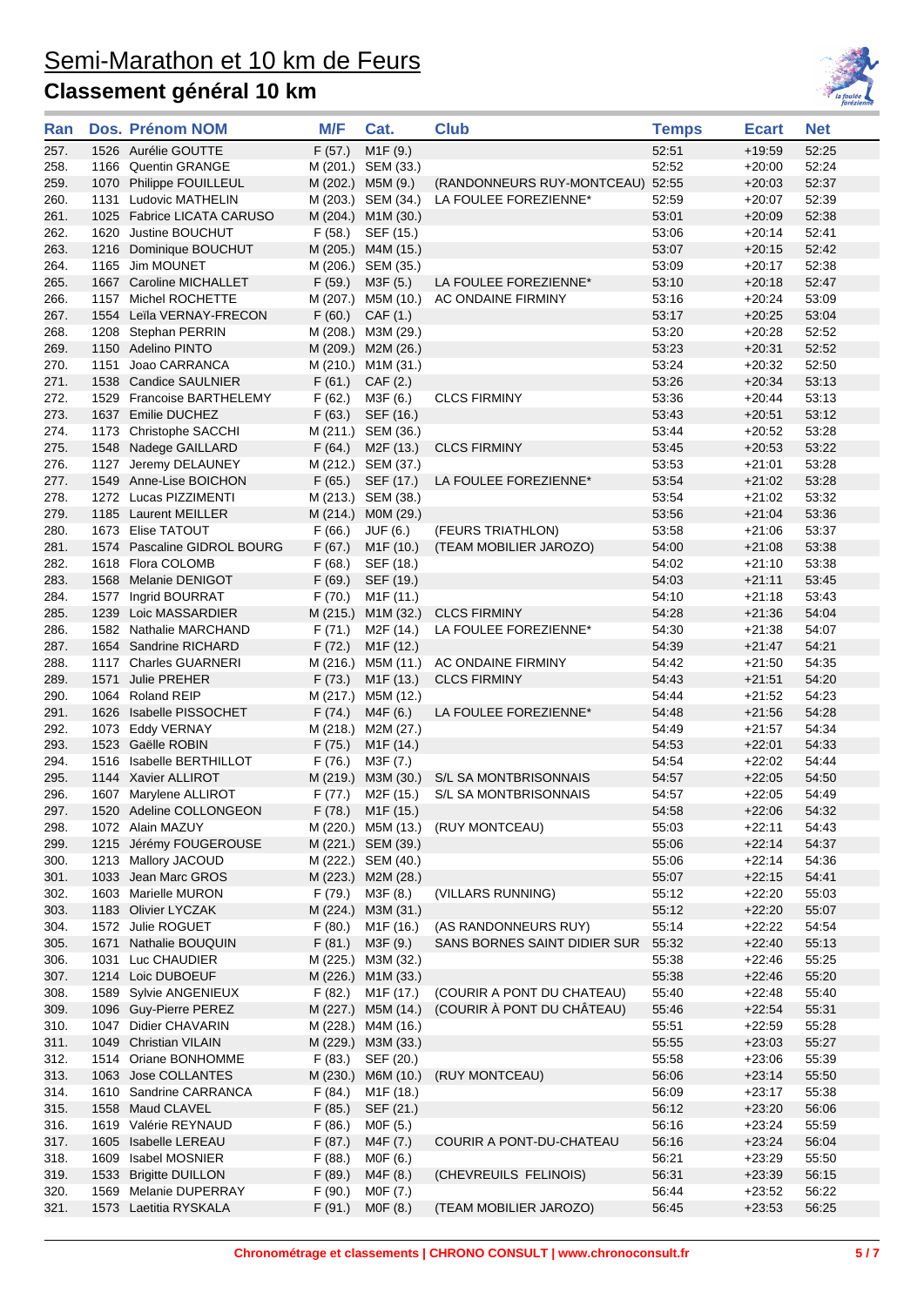

| Ran          |      | Dos. Prénom NOM                                  | M/F              | Cat.                                | <b>Club</b>                                              | <b>Temps</b>   | <b>Ecart</b>         | Net            |
|--------------|------|--------------------------------------------------|------------------|-------------------------------------|----------------------------------------------------------|----------------|----------------------|----------------|
| 257.         |      | 1526 Aurélie GOUTTE                              | F(57.)           | M <sub>1</sub> F (9.)               |                                                          | 52:51          | $+19:59$             | 52:25          |
| 258.         |      | 1166 Quentin GRANGE                              |                  | M (201.) SEM (33.)                  |                                                          | 52:52          | $+20:00$             | 52:24          |
| 259.         |      | 1070 Philippe FOUILLEUL                          |                  | M (202.) M5M (9.)                   | (RANDONNEURS RUY-MONTCEAU) 52:55                         |                | $+20:03$             | 52:37          |
| 260.         |      | 1131 Ludovic MATHELIN                            |                  | M (203.) SEM (34.)                  | LA FOULEE FOREZIENNE*                                    | 52:59          | $+20:07$             | 52:39          |
| 261.         |      | 1025 Fabrice LICATA CARUSO                       |                  | M (204.) M1M (30.)                  |                                                          | 53:01          | $+20:09$             | 52:38          |
| 262.         |      | 1620 Justine BOUCHUT                             | F (58.)          | SEF (15.)                           |                                                          | 53:06          | $+20:14$             | 52:41          |
| 263.         |      | 1216 Dominique BOUCHUT                           |                  | M (205.) M4M (15.)                  |                                                          | 53:07          | $+20:15$             | 52:42          |
| 264.         |      | 1165 Jim MOUNET                                  |                  | M (206.) SEM (35.)                  |                                                          | 53:09          | $+20:17$             | 52:38          |
| 265.         |      | 1667 Caroline MICHALLET                          | F(59.)           | M3F (5.)                            | LA FOULEE FOREZIENNE*                                    | 53:10          | $+20:18$             | 52:47          |
| 266.         |      | 1157 Michel ROCHETTE                             |                  |                                     | M (207.) M5M (10.) AC ONDAINE FIRMINY                    | 53:16          | $+20:24$             | 53:09          |
| 267.         |      | 1554 Leila VERNAY-FRECON                         | F(60.)           | CAF(1.)                             |                                                          | 53:17          | $+20:25$             | 53:04          |
| 268.         |      | 1208 Stephan PERRIN                              |                  | M (208.) M3M (29.)                  |                                                          | 53:20          | $+20:28$             | 52:52          |
| 269.         |      | 1150 Adelino PINTO                               |                  | M (209.) M2M (26.)                  |                                                          | 53:23          | $+20.31$             | 52:52          |
| 270.         |      | 1151 Joao CARRANCA                               |                  | M (210.) M1M (31.)                  |                                                          | 53:24          | $+20:32$             | 52:50          |
| 271.         |      | 1538 Candice SAULNIER                            | F(61.)           | CAF(2.)                             |                                                          | 53:26          | $+20.34$             | 53:13          |
| 272.         |      | 1529 Francoise BARTHELEMY                        | F(62.)           | M3F (6.)                            | <b>CLCS FIRMINY</b>                                      | 53:36          | $+20:44$             | 53:13          |
| 273.         |      | 1637 Emilie DUCHEZ                               | F(63.)           | SEF (16.)                           |                                                          | 53:43          | $+20.51$             | 53:12          |
| 274.         |      | 1173 Christophe SACCHI                           |                  | M (211.) SEM (36.)                  |                                                          | 53:44          | $+20:52$             | 53:28          |
| 275.         |      | 1548 Nadege GAILLARD                             | F(64.)           | M2F (13.)                           | <b>CLCS FIRMINY</b>                                      | 53:45          | $+20:53$             | 53:22          |
| 276.         |      | 1127 Jeremy DELAUNEY                             |                  | M (212.) SEM (37.)                  |                                                          | 53:53          | $+21:01$             | 53:28          |
| 277.         |      | 1549 Anne-Lise BOICHON                           | F(65.)           | SEF (17.)                           | LA FOULEE FOREZIENNE*                                    | 53:54          | $+21:02$             | 53:28          |
| 278.         |      | 1272 Lucas PIZZIMENTI<br>1185 Laurent MEILLER    |                  | M (213.) SEM (38.)                  |                                                          | 53:54          | $+21:02$<br>$+21:04$ | 53:32          |
| 279.         |      |                                                  |                  | M (214.) M0M (29.)                  |                                                          | 53:56          |                      | 53:36          |
| 280.<br>281. |      | 1673 Elise TATOUT<br>1574 Pascaline GIDROL BOURG | F(66.)<br>F(67.) | JUF (6.)                            | (FEURS TRIATHLON)                                        | 53:58<br>54:00 | $+21:06$<br>$+21:08$ | 53:37<br>53:38 |
| 282.         |      | 1618 Flora COLOMB                                | F(68.)           | M <sub>1</sub> F (10.)<br>SEF (18.) | (TEAM MOBILIER JAROZO)                                   | 54:02          | $+21:10$             | 53:38          |
| 283.         |      | 1568 Melanie DENIGOT                             | F(69.)           | SEF (19.)                           |                                                          | 54:03          | $+21:11$             | 53:45          |
| 284.         |      | 1577 Ingrid BOURRAT                              | F (70.)          | M1F (11.)                           |                                                          | 54:10          | $+21:18$             | 53:43          |
| 285.         |      | 1239 Loic MASSARDIER                             |                  | M (215.) M1M (32.)                  | <b>CLCS FIRMINY</b>                                      | 54:28          | $+21:36$             | 54:04          |
| 286.         |      | 1582 Nathalie MARCHAND                           | F (71.)          | M2F (14.)                           | LA FOULEE FOREZIENNE*                                    | 54:30          | $+21:38$             | 54:07          |
| 287.         |      | 1654 Sandrine RICHARD                            | F(72.)           | M <sub>1</sub> F (12.)              |                                                          | 54:39          | $+21:47$             | 54:21          |
| 288.         |      | 1117 Charles GUARNERI                            |                  | M (216.) M5M (11.)                  | AC ONDAINE FIRMINY                                       | 54:42          | $+21:50$             | 54:35          |
| 289.         | 1571 | <b>Julie PREHER</b>                              | F(73.)           | M <sub>1</sub> F (13.)              | <b>CLCS FIRMINY</b>                                      | 54:43          | $+21:51$             | 54:20          |
| 290.         |      | 1064 Roland REIP                                 |                  | M (217.) M5M (12.)                  |                                                          | 54:44          | $+21:52$             | 54:23          |
| 291.         |      | 1626 Isabelle PISSOCHET                          | F(74.)           | M4F (6.)                            | LA FOULEE FOREZIENNE*                                    | 54:48          | $+21:56$             | 54:28          |
| 292.         |      | 1073 Eddy VERNAY                                 |                  | M (218.) M2M (27.)                  |                                                          | 54:49          | $+21:57$             | 54:34          |
| 293.         |      | 1523 Gaëlle ROBIN                                | F(75.)           | M <sub>1</sub> F (14.)              |                                                          | 54:53          | $+22:01$             | 54:33          |
| 294.         |      | 1516 Isabelle BERTHILLOT                         | F(76.)           | M3F (7.)                            |                                                          | 54:54          | $+22:02$             | 54:44          |
| 295.         |      | 1144 Xavier ALLIROT                              |                  | M (219.) M3M (30.)                  | S/L SA MONTBRISONNAIS                                    | 54:57          | $+22:05$             | 54:50          |
| 296.         |      | 1607 Marylene ALLIROT                            |                  | F (77.) M2F (15.)                   | S/L SA MONTBRISONNAIS                                    | 54:57          | $+22:05$             | 54:49          |
| 297.         |      | 1520 Adeline COLLONGEON                          |                  | F (78.) M1F (15.)                   |                                                          | 54:58          | $+22:06$             | 54:32          |
| 298.         |      | 1072 Alain MAZUY                                 |                  | M (220.) M5M (13.)                  | (RUY MONTCEAU)                                           | 55:03          | $+22:11$             | 54:43          |
| 299.         |      | 1215 Jérémy FOUGEROUSE                           |                  | M (221.) SEM (39.)                  |                                                          | 55:06          | $+22:14$             | 54:37          |
| 300.         |      | 1213 Mallory JACOUD                              |                  | M (222.) SEM (40.)                  |                                                          | 55:06          | $+22:14$             | 54:36          |
| 301.         |      | 1033 Jean Marc GROS                              |                  | M (223.) M2M (28.)                  |                                                          | 55:07          | $+22:15$             | 54:41          |
| 302.         |      | 1603 Marielle MURON                              |                  | $F(79.)$ M3F $(8.)$                 | (VILLARS RUNNING)                                        | 55:12          | $+22:20$             | 55:03          |
| 303.         |      | 1183 Olivier LYCZAK                              |                  | M (224.) M3M (31.)                  |                                                          | 55:12          | $+22:20$             | 55:07          |
| 304.         |      | 1572 Julie ROGUET                                | F(80.)           | M1F (16.)                           | (AS RANDONNEURS RUY)                                     | 55:14          | $+22:22$             | 54:54          |
| 305.         |      | 1671 Nathalie BOUQUIN                            | F(81.)           | M3F (9.)                            | SANS BORNES SAINT DIDIER SUR                             | 55:32          | $+22:40$             | 55:13          |
| 306.         |      | 1031 Luc CHAUDIER                                |                  | M (225.) M3M (32.)                  |                                                          | 55:38          | $+22:46$             | 55:25          |
| 307.         |      | 1214 Loic DUBOEUF                                |                  | M (226.) M1M (33.)                  |                                                          | 55:38          | $+22:46$             | 55:20          |
| 308.         |      | 1589 Sylvie ANGENIEUX                            | F(82.)           | M1F (17.)                           | (COURIR A PONT DU CHATEAU)<br>(COURIR À PONT DU CHÂTEAU) | 55:40          | $+22:48$             | 55:40          |
| 309.         |      | 1096 Guy-Pierre PEREZ                            |                  | M (227.) M5M (14.)                  |                                                          | 55:46          | $+22:54$             | 55:31          |
| 310.         |      | 1047 Didier CHAVARIN                             |                  | M (228.) M4M (16.)                  |                                                          | 55:51          | $+22:59$             | 55:28          |
| 311.<br>312. |      | 1049 Christian VILAIN                            | F(83.)           | M (229.) M3M (33.)                  |                                                          | 55:55<br>55:58 | $+23:03$<br>$+23:06$ | 55:27          |
| 313.         |      | 1514 Oriane BONHOMME<br>1063 Jose COLLANTES      | M (230.)         | SEF (20.)<br>M6M (10.)              | (RUY MONTCEAU)                                           | 56:06          | $+23:14$             | 55:39<br>55:50 |
| 314.         |      | 1610 Sandrine CARRANCA                           | F(84.)           | M <sub>1</sub> F (18.)              |                                                          | 56:09          | $+23:17$             | 55:38          |
| 315.         | 1558 | Maud CLAVEL                                      | F(85.)           | SEF (21.)                           |                                                          | 56:12          | $+23:20$             | 56:06          |
| 316.         |      | 1619 Valérie REYNAUD                             | F(86.)           | M0F (5.)                            |                                                          | 56:16          | $+23:24$             | 55:59          |
| 317.         | 1605 | Isabelle LEREAU                                  | F(87.)           | M4F (7.)                            | COURIR A PONT-DU-CHATEAU                                 | 56:16          | $+23:24$             | 56:04          |
| 318.         | 1609 | Isabel MOSNIER                                   | F(88.)           | M0F (6.)                            |                                                          | 56:21          | $+23:29$             | 55:50          |
| 319.         | 1533 | <b>Brigitte DUILLON</b>                          | F(89.)           | M4F (8.)                            | (CHEVREUILS FELINOIS)                                    | 56:31          | $+23:39$             | 56:15          |
| 320.         | 1569 | Melanie DUPERRAY                                 | F(90.)           | M0F (7.)                            |                                                          | 56:44          | $+23:52$             | 56:22          |
| 321.         |      | 1573 Laetitia RYSKALA                            | F(91.)           | MOF(8.)                             | (TEAM MOBILIER JAROZO)                                   | 56:45          | $+23:53$             | 56:25          |
|              |      |                                                  |                  |                                     |                                                          |                |                      |                |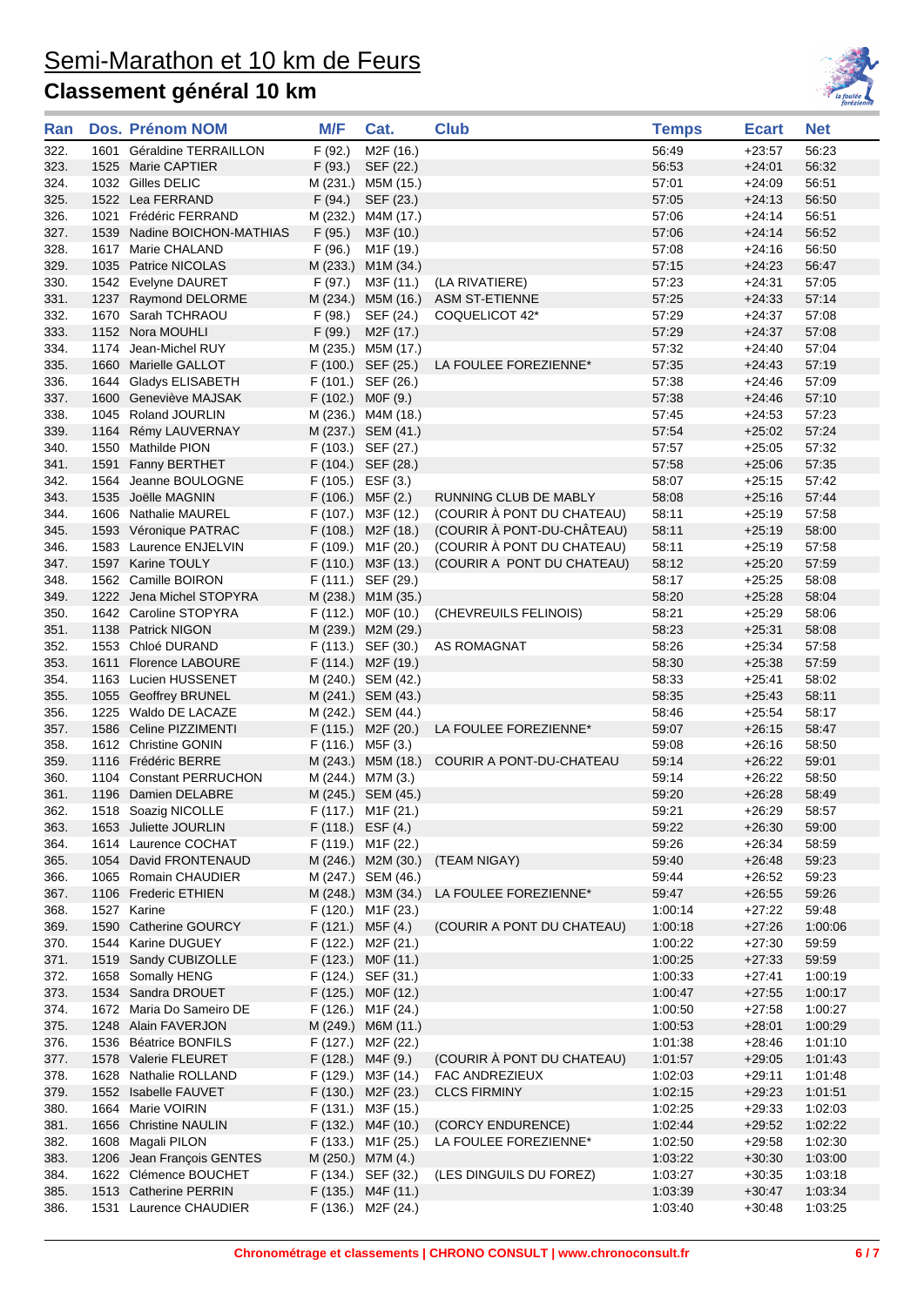

| F (92.)<br>M <sub>2</sub> F (16.)<br>56:49<br>322.<br>1601 Géraldine TERRAILLON<br>$+23:57$<br>56:53<br>323.<br>1525 Marie CAPTIER<br>F(93.)<br>SEF (22.)<br>$+24:01$<br>324.<br>1032 Gilles DELIC<br>57:01<br>$+24:09$<br>M (231.) M5M (15.)<br>325.<br>1522 Lea FERRAND<br>F(94.)<br>57:05<br>SEF (23.)<br>$+24:13$<br>326.<br>1021 Frédéric FERRAND<br>M (232.)<br>57:06<br>$+24:14$<br>M4M (17.)<br>F(95.)<br>57:06<br>327.<br>1539 Nadine BOICHON-MATHIAS<br>M3F (10.)<br>$+24:14$<br>57:08<br>328.<br>1617 Marie CHALAND<br>F(96.)<br>M <sub>1</sub> F (19.)<br>$+24:16$<br>329.<br>1035 Patrice NICOLAS<br>M (233.)<br>57:15<br>$+24:23$<br>M1M (34.)<br>330.<br>1542 Evelyne DAURET<br>F (97.)<br>M3F (11.)<br>(LA RIVATIERE)<br>57:23<br>$+24.31$<br>57:25<br>331.<br>1237 Raymond DELORME<br>M (234.) M5M (16.) ASM ST-ETIENNE<br>$+24:33$<br>57:29<br>332.<br>1670 Sarah TCHRAOU<br>F(98.)<br>SEF (24.)<br>COQUELICOT 42*<br>$+24:37$<br>333.<br>57:29<br>1152 Nora MOUHLI<br>F(99.)<br>M <sub>2</sub> F (17.)<br>$+24:37$<br>M (235.) M5M (17.)<br>57:32<br>334.<br>1174 Jean-Michel RUY<br>$+24:40$<br>57:35<br>335.<br>1660 Marielle GALLOT<br>F (100.) SEF (25.)<br>LA FOULEE FOREZIENNE*<br>$+24:43$<br>F (101.) SEF (26.)<br>57:38<br>336.<br>1644 Gladys ELISABETH<br>$+24.46$<br>57:38<br>337.<br>1600 Geneviève MAJSAK<br>$F(102.)$ MOF $(9.)$<br>$+24.46$<br>338.<br>1045 Roland JOURLIN<br>M (236.) M4M (18.)<br>57:45<br>$+24:53$<br>57:54<br>339.<br>1164 Rémy LAUVERNAY<br>M (237.) SEM (41.)<br>$+25:02$<br>340.<br>1550 Mathilde PION<br>F (103.) SEF (27.)<br>57:57<br>$+25:05$<br>57:58<br>341.<br>1591 Fanny BERTHET<br>F (104.) SEF (28.)<br>$+25:06$<br>342.<br>1564 Jeanne BOULOGNE<br>$F(105.)$ ESF $(3.)$<br>58:07<br>$+25:15$<br>RUNNING CLUB DE MABLY<br>343.<br>1535 Joëlle MAGNIN<br>F (106.) M5F (2.)<br>58:08<br>$+25:16$<br>(COURIR À PONT DU CHATEAU)<br>344.<br>1606 Nathalie MAUREL<br>F (107.) M3F (12.)<br>58:11<br>$+25:19$<br>57:58<br>(COURIR À PONT-DU-CHÂTEAU)<br>F (108.) M2F (18.)<br>58:11<br>345.<br>1593 Véronique PATRAC<br>$+25:19$<br>58:00<br>(COURIR À PONT DU CHATEAU)<br>346.<br>1583 Laurence ENJELVIN<br>F (109.) M1F (20.)<br>58:11<br>$+25:19$<br>1597 Karine TOULY<br>347.<br>F (110.) M3F (13.)<br>(COURIR A PONT DU CHATEAU)<br>58:12<br>$+25:20$<br>348.<br>1562 Camille BOIRON<br>F (111.) SEF (29.)<br>58:17<br>$+25:25$<br>349.<br>1222 Jena Michel STOPYRA<br>M (238.) M1M (35.)<br>58:20<br>$+25:28$<br>350.<br>1642 Caroline STOPYRA<br>F (112.) MOF (10.)<br>(CHEVREUILS FELINOIS)<br>58:21<br>$+25.29$<br>351.<br>1138 Patrick NIGON<br>M (239.) M2M (29.)<br>58:23<br>$+25.31$<br>1553 Chloé DURAND<br>F (113.) SEF (30.)<br>AS ROMAGNAT<br>58:26<br>352.<br>$+25:34$<br>58:30<br>353.<br>1611 Florence LABOURE<br>F (114.) M2F (19.)<br>$+25:38$<br>354.<br>1163 Lucien HUSSENET<br>M (240.) SEM (42.)<br>58:33<br>$+25.41$<br>355.<br>1055 Geoffrey BRUNEL<br>M (241.) SEM (43.)<br>58:35<br>$+25:43$<br>1225 Waldo DE LACAZE<br>58:46<br>356.<br>M (242.) SEM (44.)<br>$+25.54$<br>357.<br>1586 Celine PIZZIMENTI<br>F (115.) M2F (20.)<br>LA FOULEE FOREZIENNE*<br>59:07<br>$+26:15$<br>358.<br>1612 Christine GONIN<br>F (116.) M5F (3.)<br>59:08<br>$+26:16$<br>359.<br>1116 Frédéric BERRE<br>M (243.) M5M (18.)<br>COURIR A PONT-DU-CHATEAU<br>59:14<br>$+26.22$<br>360.<br>1104 Constant PERRUCHON<br>M (244.) M7M (3.)<br>59:14<br>$+26:22$<br>M (245.) SEM (45.)<br>59:20<br>$+26:28$<br>361.<br>1196 Damien DELABRE | 56:23<br>56:32<br>56:51<br>56:50<br>56:51<br>56:52<br>56:50<br>56:47<br>57:05<br>57:14<br>57:08<br>57:08<br>57:04<br>57:19<br>57:09<br>57:10 |
|------------------------------------------------------------------------------------------------------------------------------------------------------------------------------------------------------------------------------------------------------------------------------------------------------------------------------------------------------------------------------------------------------------------------------------------------------------------------------------------------------------------------------------------------------------------------------------------------------------------------------------------------------------------------------------------------------------------------------------------------------------------------------------------------------------------------------------------------------------------------------------------------------------------------------------------------------------------------------------------------------------------------------------------------------------------------------------------------------------------------------------------------------------------------------------------------------------------------------------------------------------------------------------------------------------------------------------------------------------------------------------------------------------------------------------------------------------------------------------------------------------------------------------------------------------------------------------------------------------------------------------------------------------------------------------------------------------------------------------------------------------------------------------------------------------------------------------------------------------------------------------------------------------------------------------------------------------------------------------------------------------------------------------------------------------------------------------------------------------------------------------------------------------------------------------------------------------------------------------------------------------------------------------------------------------------------------------------------------------------------------------------------------------------------------------------------------------------------------------------------------------------------------------------------------------------------------------------------------------------------------------------------------------------------------------------------------------------------------------------------------------------------------------------------------------------------------------------------------------------------------------------------------------------------------------------------------------------------------------------------------------------------------------------------------------------------------------------------------------------------------------------------------------------------------------------------------------------------------------------------------------------------------------------------------------------------------------------------------------------------------------------------------------------------------------------------------------------------------------------------------------------|----------------------------------------------------------------------------------------------------------------------------------------------|
|                                                                                                                                                                                                                                                                                                                                                                                                                                                                                                                                                                                                                                                                                                                                                                                                                                                                                                                                                                                                                                                                                                                                                                                                                                                                                                                                                                                                                                                                                                                                                                                                                                                                                                                                                                                                                                                                                                                                                                                                                                                                                                                                                                                                                                                                                                                                                                                                                                                                                                                                                                                                                                                                                                                                                                                                                                                                                                                                                                                                                                                                                                                                                                                                                                                                                                                                                                                                                                                                                                                  |                                                                                                                                              |
|                                                                                                                                                                                                                                                                                                                                                                                                                                                                                                                                                                                                                                                                                                                                                                                                                                                                                                                                                                                                                                                                                                                                                                                                                                                                                                                                                                                                                                                                                                                                                                                                                                                                                                                                                                                                                                                                                                                                                                                                                                                                                                                                                                                                                                                                                                                                                                                                                                                                                                                                                                                                                                                                                                                                                                                                                                                                                                                                                                                                                                                                                                                                                                                                                                                                                                                                                                                                                                                                                                                  |                                                                                                                                              |
|                                                                                                                                                                                                                                                                                                                                                                                                                                                                                                                                                                                                                                                                                                                                                                                                                                                                                                                                                                                                                                                                                                                                                                                                                                                                                                                                                                                                                                                                                                                                                                                                                                                                                                                                                                                                                                                                                                                                                                                                                                                                                                                                                                                                                                                                                                                                                                                                                                                                                                                                                                                                                                                                                                                                                                                                                                                                                                                                                                                                                                                                                                                                                                                                                                                                                                                                                                                                                                                                                                                  |                                                                                                                                              |
|                                                                                                                                                                                                                                                                                                                                                                                                                                                                                                                                                                                                                                                                                                                                                                                                                                                                                                                                                                                                                                                                                                                                                                                                                                                                                                                                                                                                                                                                                                                                                                                                                                                                                                                                                                                                                                                                                                                                                                                                                                                                                                                                                                                                                                                                                                                                                                                                                                                                                                                                                                                                                                                                                                                                                                                                                                                                                                                                                                                                                                                                                                                                                                                                                                                                                                                                                                                                                                                                                                                  |                                                                                                                                              |
|                                                                                                                                                                                                                                                                                                                                                                                                                                                                                                                                                                                                                                                                                                                                                                                                                                                                                                                                                                                                                                                                                                                                                                                                                                                                                                                                                                                                                                                                                                                                                                                                                                                                                                                                                                                                                                                                                                                                                                                                                                                                                                                                                                                                                                                                                                                                                                                                                                                                                                                                                                                                                                                                                                                                                                                                                                                                                                                                                                                                                                                                                                                                                                                                                                                                                                                                                                                                                                                                                                                  |                                                                                                                                              |
|                                                                                                                                                                                                                                                                                                                                                                                                                                                                                                                                                                                                                                                                                                                                                                                                                                                                                                                                                                                                                                                                                                                                                                                                                                                                                                                                                                                                                                                                                                                                                                                                                                                                                                                                                                                                                                                                                                                                                                                                                                                                                                                                                                                                                                                                                                                                                                                                                                                                                                                                                                                                                                                                                                                                                                                                                                                                                                                                                                                                                                                                                                                                                                                                                                                                                                                                                                                                                                                                                                                  |                                                                                                                                              |
|                                                                                                                                                                                                                                                                                                                                                                                                                                                                                                                                                                                                                                                                                                                                                                                                                                                                                                                                                                                                                                                                                                                                                                                                                                                                                                                                                                                                                                                                                                                                                                                                                                                                                                                                                                                                                                                                                                                                                                                                                                                                                                                                                                                                                                                                                                                                                                                                                                                                                                                                                                                                                                                                                                                                                                                                                                                                                                                                                                                                                                                                                                                                                                                                                                                                                                                                                                                                                                                                                                                  |                                                                                                                                              |
|                                                                                                                                                                                                                                                                                                                                                                                                                                                                                                                                                                                                                                                                                                                                                                                                                                                                                                                                                                                                                                                                                                                                                                                                                                                                                                                                                                                                                                                                                                                                                                                                                                                                                                                                                                                                                                                                                                                                                                                                                                                                                                                                                                                                                                                                                                                                                                                                                                                                                                                                                                                                                                                                                                                                                                                                                                                                                                                                                                                                                                                                                                                                                                                                                                                                                                                                                                                                                                                                                                                  |                                                                                                                                              |
|                                                                                                                                                                                                                                                                                                                                                                                                                                                                                                                                                                                                                                                                                                                                                                                                                                                                                                                                                                                                                                                                                                                                                                                                                                                                                                                                                                                                                                                                                                                                                                                                                                                                                                                                                                                                                                                                                                                                                                                                                                                                                                                                                                                                                                                                                                                                                                                                                                                                                                                                                                                                                                                                                                                                                                                                                                                                                                                                                                                                                                                                                                                                                                                                                                                                                                                                                                                                                                                                                                                  |                                                                                                                                              |
|                                                                                                                                                                                                                                                                                                                                                                                                                                                                                                                                                                                                                                                                                                                                                                                                                                                                                                                                                                                                                                                                                                                                                                                                                                                                                                                                                                                                                                                                                                                                                                                                                                                                                                                                                                                                                                                                                                                                                                                                                                                                                                                                                                                                                                                                                                                                                                                                                                                                                                                                                                                                                                                                                                                                                                                                                                                                                                                                                                                                                                                                                                                                                                                                                                                                                                                                                                                                                                                                                                                  |                                                                                                                                              |
|                                                                                                                                                                                                                                                                                                                                                                                                                                                                                                                                                                                                                                                                                                                                                                                                                                                                                                                                                                                                                                                                                                                                                                                                                                                                                                                                                                                                                                                                                                                                                                                                                                                                                                                                                                                                                                                                                                                                                                                                                                                                                                                                                                                                                                                                                                                                                                                                                                                                                                                                                                                                                                                                                                                                                                                                                                                                                                                                                                                                                                                                                                                                                                                                                                                                                                                                                                                                                                                                                                                  |                                                                                                                                              |
|                                                                                                                                                                                                                                                                                                                                                                                                                                                                                                                                                                                                                                                                                                                                                                                                                                                                                                                                                                                                                                                                                                                                                                                                                                                                                                                                                                                                                                                                                                                                                                                                                                                                                                                                                                                                                                                                                                                                                                                                                                                                                                                                                                                                                                                                                                                                                                                                                                                                                                                                                                                                                                                                                                                                                                                                                                                                                                                                                                                                                                                                                                                                                                                                                                                                                                                                                                                                                                                                                                                  |                                                                                                                                              |
|                                                                                                                                                                                                                                                                                                                                                                                                                                                                                                                                                                                                                                                                                                                                                                                                                                                                                                                                                                                                                                                                                                                                                                                                                                                                                                                                                                                                                                                                                                                                                                                                                                                                                                                                                                                                                                                                                                                                                                                                                                                                                                                                                                                                                                                                                                                                                                                                                                                                                                                                                                                                                                                                                                                                                                                                                                                                                                                                                                                                                                                                                                                                                                                                                                                                                                                                                                                                                                                                                                                  |                                                                                                                                              |
|                                                                                                                                                                                                                                                                                                                                                                                                                                                                                                                                                                                                                                                                                                                                                                                                                                                                                                                                                                                                                                                                                                                                                                                                                                                                                                                                                                                                                                                                                                                                                                                                                                                                                                                                                                                                                                                                                                                                                                                                                                                                                                                                                                                                                                                                                                                                                                                                                                                                                                                                                                                                                                                                                                                                                                                                                                                                                                                                                                                                                                                                                                                                                                                                                                                                                                                                                                                                                                                                                                                  |                                                                                                                                              |
|                                                                                                                                                                                                                                                                                                                                                                                                                                                                                                                                                                                                                                                                                                                                                                                                                                                                                                                                                                                                                                                                                                                                                                                                                                                                                                                                                                                                                                                                                                                                                                                                                                                                                                                                                                                                                                                                                                                                                                                                                                                                                                                                                                                                                                                                                                                                                                                                                                                                                                                                                                                                                                                                                                                                                                                                                                                                                                                                                                                                                                                                                                                                                                                                                                                                                                                                                                                                                                                                                                                  |                                                                                                                                              |
|                                                                                                                                                                                                                                                                                                                                                                                                                                                                                                                                                                                                                                                                                                                                                                                                                                                                                                                                                                                                                                                                                                                                                                                                                                                                                                                                                                                                                                                                                                                                                                                                                                                                                                                                                                                                                                                                                                                                                                                                                                                                                                                                                                                                                                                                                                                                                                                                                                                                                                                                                                                                                                                                                                                                                                                                                                                                                                                                                                                                                                                                                                                                                                                                                                                                                                                                                                                                                                                                                                                  | 57:23                                                                                                                                        |
|                                                                                                                                                                                                                                                                                                                                                                                                                                                                                                                                                                                                                                                                                                                                                                                                                                                                                                                                                                                                                                                                                                                                                                                                                                                                                                                                                                                                                                                                                                                                                                                                                                                                                                                                                                                                                                                                                                                                                                                                                                                                                                                                                                                                                                                                                                                                                                                                                                                                                                                                                                                                                                                                                                                                                                                                                                                                                                                                                                                                                                                                                                                                                                                                                                                                                                                                                                                                                                                                                                                  | 57:24                                                                                                                                        |
|                                                                                                                                                                                                                                                                                                                                                                                                                                                                                                                                                                                                                                                                                                                                                                                                                                                                                                                                                                                                                                                                                                                                                                                                                                                                                                                                                                                                                                                                                                                                                                                                                                                                                                                                                                                                                                                                                                                                                                                                                                                                                                                                                                                                                                                                                                                                                                                                                                                                                                                                                                                                                                                                                                                                                                                                                                                                                                                                                                                                                                                                                                                                                                                                                                                                                                                                                                                                                                                                                                                  | 57:32                                                                                                                                        |
|                                                                                                                                                                                                                                                                                                                                                                                                                                                                                                                                                                                                                                                                                                                                                                                                                                                                                                                                                                                                                                                                                                                                                                                                                                                                                                                                                                                                                                                                                                                                                                                                                                                                                                                                                                                                                                                                                                                                                                                                                                                                                                                                                                                                                                                                                                                                                                                                                                                                                                                                                                                                                                                                                                                                                                                                                                                                                                                                                                                                                                                                                                                                                                                                                                                                                                                                                                                                                                                                                                                  | 57:35                                                                                                                                        |
|                                                                                                                                                                                                                                                                                                                                                                                                                                                                                                                                                                                                                                                                                                                                                                                                                                                                                                                                                                                                                                                                                                                                                                                                                                                                                                                                                                                                                                                                                                                                                                                                                                                                                                                                                                                                                                                                                                                                                                                                                                                                                                                                                                                                                                                                                                                                                                                                                                                                                                                                                                                                                                                                                                                                                                                                                                                                                                                                                                                                                                                                                                                                                                                                                                                                                                                                                                                                                                                                                                                  | 57:42                                                                                                                                        |
|                                                                                                                                                                                                                                                                                                                                                                                                                                                                                                                                                                                                                                                                                                                                                                                                                                                                                                                                                                                                                                                                                                                                                                                                                                                                                                                                                                                                                                                                                                                                                                                                                                                                                                                                                                                                                                                                                                                                                                                                                                                                                                                                                                                                                                                                                                                                                                                                                                                                                                                                                                                                                                                                                                                                                                                                                                                                                                                                                                                                                                                                                                                                                                                                                                                                                                                                                                                                                                                                                                                  | 57:44                                                                                                                                        |
|                                                                                                                                                                                                                                                                                                                                                                                                                                                                                                                                                                                                                                                                                                                                                                                                                                                                                                                                                                                                                                                                                                                                                                                                                                                                                                                                                                                                                                                                                                                                                                                                                                                                                                                                                                                                                                                                                                                                                                                                                                                                                                                                                                                                                                                                                                                                                                                                                                                                                                                                                                                                                                                                                                                                                                                                                                                                                                                                                                                                                                                                                                                                                                                                                                                                                                                                                                                                                                                                                                                  |                                                                                                                                              |
|                                                                                                                                                                                                                                                                                                                                                                                                                                                                                                                                                                                                                                                                                                                                                                                                                                                                                                                                                                                                                                                                                                                                                                                                                                                                                                                                                                                                                                                                                                                                                                                                                                                                                                                                                                                                                                                                                                                                                                                                                                                                                                                                                                                                                                                                                                                                                                                                                                                                                                                                                                                                                                                                                                                                                                                                                                                                                                                                                                                                                                                                                                                                                                                                                                                                                                                                                                                                                                                                                                                  | 57:58                                                                                                                                        |
|                                                                                                                                                                                                                                                                                                                                                                                                                                                                                                                                                                                                                                                                                                                                                                                                                                                                                                                                                                                                                                                                                                                                                                                                                                                                                                                                                                                                                                                                                                                                                                                                                                                                                                                                                                                                                                                                                                                                                                                                                                                                                                                                                                                                                                                                                                                                                                                                                                                                                                                                                                                                                                                                                                                                                                                                                                                                                                                                                                                                                                                                                                                                                                                                                                                                                                                                                                                                                                                                                                                  | 57:59                                                                                                                                        |
|                                                                                                                                                                                                                                                                                                                                                                                                                                                                                                                                                                                                                                                                                                                                                                                                                                                                                                                                                                                                                                                                                                                                                                                                                                                                                                                                                                                                                                                                                                                                                                                                                                                                                                                                                                                                                                                                                                                                                                                                                                                                                                                                                                                                                                                                                                                                                                                                                                                                                                                                                                                                                                                                                                                                                                                                                                                                                                                                                                                                                                                                                                                                                                                                                                                                                                                                                                                                                                                                                                                  | 58:08                                                                                                                                        |
|                                                                                                                                                                                                                                                                                                                                                                                                                                                                                                                                                                                                                                                                                                                                                                                                                                                                                                                                                                                                                                                                                                                                                                                                                                                                                                                                                                                                                                                                                                                                                                                                                                                                                                                                                                                                                                                                                                                                                                                                                                                                                                                                                                                                                                                                                                                                                                                                                                                                                                                                                                                                                                                                                                                                                                                                                                                                                                                                                                                                                                                                                                                                                                                                                                                                                                                                                                                                                                                                                                                  | 58:04                                                                                                                                        |
|                                                                                                                                                                                                                                                                                                                                                                                                                                                                                                                                                                                                                                                                                                                                                                                                                                                                                                                                                                                                                                                                                                                                                                                                                                                                                                                                                                                                                                                                                                                                                                                                                                                                                                                                                                                                                                                                                                                                                                                                                                                                                                                                                                                                                                                                                                                                                                                                                                                                                                                                                                                                                                                                                                                                                                                                                                                                                                                                                                                                                                                                                                                                                                                                                                                                                                                                                                                                                                                                                                                  | 58:06                                                                                                                                        |
|                                                                                                                                                                                                                                                                                                                                                                                                                                                                                                                                                                                                                                                                                                                                                                                                                                                                                                                                                                                                                                                                                                                                                                                                                                                                                                                                                                                                                                                                                                                                                                                                                                                                                                                                                                                                                                                                                                                                                                                                                                                                                                                                                                                                                                                                                                                                                                                                                                                                                                                                                                                                                                                                                                                                                                                                                                                                                                                                                                                                                                                                                                                                                                                                                                                                                                                                                                                                                                                                                                                  | 58:08                                                                                                                                        |
|                                                                                                                                                                                                                                                                                                                                                                                                                                                                                                                                                                                                                                                                                                                                                                                                                                                                                                                                                                                                                                                                                                                                                                                                                                                                                                                                                                                                                                                                                                                                                                                                                                                                                                                                                                                                                                                                                                                                                                                                                                                                                                                                                                                                                                                                                                                                                                                                                                                                                                                                                                                                                                                                                                                                                                                                                                                                                                                                                                                                                                                                                                                                                                                                                                                                                                                                                                                                                                                                                                                  | 57:58                                                                                                                                        |
|                                                                                                                                                                                                                                                                                                                                                                                                                                                                                                                                                                                                                                                                                                                                                                                                                                                                                                                                                                                                                                                                                                                                                                                                                                                                                                                                                                                                                                                                                                                                                                                                                                                                                                                                                                                                                                                                                                                                                                                                                                                                                                                                                                                                                                                                                                                                                                                                                                                                                                                                                                                                                                                                                                                                                                                                                                                                                                                                                                                                                                                                                                                                                                                                                                                                                                                                                                                                                                                                                                                  | 57:59                                                                                                                                        |
|                                                                                                                                                                                                                                                                                                                                                                                                                                                                                                                                                                                                                                                                                                                                                                                                                                                                                                                                                                                                                                                                                                                                                                                                                                                                                                                                                                                                                                                                                                                                                                                                                                                                                                                                                                                                                                                                                                                                                                                                                                                                                                                                                                                                                                                                                                                                                                                                                                                                                                                                                                                                                                                                                                                                                                                                                                                                                                                                                                                                                                                                                                                                                                                                                                                                                                                                                                                                                                                                                                                  | 58:02                                                                                                                                        |
|                                                                                                                                                                                                                                                                                                                                                                                                                                                                                                                                                                                                                                                                                                                                                                                                                                                                                                                                                                                                                                                                                                                                                                                                                                                                                                                                                                                                                                                                                                                                                                                                                                                                                                                                                                                                                                                                                                                                                                                                                                                                                                                                                                                                                                                                                                                                                                                                                                                                                                                                                                                                                                                                                                                                                                                                                                                                                                                                                                                                                                                                                                                                                                                                                                                                                                                                                                                                                                                                                                                  | 58:11                                                                                                                                        |
|                                                                                                                                                                                                                                                                                                                                                                                                                                                                                                                                                                                                                                                                                                                                                                                                                                                                                                                                                                                                                                                                                                                                                                                                                                                                                                                                                                                                                                                                                                                                                                                                                                                                                                                                                                                                                                                                                                                                                                                                                                                                                                                                                                                                                                                                                                                                                                                                                                                                                                                                                                                                                                                                                                                                                                                                                                                                                                                                                                                                                                                                                                                                                                                                                                                                                                                                                                                                                                                                                                                  | 58:17                                                                                                                                        |
|                                                                                                                                                                                                                                                                                                                                                                                                                                                                                                                                                                                                                                                                                                                                                                                                                                                                                                                                                                                                                                                                                                                                                                                                                                                                                                                                                                                                                                                                                                                                                                                                                                                                                                                                                                                                                                                                                                                                                                                                                                                                                                                                                                                                                                                                                                                                                                                                                                                                                                                                                                                                                                                                                                                                                                                                                                                                                                                                                                                                                                                                                                                                                                                                                                                                                                                                                                                                                                                                                                                  | 58:47                                                                                                                                        |
|                                                                                                                                                                                                                                                                                                                                                                                                                                                                                                                                                                                                                                                                                                                                                                                                                                                                                                                                                                                                                                                                                                                                                                                                                                                                                                                                                                                                                                                                                                                                                                                                                                                                                                                                                                                                                                                                                                                                                                                                                                                                                                                                                                                                                                                                                                                                                                                                                                                                                                                                                                                                                                                                                                                                                                                                                                                                                                                                                                                                                                                                                                                                                                                                                                                                                                                                                                                                                                                                                                                  | 58:50                                                                                                                                        |
|                                                                                                                                                                                                                                                                                                                                                                                                                                                                                                                                                                                                                                                                                                                                                                                                                                                                                                                                                                                                                                                                                                                                                                                                                                                                                                                                                                                                                                                                                                                                                                                                                                                                                                                                                                                                                                                                                                                                                                                                                                                                                                                                                                                                                                                                                                                                                                                                                                                                                                                                                                                                                                                                                                                                                                                                                                                                                                                                                                                                                                                                                                                                                                                                                                                                                                                                                                                                                                                                                                                  | 59:01                                                                                                                                        |
|                                                                                                                                                                                                                                                                                                                                                                                                                                                                                                                                                                                                                                                                                                                                                                                                                                                                                                                                                                                                                                                                                                                                                                                                                                                                                                                                                                                                                                                                                                                                                                                                                                                                                                                                                                                                                                                                                                                                                                                                                                                                                                                                                                                                                                                                                                                                                                                                                                                                                                                                                                                                                                                                                                                                                                                                                                                                                                                                                                                                                                                                                                                                                                                                                                                                                                                                                                                                                                                                                                                  | 58:50                                                                                                                                        |
| F (117.) M1F (21.)<br>59:21<br>362.<br>1518 Soazig NICOLLE<br>$+26:29$                                                                                                                                                                                                                                                                                                                                                                                                                                                                                                                                                                                                                                                                                                                                                                                                                                                                                                                                                                                                                                                                                                                                                                                                                                                                                                                                                                                                                                                                                                                                                                                                                                                                                                                                                                                                                                                                                                                                                                                                                                                                                                                                                                                                                                                                                                                                                                                                                                                                                                                                                                                                                                                                                                                                                                                                                                                                                                                                                                                                                                                                                                                                                                                                                                                                                                                                                                                                                                           | 58:49<br>58:57                                                                                                                               |
| 1653 Juliette JOURLIN<br>F (118.) ESF (4.)<br>59:22<br>363.<br>$+26:30$                                                                                                                                                                                                                                                                                                                                                                                                                                                                                                                                                                                                                                                                                                                                                                                                                                                                                                                                                                                                                                                                                                                                                                                                                                                                                                                                                                                                                                                                                                                                                                                                                                                                                                                                                                                                                                                                                                                                                                                                                                                                                                                                                                                                                                                                                                                                                                                                                                                                                                                                                                                                                                                                                                                                                                                                                                                                                                                                                                                                                                                                                                                                                                                                                                                                                                                                                                                                                                          | 59:00                                                                                                                                        |
| 1614 Laurence COCHAT<br>F (119.) M1F (22.)<br>59:26<br>$+26:34$<br>364.                                                                                                                                                                                                                                                                                                                                                                                                                                                                                                                                                                                                                                                                                                                                                                                                                                                                                                                                                                                                                                                                                                                                                                                                                                                                                                                                                                                                                                                                                                                                                                                                                                                                                                                                                                                                                                                                                                                                                                                                                                                                                                                                                                                                                                                                                                                                                                                                                                                                                                                                                                                                                                                                                                                                                                                                                                                                                                                                                                                                                                                                                                                                                                                                                                                                                                                                                                                                                                          | 58:59                                                                                                                                        |
| (TEAM NIGAY)<br>59:40<br>365.<br>1054 David FRONTENAUD<br>M (246.) M2M (30.)<br>$+26.48$                                                                                                                                                                                                                                                                                                                                                                                                                                                                                                                                                                                                                                                                                                                                                                                                                                                                                                                                                                                                                                                                                                                                                                                                                                                                                                                                                                                                                                                                                                                                                                                                                                                                                                                                                                                                                                                                                                                                                                                                                                                                                                                                                                                                                                                                                                                                                                                                                                                                                                                                                                                                                                                                                                                                                                                                                                                                                                                                                                                                                                                                                                                                                                                                                                                                                                                                                                                                                         | 59:23                                                                                                                                        |
| M (247.) SEM (46.)<br>59:44<br>366.<br>1065 Romain CHAUDIER<br>$+26:52$                                                                                                                                                                                                                                                                                                                                                                                                                                                                                                                                                                                                                                                                                                                                                                                                                                                                                                                                                                                                                                                                                                                                                                                                                                                                                                                                                                                                                                                                                                                                                                                                                                                                                                                                                                                                                                                                                                                                                                                                                                                                                                                                                                                                                                                                                                                                                                                                                                                                                                                                                                                                                                                                                                                                                                                                                                                                                                                                                                                                                                                                                                                                                                                                                                                                                                                                                                                                                                          | 59:23                                                                                                                                        |
| 59:47<br>367.<br>1106 Frederic ETHIEN<br>M (248.) M3M (34.)<br>LA FOULEE FOREZIENNE*<br>$+26.55$                                                                                                                                                                                                                                                                                                                                                                                                                                                                                                                                                                                                                                                                                                                                                                                                                                                                                                                                                                                                                                                                                                                                                                                                                                                                                                                                                                                                                                                                                                                                                                                                                                                                                                                                                                                                                                                                                                                                                                                                                                                                                                                                                                                                                                                                                                                                                                                                                                                                                                                                                                                                                                                                                                                                                                                                                                                                                                                                                                                                                                                                                                                                                                                                                                                                                                                                                                                                                 | 59:26                                                                                                                                        |
| 368.<br>1527 Karine<br>F (120.) M1F (23.)<br>1:00:14<br>$+27:22$                                                                                                                                                                                                                                                                                                                                                                                                                                                                                                                                                                                                                                                                                                                                                                                                                                                                                                                                                                                                                                                                                                                                                                                                                                                                                                                                                                                                                                                                                                                                                                                                                                                                                                                                                                                                                                                                                                                                                                                                                                                                                                                                                                                                                                                                                                                                                                                                                                                                                                                                                                                                                                                                                                                                                                                                                                                                                                                                                                                                                                                                                                                                                                                                                                                                                                                                                                                                                                                 | 59:48                                                                                                                                        |
| 1590 Catherine GOURCY<br>$F(121.)$ M5F $(4.)$<br>(COURIR A PONT DU CHATEAU)<br>1:00:18<br>$+27.26$<br>369.                                                                                                                                                                                                                                                                                                                                                                                                                                                                                                                                                                                                                                                                                                                                                                                                                                                                                                                                                                                                                                                                                                                                                                                                                                                                                                                                                                                                                                                                                                                                                                                                                                                                                                                                                                                                                                                                                                                                                                                                                                                                                                                                                                                                                                                                                                                                                                                                                                                                                                                                                                                                                                                                                                                                                                                                                                                                                                                                                                                                                                                                                                                                                                                                                                                                                                                                                                                                       | 1:00:06                                                                                                                                      |
| 1544 Karine DUGUEY<br>F (122.) M2F (21.)<br>1:00:22<br>$+27:30$<br>370.                                                                                                                                                                                                                                                                                                                                                                                                                                                                                                                                                                                                                                                                                                                                                                                                                                                                                                                                                                                                                                                                                                                                                                                                                                                                                                                                                                                                                                                                                                                                                                                                                                                                                                                                                                                                                                                                                                                                                                                                                                                                                                                                                                                                                                                                                                                                                                                                                                                                                                                                                                                                                                                                                                                                                                                                                                                                                                                                                                                                                                                                                                                                                                                                                                                                                                                                                                                                                                          | 59:59                                                                                                                                        |
| 1519 Sandy CUBIZOLLE<br>F (123.) MOF (11.)<br>1:00:25<br>$+27:33$<br>371.                                                                                                                                                                                                                                                                                                                                                                                                                                                                                                                                                                                                                                                                                                                                                                                                                                                                                                                                                                                                                                                                                                                                                                                                                                                                                                                                                                                                                                                                                                                                                                                                                                                                                                                                                                                                                                                                                                                                                                                                                                                                                                                                                                                                                                                                                                                                                                                                                                                                                                                                                                                                                                                                                                                                                                                                                                                                                                                                                                                                                                                                                                                                                                                                                                                                                                                                                                                                                                        | 59:59                                                                                                                                        |
| 1658 Somally HENG<br>1:00:33<br>372.<br>F (124.) SEF (31.)<br>$+27:41$                                                                                                                                                                                                                                                                                                                                                                                                                                                                                                                                                                                                                                                                                                                                                                                                                                                                                                                                                                                                                                                                                                                                                                                                                                                                                                                                                                                                                                                                                                                                                                                                                                                                                                                                                                                                                                                                                                                                                                                                                                                                                                                                                                                                                                                                                                                                                                                                                                                                                                                                                                                                                                                                                                                                                                                                                                                                                                                                                                                                                                                                                                                                                                                                                                                                                                                                                                                                                                           | 1:00:19                                                                                                                                      |
| 373.<br>1534 Sandra DROUET<br>F (125.) MOF (12.)<br>1:00:47<br>$+27:55$                                                                                                                                                                                                                                                                                                                                                                                                                                                                                                                                                                                                                                                                                                                                                                                                                                                                                                                                                                                                                                                                                                                                                                                                                                                                                                                                                                                                                                                                                                                                                                                                                                                                                                                                                                                                                                                                                                                                                                                                                                                                                                                                                                                                                                                                                                                                                                                                                                                                                                                                                                                                                                                                                                                                                                                                                                                                                                                                                                                                                                                                                                                                                                                                                                                                                                                                                                                                                                          | 1:00:17                                                                                                                                      |
| 1672 Maria Do Sameiro DE<br>F (126.) M1F (24.)<br>1:00:50<br>374.<br>$+27:58$                                                                                                                                                                                                                                                                                                                                                                                                                                                                                                                                                                                                                                                                                                                                                                                                                                                                                                                                                                                                                                                                                                                                                                                                                                                                                                                                                                                                                                                                                                                                                                                                                                                                                                                                                                                                                                                                                                                                                                                                                                                                                                                                                                                                                                                                                                                                                                                                                                                                                                                                                                                                                                                                                                                                                                                                                                                                                                                                                                                                                                                                                                                                                                                                                                                                                                                                                                                                                                    | 1:00:27                                                                                                                                      |
| 375.<br>1248 Alain FAVERJON<br>M (249.) M6M (11.)<br>1:00:53<br>$+28:01$                                                                                                                                                                                                                                                                                                                                                                                                                                                                                                                                                                                                                                                                                                                                                                                                                                                                                                                                                                                                                                                                                                                                                                                                                                                                                                                                                                                                                                                                                                                                                                                                                                                                                                                                                                                                                                                                                                                                                                                                                                                                                                                                                                                                                                                                                                                                                                                                                                                                                                                                                                                                                                                                                                                                                                                                                                                                                                                                                                                                                                                                                                                                                                                                                                                                                                                                                                                                                                         | 1:00:29                                                                                                                                      |
| F (127.) M2F (22.)<br>1536 Béatrice BONFILS<br>1:01:38<br>$+28.46$<br>376.                                                                                                                                                                                                                                                                                                                                                                                                                                                                                                                                                                                                                                                                                                                                                                                                                                                                                                                                                                                                                                                                                                                                                                                                                                                                                                                                                                                                                                                                                                                                                                                                                                                                                                                                                                                                                                                                                                                                                                                                                                                                                                                                                                                                                                                                                                                                                                                                                                                                                                                                                                                                                                                                                                                                                                                                                                                                                                                                                                                                                                                                                                                                                                                                                                                                                                                                                                                                                                       | 1:01:10                                                                                                                                      |
| 377.<br>1578 Valerie FLEURET<br>F (128.) M4F (9.)<br>(COURIR A PONT DU CHATEAU)<br>1:01:57<br>$+29.05$                                                                                                                                                                                                                                                                                                                                                                                                                                                                                                                                                                                                                                                                                                                                                                                                                                                                                                                                                                                                                                                                                                                                                                                                                                                                                                                                                                                                                                                                                                                                                                                                                                                                                                                                                                                                                                                                                                                                                                                                                                                                                                                                                                                                                                                                                                                                                                                                                                                                                                                                                                                                                                                                                                                                                                                                                                                                                                                                                                                                                                                                                                                                                                                                                                                                                                                                                                                                           | 1:01:43                                                                                                                                      |
| 1628 Nathalie ROLLAND<br>F (129.) M3F (14.)<br>1:02:03<br>$+29.11$<br>378.<br>FAC ANDREZIEUX<br>1552 Isabelle FAUVET<br><b>CLCS FIRMINY</b><br>1:02:15<br>$+29.23$                                                                                                                                                                                                                                                                                                                                                                                                                                                                                                                                                                                                                                                                                                                                                                                                                                                                                                                                                                                                                                                                                                                                                                                                                                                                                                                                                                                                                                                                                                                                                                                                                                                                                                                                                                                                                                                                                                                                                                                                                                                                                                                                                                                                                                                                                                                                                                                                                                                                                                                                                                                                                                                                                                                                                                                                                                                                                                                                                                                                                                                                                                                                                                                                                                                                                                                                               | 1:01:48                                                                                                                                      |
| 379.<br>F (130.) M2F (23.)<br>1664 Marie VOIRIN<br>F (131.) M3F (15.)<br>1:02:25<br>$+29.33$<br>380.                                                                                                                                                                                                                                                                                                                                                                                                                                                                                                                                                                                                                                                                                                                                                                                                                                                                                                                                                                                                                                                                                                                                                                                                                                                                                                                                                                                                                                                                                                                                                                                                                                                                                                                                                                                                                                                                                                                                                                                                                                                                                                                                                                                                                                                                                                                                                                                                                                                                                                                                                                                                                                                                                                                                                                                                                                                                                                                                                                                                                                                                                                                                                                                                                                                                                                                                                                                                             | 1:01:51<br>1:02:03                                                                                                                           |
| 1656 Christine NAULIN<br>F (132.) M4F (10.)<br>(CORCY ENDURENCE)<br>1:02:44<br>381.<br>$+29.52$                                                                                                                                                                                                                                                                                                                                                                                                                                                                                                                                                                                                                                                                                                                                                                                                                                                                                                                                                                                                                                                                                                                                                                                                                                                                                                                                                                                                                                                                                                                                                                                                                                                                                                                                                                                                                                                                                                                                                                                                                                                                                                                                                                                                                                                                                                                                                                                                                                                                                                                                                                                                                                                                                                                                                                                                                                                                                                                                                                                                                                                                                                                                                                                                                                                                                                                                                                                                                  |                                                                                                                                              |
| 1608 Magali PILON<br>F (133.) M1F (25.)<br>LA FOULEE FOREZIENNE*<br>1:02:50<br>382.<br>$+29.58$                                                                                                                                                                                                                                                                                                                                                                                                                                                                                                                                                                                                                                                                                                                                                                                                                                                                                                                                                                                                                                                                                                                                                                                                                                                                                                                                                                                                                                                                                                                                                                                                                                                                                                                                                                                                                                                                                                                                                                                                                                                                                                                                                                                                                                                                                                                                                                                                                                                                                                                                                                                                                                                                                                                                                                                                                                                                                                                                                                                                                                                                                                                                                                                                                                                                                                                                                                                                                  |                                                                                                                                              |
| 1206 Jean François GENTES<br>383.<br>M (250.) M7M (4.)<br>1:03:22<br>$+30:30$                                                                                                                                                                                                                                                                                                                                                                                                                                                                                                                                                                                                                                                                                                                                                                                                                                                                                                                                                                                                                                                                                                                                                                                                                                                                                                                                                                                                                                                                                                                                                                                                                                                                                                                                                                                                                                                                                                                                                                                                                                                                                                                                                                                                                                                                                                                                                                                                                                                                                                                                                                                                                                                                                                                                                                                                                                                                                                                                                                                                                                                                                                                                                                                                                                                                                                                                                                                                                                    | 1:02:22                                                                                                                                      |
| 1622 Clémence BOUCHET<br>F (134.) SEF (32.)<br>(LES DINGUILS DU FOREZ)<br>384.<br>1:03:27<br>$+30.35$                                                                                                                                                                                                                                                                                                                                                                                                                                                                                                                                                                                                                                                                                                                                                                                                                                                                                                                                                                                                                                                                                                                                                                                                                                                                                                                                                                                                                                                                                                                                                                                                                                                                                                                                                                                                                                                                                                                                                                                                                                                                                                                                                                                                                                                                                                                                                                                                                                                                                                                                                                                                                                                                                                                                                                                                                                                                                                                                                                                                                                                                                                                                                                                                                                                                                                                                                                                                            | 1:02:30                                                                                                                                      |
| 385.<br>1513 Catherine PERRIN<br>F (135.) M4F (11.)<br>1:03:39<br>$+30.47$                                                                                                                                                                                                                                                                                                                                                                                                                                                                                                                                                                                                                                                                                                                                                                                                                                                                                                                                                                                                                                                                                                                                                                                                                                                                                                                                                                                                                                                                                                                                                                                                                                                                                                                                                                                                                                                                                                                                                                                                                                                                                                                                                                                                                                                                                                                                                                                                                                                                                                                                                                                                                                                                                                                                                                                                                                                                                                                                                                                                                                                                                                                                                                                                                                                                                                                                                                                                                                       | 1:03:00<br>1:03:18                                                                                                                           |
| 386.<br>1531 Laurence CHAUDIER<br>F (136.) M2F (24.)<br>1:03:40<br>$+30.48$<br>1:03:25                                                                                                                                                                                                                                                                                                                                                                                                                                                                                                                                                                                                                                                                                                                                                                                                                                                                                                                                                                                                                                                                                                                                                                                                                                                                                                                                                                                                                                                                                                                                                                                                                                                                                                                                                                                                                                                                                                                                                                                                                                                                                                                                                                                                                                                                                                                                                                                                                                                                                                                                                                                                                                                                                                                                                                                                                                                                                                                                                                                                                                                                                                                                                                                                                                                                                                                                                                                                                           | 1:03:34                                                                                                                                      |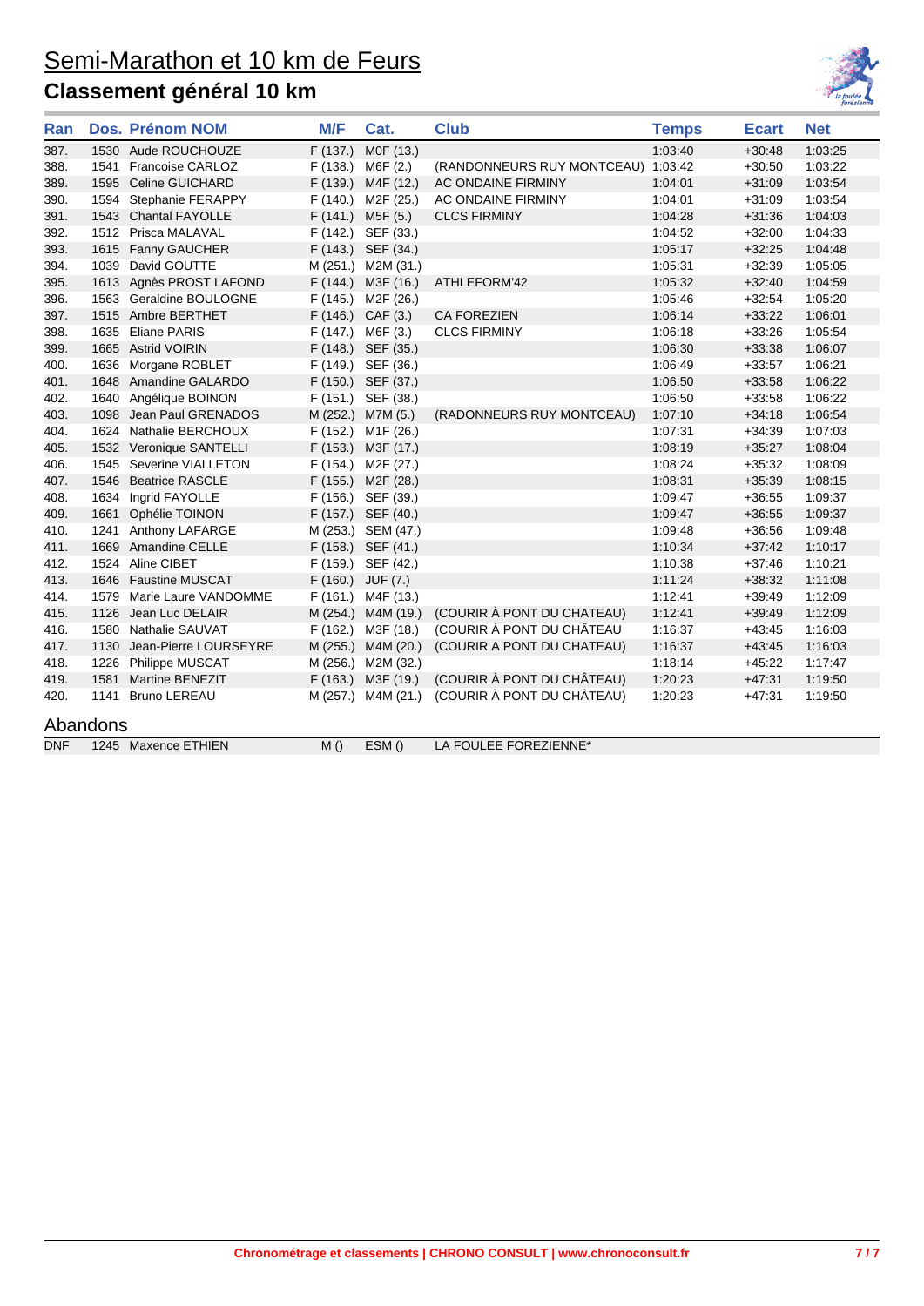

| Ran        |          | <b>Dos. Prénom NOM</b>    | M/F      | Cat.                   | <b>Club</b>                        | <b>Temps</b> | <b>Ecart</b> | <b>Net</b> |
|------------|----------|---------------------------|----------|------------------------|------------------------------------|--------------|--------------|------------|
| 387.       |          | 1530 Aude ROUCHOUZE       | F(137.)  | M0F (13.)              |                                    | 1:03:40      | $+30.48$     | 1:03:25    |
| 388.       | 1541     | Francoise CARLOZ          | F(138.)  | M6F (2.)               | (RANDONNEURS RUY MONTCEAU) 1:03:42 |              | $+30:50$     | 1:03:22    |
| 389.       | 1595     | <b>Celine GUICHARD</b>    | F(139.)  | M4F (12.)              | AC ONDAINE FIRMINY                 | 1.04.01      | $+31:09$     | 1:03:54    |
| 390.       |          | 1594 Stephanie FERAPPY    | F(140.)  | M <sub>2</sub> F (25.) | AC ONDAINE FIRMINY                 | 1:04:01      | $+31:09$     | 1:03:54    |
| 391.       |          | 1543 Chantal FAYOLLE      | F(141.)  | M5F(5.)                | <b>CLCS FIRMINY</b>                | 1:04:28      | $+31:36$     | 1:04:03    |
| 392.       |          | 1512 Prisca MALAVAL       | F (142.) | SEF (33.)              |                                    | 1:04:52      | $+32:00$     | 1:04:33    |
| 393.       |          | 1615 Fanny GAUCHER        |          | F (143.) SEF (34.)     |                                    | 1:05:17      | $+32.25$     | 1:04:48    |
| 394.       | 1039     | David GOUTTE              |          | M (251.) M2M (31.)     |                                    | 1:05:31      | $+32.39$     | 1:05:05    |
| 395.       |          | 1613 Agnès PROST LAFOND   |          | F (144.) M3F (16.)     | ATHLEFORM'42                       | 1:05:32      | $+32:40$     | 1:04:59    |
| 396.       |          | 1563 Geraldine BOULOGNE   | F (145.) | M2F (26.)              |                                    | 1:05:46      | $+32:54$     | 1:05:20    |
| 397.       |          | 1515 Ambre BERTHET        |          | F (146.) CAF (3.)      | <b>CA FOREZIEN</b>                 | 1:06:14      | $+33.22$     | 1:06:01    |
| 398.       |          | 1635 Eliane PARIS         | F(147.)  | M6F (3.)               | <b>CLCS FIRMINY</b>                | 1:06:18      | $+33:26$     | 1:05:54    |
| 399.       |          | 1665 Astrid VOIRIN        |          | F (148.) SEF (35.)     |                                    | 1:06:30      | $+33.38$     | 1:06:07    |
| 400.       |          | 1636 Morgane ROBLET       |          | F (149.) SEF (36.)     |                                    | 1:06:49      | $+33.57$     | 1:06:21    |
| 401.       | 1648     | Amandine GALARDO          |          | F (150.) SEF (37.)     |                                    | 1:06:50      | $+33.58$     | 1:06:22    |
| 402.       |          | 1640 Angélique BOINON     | F(151.)  | SEF (38.)              |                                    | 1:06:50      | $+33.58$     | 1:06:22    |
| 403.       | 1098     | Jean Paul GRENADOS        |          | M (252.) M7M (5.)      | (RADONNEURS RUY MONTCEAU)          | 1:07:10      | $+34.18$     | 1:06:54    |
| 404.       |          | 1624 Nathalie BERCHOUX    | F (152.) | M1F (26.)              |                                    | 1:07:31      | $+34.39$     | 1:07:03    |
| 405.       |          | 1532 Veronique SANTELLI   |          | F (153.) M3F (17.)     |                                    | 1:08:19      | $+35:27$     | 1:08:04    |
| 406.       |          | 1545 Severine VIALLETON   | F (154.) | M2F (27.)              |                                    | 1:08:24      | $+35:32$     | 1:08:09    |
| 407.       | 1546     | <b>Beatrice RASCLE</b>    |          | F (155.) M2F (28.)     |                                    | 1:08:31      | $+35.39$     | 1:08:15    |
| 408.       |          | 1634 Ingrid FAYOLLE       |          | F (156.) SEF (39.)     |                                    | 1:09:47      | $+36:55$     | 1:09:37    |
| 409.       | 1661     | Ophélie TOINON            |          | F (157.) SEF (40.)     |                                    | 1:09:47      | $+36.55$     | 1:09:37    |
| 410.       | 1241     | Anthony LAFARGE           |          | M (253.) SEM (47.)     |                                    | 1:09:48      | $+36.56$     | 1:09:48    |
| 411.       |          | 1669 Amandine CELLE       |          | F (158.) SEF (41.)     |                                    | 1:10:34      | $+37:42$     | 1:10:17    |
| 412.       |          | 1524 Aline CIBET          |          | F (159.) SEF (42.)     |                                    | 1:10:38      | $+37:46$     | 1:10:21    |
| 413.       |          | 1646 Faustine MUSCAT      | F(160.)  | JUF (7.)               |                                    | 1:11:24      | $+38.32$     | 1:11:08    |
| 414.       |          | 1579 Marie Laure VANDOMME | F(161.)  | M4F (13.)              |                                    | 1:12:41      | $+39.49$     | 1:12:09    |
| 415.       |          | 1126 Jean Luc DELAIR      | M (254.) | M4M (19.)              | (COURIR À PONT DU CHATEAU)         | 1:12:41      | $+39.49$     | 1:12:09    |
| 416.       |          | 1580 Nathalie SAUVAT      | F(162.)  | M3F (18.)              | (COURIR À PONT DU CHÂTEAU          | 1:16:37      | $+43.45$     | 1:16:03    |
| 417.       | 1130     | Jean-Pierre LOURSEYRE     |          | M (255.) M4M (20.)     | (COURIR A PONT DU CHATEAU)         | 1:16:37      | $+43.45$     | 1:16:03    |
| 418.       |          | 1226 Philippe MUSCAT      |          | M (256.) M2M (32.)     |                                    | 1:18:14      | $+45.22$     | 1:17:47    |
| 419.       | 1581     | <b>Martine BENEZIT</b>    |          | F (163.) M3F (19.)     | (COURIR À PONT DU CHÂTEAU)         | 1:20:23      | $+47.31$     | 1:19:50    |
| 420.       | 1141     | <b>Bruno LEREAU</b>       |          | M (257.) M4M (21.)     | (COURIR À PONT DU CHÂTEAU)         | 1:20:23      | $+47.31$     | 1:19:50    |
|            | Abandons |                           |          |                        |                                    |              |              |            |
| <b>DNF</b> |          | 1245 Maxence ETHIEN       | M()      | ESM()                  | LA FOULEE FOREZIENNE*              |              |              |            |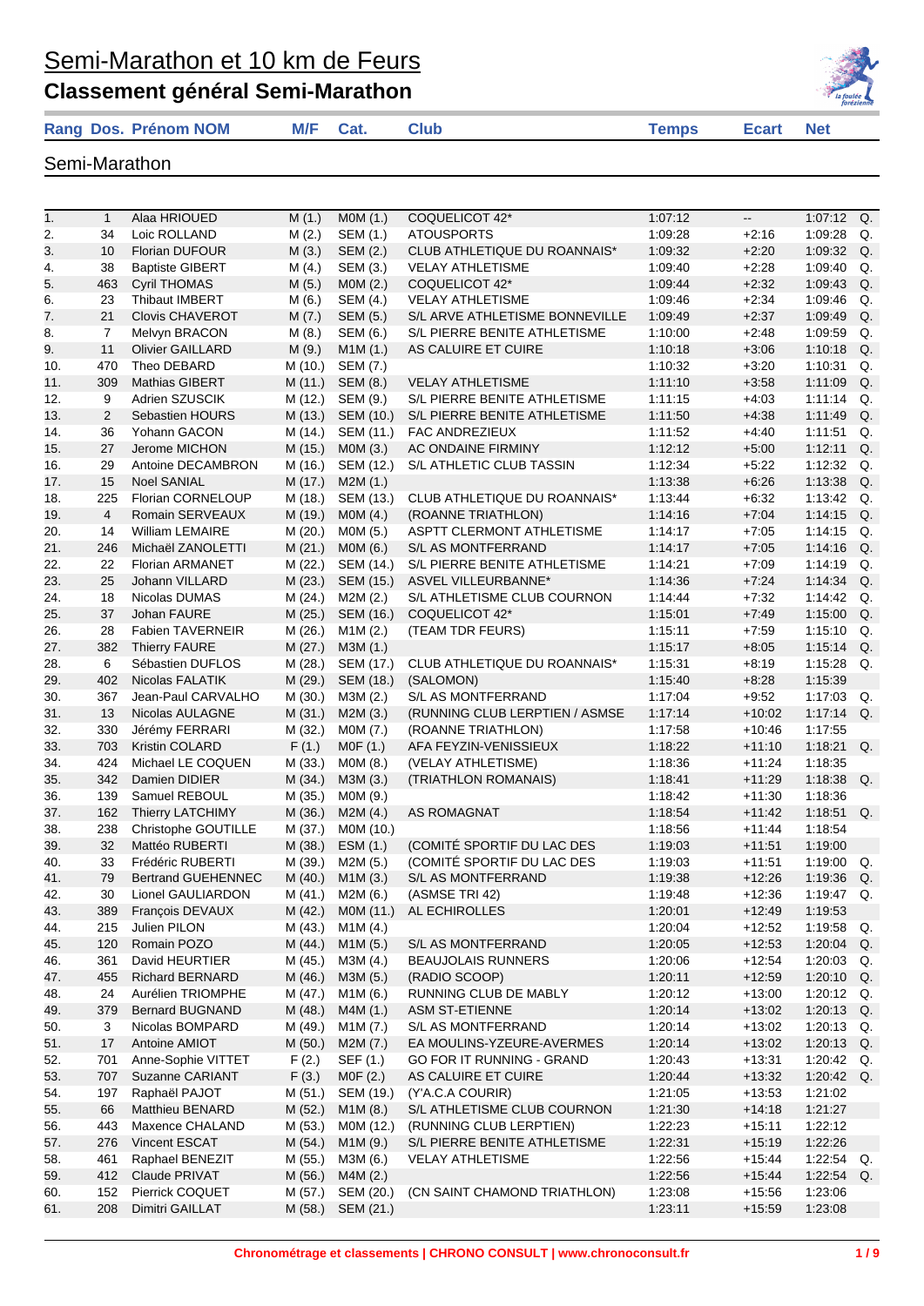#### **Classement général Semi-Marathon**





Semi-Marathon

1. 1 Alaa HRIOUED M (1.) MOM (1.) COQUELICOT 42\* 1:07:12 -- 1:07:12 Q. 2. 34 Loic ROLLAND M (2.) SEM (1.) ATOUSPORTS 1:09:28 +2:16 1:09:28 Q. 3. 10 Florian DUFOUR M (3.) SEM (2.) CLUB ATHLETIQUE DU ROANNAIS\* 1:09:32 +2:20 1:09:32 Q. 4. 38 Baptiste GIBERT M (4.) SEM (3.) VELAY ATHLETISME 1:09:40 +2:28 1:09:40 Q. 5. 463 Cyril THOMAS M (5.) MOM (2.) COQUELICOT 42\* 1:09:44 +2:32 1:09:43 Q. 6. 23 Thibaut IMBERT M (6.) SEM (4.) VELAY ATHLETISME 1:09:46 +2:34 1:09:46 Q. 7. 21 Clovis CHAVEROT M (7.) SEM (5.) S/L ARVE ATHLETISME BONNEVILLE 1:09:49 +2:37 1:09:49 Q. 8. 7 Melvyn BRACON M (8.) SEM (6.) S/L PIERRE BENITE ATHLETISME 1:10:00 +2:48 1:09:59 Q. 9. 11 Olivier GAILLARD M (9.) M1M (1.) AS CALUIRE ET CUIRE 1:10:18 +3:06 1:10:18 Q. 10. 470 Theo DEBARD M (10.) SEM (7.) 1:10:32 +3:20 1:10:31 Q. 11. 309 Mathias GIBERT M (11.) SEM (8.) VELAY ATHLETISME 1:11:10 +3:58 1:11:09 Q. 12. 9 Adrien SZUSCIK M (12.) SEM (9.) S/L PIERRE BENITE ATHLETISME 1:11:15 +4:03 1:11:14 Q.<br>13. 2 Sebastien HOURS M (13.) SEM (10.) S/L PIERRE BENITE ATHLETISME 1:11:50 +4:38 1:11:49 Q. 13. 2 Sebastien HOURS M (13.) SEM (10.) S/L PIERRE BENITE ATHLETISME 1:11:50 +4:38 1:11:49 Q. 14. 36 Yohann GACON M (14.) SEM (11.) FAC ANDREZIEUX 1:11:52 +4:40 1:11:51 Q. 15. 27 Jerome MICHON M (15.) M0M (3.) AC ONDAINE FIRMINY 1:12:12 +5:00 1:12:11 Q. 16. 29 Antoine DECAMBRON M (16.) SEM (12.) S/L ATHLETIC CLUB TASSIN 1:12:34 +5:22 1:12:32 Q. 17. 15 Noel SANIAL M (17.) M2M (1.) 1:13:38 +6:26 1:13:38 Q. 18. 225 Florian CORNELOUP M (18.) SEM (13.) CLUB ATHLETIQUE DU ROANNAIS\* 1:13:44 +6:32 1:13:42 Q. 19. 4 Romain SERVEAUX M (19.) M0M (4.) (ROANNE TRIATHLON) 1:14:16 +7:04 1:14:15 Q. 20. 14 William LEMAIRE M (20.) M0M (5.) ASPTT CLERMONT ATHLETISME 1:14:17 +7:05 1:14:15 Q. 21. 246 Michaël ZANOLETTI M (21.) M0M (6.) S/L AS MONTFERRAND 1:14:17 +7:05 1:14:16 Q. 22. 22 Florian ARMANET M (22.) SEM (14.) S/L PIERRE BENITE ATHLETISME 1:14:21 +7:09 1:14:19 Q. 23. 25 Johann VILLARD M (23.) SEM (15.) ASVEL VILLEURBANNE\* 1:14:36 +7:24 1:14:34 Q. 24. 18 Nicolas DUMAS M (24.) M2M (2.) S/L ATHLETISME CLUB COURNON 1:14:44 +7:32 1:14:42 Q. 25. 37 Johan FAURE M (25.) SEM (16.) COQUELICOT 42\* 1:15:01 +7:49 1:15:00 Q. 26. 28 Fabien TAVERNEIR M (26.) M1M (2.) (TEAM TDR FEURS) 1:15:11 +7:59 1:15:10 Q. 27. 382 Thierry FAURE M (27.) M3M (1.) 1:15:17 +8:05 1:15:14 Q. 28. 6 Sébastien DUFLOS M (28.) SEM (17.) CLUB ATHLETIQUE DU ROANNAIS\* 1:15:31 +8:19 1:15:28 Q. 29. 402 Nicolas FALATIK M (29.) SEM (18.) (SALOMON) 1:15:40 +8:28 1:15:39 30. 367 Jean-Paul CARVALHO M (30.) M3M (2.) S/L AS MONTFERRAND 1:17:04 +9:52 1:17:03 Q. 31. 13 Nicolas AULAGNE M (31.) M2M (3.) (RUNNING CLUB LERPTIEN / ASMSE 1:17:14 +10:02 1:17:14 Q. 32. 330 Jérémy FERRARI M (32.) M0M (7.) (ROANNE TRIATHLON) 1:17:58 +10:46 1:17:55 33. 703 Kristin COLARD F (1.) M0F (1.) AFA FEYZIN-VENISSIEUX 1:18:22 +11:10 1:18:21 Q. 34. 424 Michael LE COQUEN M (33.) M0M (8.) (VELAY ATHLETISME) 1:18:36 +11:24 1:18:35 35. 342 Damien DIDIER M (34.) M3M (3.) (TRIATHLON ROMANAIS) 1:18:41 +11:29 1:18:38 Q. 36. 139 Samuel REBOUL M (35.) M0M (9.) 1:18:42 +11:30 1:18:36 37. 162 Thierry LATCHIMY M (36.) M2M (4.) AS ROMAGNAT 1:18:54 +11:42 1:18:51 Q. 38. 238 Christophe GOUTILLE M (37.) M0M (10.) 1:18:56 +11:44 1:18:54 39. 32 Mattéo RUBERTI M (38.) ESM (1.) (COMITÉ SPORTIF DU LAC DES 1:19:03 +11:51 1:19:00 40. 33 Frédéric RUBERTI M (39.) M2M (5.) (COMITÉ SPORTIF DU LAC DES 1:19:03 +11:51 1:19:00 Q. 41. 79 Bertrand GUEHENNEC M (40.) M1M (3.) S/L AS MONTFERRAND 1:19:38 +12:26 1:19:36 Q. 42. 30 Lionel GAULIARDON M (41.) M2M (6.) (ASMSE TRI 42) 1:19:48 +12:36 1:19:47 Q. 43. 389 François DEVAUX M (42.) M0M (11.) AL ECHIROLLES 1:20:01 +12:49 1:19:53 44. 215 Julien PILON M (43.) M1M (4.) 1:20:04 +12:52 1:19:58 Q. 45. 120 Romain POZO M (44.) M1M (5.) S/L AS MONTFERRAND 1:20:05 +12:53 1:20:04 Q. 46. 361 David HEURTIER M (45.) M3M (4.) BEAUJOLAIS RUNNERS 1:20:06 +12:54 1:20:03 Q. 47. 455 Richard BERNARD M (46.) M3M (5.) (RADIO SCOOP) 1:20:11 +12:59 1:20:10 Q. 48. 24 Aurélien TRIOMPHE M (47.) M1M (6.) RUNNING CLUB DE MABLY 1:20:12 +13:00 1:20:12 Q. 49. 379 Bernard BUGNAND M (48.) M4M (1.) ASM ST-ETIENNE 1:20:14 +13:02 1:20:13 Q. 50. 3 Nicolas BOMPARD M (49.) M1M (7.) S/L AS MONTFERRAND 1:20:14 +13:02 1:20:13 Q. 51. 17 Antoine AMIOT M (50.) M2M (7.) EA MOULINS-YZEURE-AVERMES 1:20:14 +13:02 1:20:13 Q. 52. 701 Anne-Sophie VITTET F (2.) SEF (1.) GO FOR IT RUNNING - GRAND 1:20:43 +13:31 1:20:42 Q. 53. 707 Suzanne CARIANT F (3.) MOF (2.) AS CALUIRE ET CUIRE 1:20:44 +13:32 1:20:42 Q. 54. 197 Raphaël PAJOT M (51.) SEM (19.) (Y'A.C.A COURIR) 1:21:05 +13:53 1:21:02 55. 66 Matthieu BENARD M (52.) M1M (8.) S/L ATHLETISME CLUB COURNON 1:21:30 +14:18 1:21:27 56. 443 Maxence CHALAND M (53.) M0M (12.) (RUNNING CLUB LERPTIEN) 1:22:23 +15:11 1:22:12 57. 276 Vincent ESCAT M (54.) M1M (9.) S/L PIERRE BENITE ATHLETISME 1:22:31 +15:19 1:22:26 58. 461 Raphael BENEZIT M (55.) M3M (6.) VELAY ATHLETISME 1:22:56 +15:44 1:22:54 Q. 59. 412 Claude PRIVAT M (56.) M4M (2.) 1:22:56 +15:44 1:22:54 Q. 60. 152 Pierrick COQUET M (57.) SEM (20.) (CN SAINT CHAMOND TRIATHLON) 1:23:08 +15:56 1:23:06 61. 208 Dimitri GAILLAT M (58.) SEM (21.) 1:23:11 +15:59 1:23:08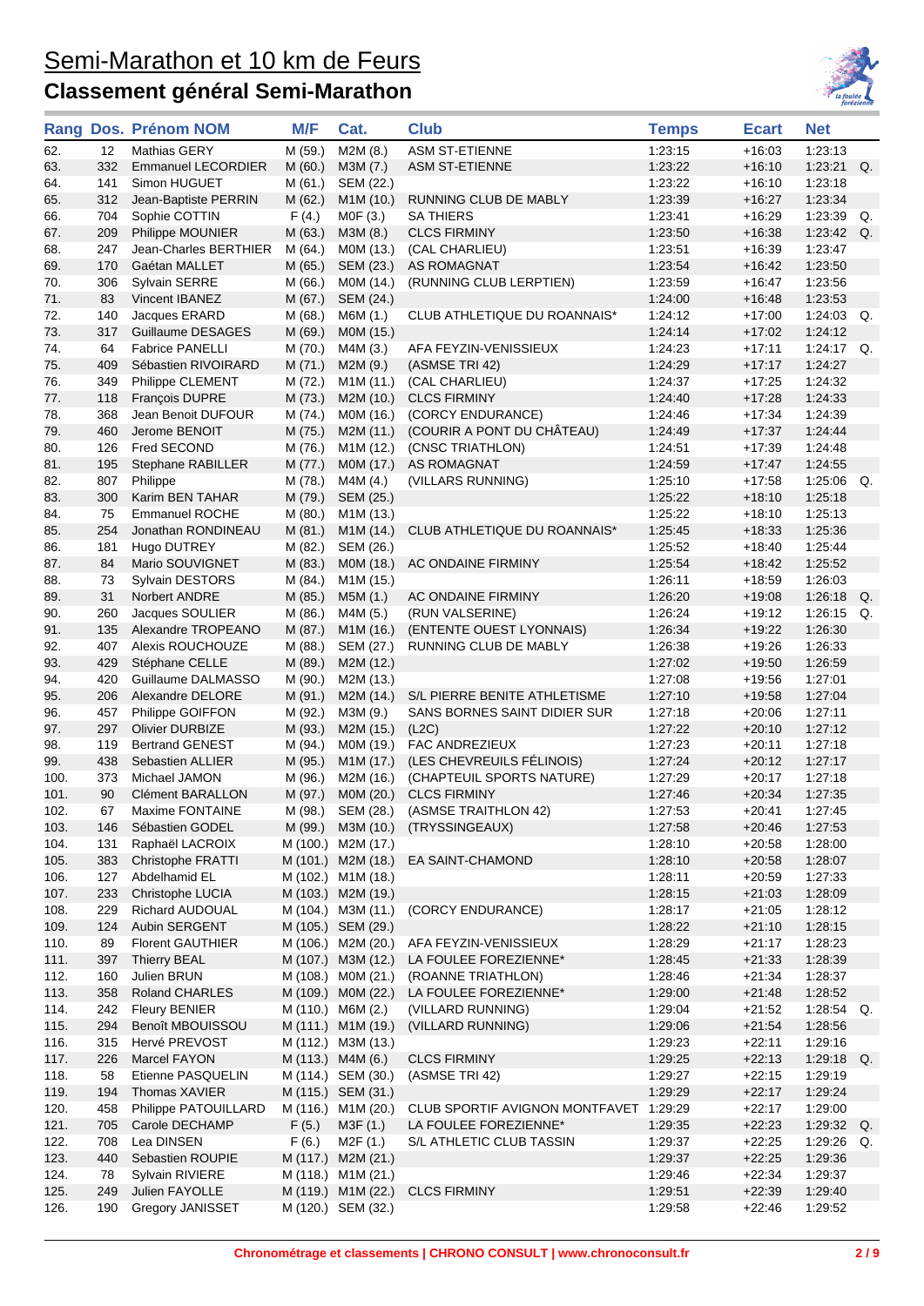

|              |            | Rang Dos. Prénom NOM                 | M/F                | Cat.                                     | <b>Club</b>                              | <b>Temps</b>       | <b>Ecart</b>         | <b>Net</b>         |                |
|--------------|------------|--------------------------------------|--------------------|------------------------------------------|------------------------------------------|--------------------|----------------------|--------------------|----------------|
| 62.          | 12         | Mathias GERY                         | M (59.)            | M2M (8.)                                 | <b>ASM ST-ETIENNE</b>                    | 1:23:15            | $+16:03$             | 1:23:13            |                |
| 63.          | 332        | <b>Emmanuel LECORDIER</b>            | M(60.)             | M3M (7.)                                 | <b>ASM ST-ETIENNE</b>                    | 1:23:22            | $+16:10$             | 1:23:21            | Q.             |
| 64.          | 141        | Simon HUGUET                         | M (61.)            | SEM (22.)                                |                                          | 1:23:22            | $+16:10$             | 1:23:18            |                |
| 65.          | 312        | Jean-Baptiste PERRIN                 | M(62.)             | M1M (10.)                                | RUNNING CLUB DE MABLY                    | 1:23:39            | $+16:27$             | 1:23:34            |                |
| 66.          | 704        | Sophie COTTIN                        | F(4.)              | MOF(3.)                                  | <b>SA THIERS</b>                         | 1:23:41            | $+16.29$             | 1:23:39            | Q.             |
| 67.          | 209        | Philippe MOUNIER                     | M (63.)            | M3M (8.)                                 | <b>CLCS FIRMINY</b>                      | 1:23:50            | $+16:38$             | 1:23:42            | Q <sub>r</sub> |
| 68.          | 247        | Jean-Charles BERTHIER                | M(64.)             | M0M (13.)                                | (CAL CHARLIEU)                           | 1:23:51            | $+16:39$             | 1:23:47            |                |
| 69.          | 170        | Gaétan MALLET                        | M(65.)             | SEM (23.)                                | AS ROMAGNAT                              | 1:23:54            | $+16:42$             | 1:23:50            |                |
| 70.          | 306        | Sylvain SERRE                        | M (66.)            | M0M (14.)                                | (RUNNING CLUB LERPTIEN)                  | 1:23:59            | $+16:47$             | 1:23:56            |                |
| 71.          | 83         | Vincent IBANEZ                       | M (67.)            | SEM (24.)                                |                                          | 1:24:00            | $+16:48$             | 1:23:53            |                |
| 72.          | 140        | Jacques ERARD                        | M (68.)            | M6M (1.)                                 | CLUB ATHLETIQUE DU ROANNAIS*             | 1:24:12            | +17:00               | $1:24:03$ Q.       |                |
| 73.          | 317        | Guillaume DESAGES                    | M (69.)            | M0M (15.)                                |                                          | 1.24:14            | $+17:02$             | 1:24:12            |                |
| 74.          | 64         | <b>Fabrice PANELLI</b>               | M (70.)            | M4M (3.)                                 | AFA FEYZIN-VENISSIEUX                    | 1:24:23            | $+17:11$             | $1:24:17$ Q.       |                |
| 75.          | 409        | Sébastien RIVOIRARD                  | M(71.)             | M2M (9.)                                 | (ASMSE TRI 42)                           | 1:24:29            | $+17:17$             | 1:24:27<br>1:24:32 |                |
| 76.          | 349        | Philippe CLEMENT                     | M (72.)            | M1M (11.)                                | (CAL CHARLIEU)                           | 1:24:37            | +17:25               |                    |                |
| 77.<br>78.   | 118<br>368 | François DUPRE<br>Jean Benoit DUFOUR | M (73.)<br>M (74.) | M2M (10.)<br>M0M (16.)                   | <b>CLCS FIRMINY</b><br>(CORCY ENDURANCE) | 1:24:40<br>1:24:46 | $+17:28$<br>$+17:34$ | 1:24:33<br>1:24:39 |                |
| 79.          | 460        | Jerome BENOIT                        | M (75.)            | M2M (11.)                                | (COURIR A PONT DU CHÂTEAU)               | 1:24:49            | $+17:37$             | 1:24:44            |                |
| 80.          | 126        | Fred SECOND                          | M (76.)            | M1M (12.)                                | (CNSC TRIATHLON)                         | 1:24:51            | $+17:39$             | 1:24:48            |                |
| 81.          | 195        | Stephane RABILLER                    | M (77.)            | MOM (17.)                                | <b>AS ROMAGNAT</b>                       | 1:24:59            | $+17:47$             | 1:24:55            |                |
| 82.          | 807        | Philippe                             | M (78.)            | M4M (4.)                                 | (VILLARS RUNNING)                        | 1:25:10            | $+17:58$             | 1:25:06            | Q.             |
| 83.          | 300        | Karim BEN TAHAR                      | M (79.)            | SEM (25.)                                |                                          | 1:25:22            | $+18:10$             | 1:25:18            |                |
| 84.          | 75         | <b>Emmanuel ROCHE</b>                | M(80.)             | M <sub>1</sub> M (13.)                   |                                          | 1:25:22            | $+18:10$             | 1:25:13            |                |
| 85.          | 254        | Jonathan RONDINEAU                   | M(81.)             | M1M (14.)                                | CLUB ATHLETIQUE DU ROANNAIS*             | 1:25:45            | $+18:33$             | 1:25:36            |                |
| 86.          | 181        | Hugo DUTREY                          | M (82.)            | SEM (26.)                                |                                          | 1:25:52            | $+18:40$             | 1:25:44            |                |
| 87.          | 84         | Mario SOUVIGNET                      | M (83.)            | M0M (18.)                                | AC ONDAINE FIRMINY                       | 1:25:54            | $+18:42$             | 1:25:52            |                |
| 88.          | 73         | Sylvain DESTORS                      | M (84.)            | M1M (15.)                                |                                          | 1:26:11            | $+18:59$             | 1:26:03            |                |
| 89.          | 31         | Norbert ANDRE                        | M (85.)            | M5M (1.)                                 | AC ONDAINE FIRMINY                       | 1:26:20            | $+19:08$             | 1:26:18            | Q.             |
| 90.          | 260        | Jacques SOULIER                      | M (86.)            | M4M (5.)                                 | (RUN VALSERINE)                          | 1:26:24            | +19:12               | 1:26:15            | Q.             |
| 91.          | 135        | Alexandre TROPEANO                   | M (87.)            | M1M (16.)                                | (ENTENTE OUEST LYONNAIS)                 | 1.26:34            | $+19:22$             | 1:26:30            |                |
| 92.          | 407        | Alexis ROUCHOUZE                     | M (88.)            | SEM (27.)                                | RUNNING CLUB DE MABLY                    | 1:26:38            | $+19:26$             | 1:26:33            |                |
| 93.          | 429        | Stéphane CELLE                       | M (89.)            | M2M (12.)                                |                                          | 1:27:02            | $+19:50$             | 1:26:59            |                |
| 94.          | 420        | Guillaume DALMASSO                   | M (90.)            | M2M (13.)                                |                                          | 1:27:08            | +19:56               | 1:27:01            |                |
| 95.          | 206        | Alexandre DELORE                     | M (91.)            | M2M (14.)                                | S/L PIERRE BENITE ATHLETISME             | 1:27:10            | $+19:58$             | 1:27:04            |                |
| 96.          | 457        | Philippe GOIFFON                     | M (92.)            | M3M (9.)                                 | SANS BORNES SAINT DIDIER SUR             | 1:27:18            | $+20:06$             | 1:27:11            |                |
| 97.          | 297        | <b>Olivier DURBIZE</b>               | M (93.)            | M2M (15.)                                | (L2C)                                    | 1:27:22            | $+20:10$             | 1:27:12            |                |
| 98.          | 119        | <b>Bertrand GENEST</b>               | M (94.)            | M0M (19.)                                | FAC ANDREZIEUX                           | 1:27:23            | $+20:11$             | 1:27:18            |                |
| 99.          | 438        | <b>Sebastien ALLIER</b>              | M (95.)            | M1M (17.)                                | (LES CHEVREUILS FÉLINOIS)                | 1.27:24            | $+20:12$             | 1.27.17            |                |
| 100.         | 373        | Michael JAMON                        | M (96.)            | M2M (16.)                                | (CHAPTEUIL SPORTS NATURE)                | 1:27:29            | $+20:17$             | 1:27:18            |                |
| 101.         | 90         | <b>Clément BARALLON</b>              | M (97.)            | M0M (20.)                                | <b>CLCS FIRMINY</b>                      | 1.27:46            | $+20.34$             | 1.27:35            |                |
| 102          | 67         | Maxime FONTAINE                      | M (98.)            | SEM (28.)                                | (ASMSE TRAITHLON 42)                     | 1:27:53            | $+20:41$             | 1:27:45            |                |
| 103.         | 146        | Sébastien GODEL                      |                    | M (99.) M3M (10.)                        | (TRYSSINGEAUX)                           | 1:27:58            | $+20:46$             | 1:27:53            |                |
| 104.         | 131        | Raphaël LACROIX                      |                    | M (100.) M2M (17.)                       |                                          | 1:28:10            | $+20:58$             | 1:28:00            |                |
| 105.         | 383        | <b>Christophe FRATTI</b>             |                    | M (101.) M2M (18.)                       | EA SAINT-CHAMOND                         | 1:28:10<br>1:28:11 | $+20:58$             | 1:28:07            |                |
| 106.         | 127        | Abdelhamid EL                        |                    | M (102.) M1M (18.)                       |                                          |                    | $+20:59$             | 1:27:33            |                |
| 107.<br>108. | 233<br>229 | Christophe LUCIA<br>Richard AUDOUAL  |                    | M (103.) M2M (19.)<br>M (104.) M3M (11.) | (CORCY ENDURANCE)                        | 1:28:15<br>1:28:17 | $+21:03$<br>$+21:05$ | 1:28:09<br>1:28:12 |                |
| 109.         | 124        | Aubin SERGENT                        |                    | M (105.) SEM (29.)                       |                                          | 1:28:22            | $+21:10$             | 1:28:15            |                |
| 110.         | 89         | <b>Florent GAUTHIER</b>              |                    | M (106.) M2M (20.)                       | AFA FEYZIN-VENISSIEUX                    | 1:28:29            | +21:17               | 1:28:23            |                |
| 111.         | 397        | <b>Thierry BEAL</b>                  |                    | M (107.) M3M (12.)                       | LA FOULEE FOREZIENNE*                    | 1:28:45            | $+21:33$             | 1:28:39            |                |
| 112.         | 160        | Julien BRUN                          |                    | M (108.) MOM (21.)                       | (ROANNE TRIATHLON)                       | 1:28:46            | +21:34               | 1:28:37            |                |
| 113.         | 358        | <b>Roland CHARLES</b>                |                    | M (109.) M0M (22.)                       | LA FOULEE FOREZIENNE*                    | 1:29:00            | $+21:48$             | 1:28:52            |                |
| 114.         | 242        | Fleury BENIER                        |                    | M (110.) M6M (2.)                        | (VILLARD RUNNING)                        | 1.29:04            | $+21:52$             | 1:28:54 Q.         |                |
| 115.         | 294        | Benoît MBOUISSOU                     |                    | M (111.) M1M (19.)                       | (VILLARD RUNNING)                        | 1:29:06            | $+21:54$             | 1:28:56            |                |
| 116.         | 315        | Hervé PREVOST                        |                    | M (112.) M3M (13.)                       |                                          | 1.29.23            | $+22:11$             | 1.29.16            |                |
| 117.         | 226        | Marcel FAYON                         |                    | M (113.) M4M (6.)                        | <b>CLCS FIRMINY</b>                      | 1:29:25            | $+22:13$             | $1:29:18$ Q.       |                |
| 118.         | 58         | Etienne PASQUELIN                    |                    | M (114.) SEM (30.)                       | (ASMSE TRI 42)                           | 1.29.27            | $+22:15$             | 1:29:19            |                |
| 119.         | 194        | Thomas XAVIER                        |                    | M (115.) SEM (31.)                       |                                          | 1:29:29            | $+22:17$             | 1.29.24            |                |
| 120.         | 458        | Philippe PATOUILLARD                 |                    | M (116.) M1M (20.)                       | CLUB SPORTIF AVIGNON MONTFAVET 1:29:29   |                    | +22:17               | 1:29:00            |                |
| 121.         | 705        | Carole DECHAMP                       | F(5.)              | M3F (1.)                                 | LA FOULEE FOREZIENNE*                    | 1:29:35            | $+22:23$             | 1.29.32            | Q.             |
| 122.         | 708        | Lea DINSEN                           | F(6.)              | M2F (1.)                                 | S/L ATHLETIC CLUB TASSIN                 | 1:29:37            | $+22:25$             | 1:29:26 Q.         |                |
| 123.         | 440        | Sebastien ROUPIE                     |                    | M (117.) M2M (21.)                       |                                          | 1:29:37            | $+22:25$             | 1:29:36            |                |
| 124.         | 78         | Sylvain RIVIERE                      |                    | M (118.) M1M (21.)                       |                                          | 1:29:46            | $+22:34$             | 1:29:37            |                |
| 125.         | 249        | Julien FAYOLLE                       |                    | M (119.) M1M (22.)                       | <b>CLCS FIRMINY</b>                      | 1:29:51            | $+22:39$             | 1.29.40            |                |
| 126.         | 190        | Gregory JANISSET                     |                    | M (120.) SEM (32.)                       |                                          | 1:29:58            | $+22:46$             | 1:29:52            |                |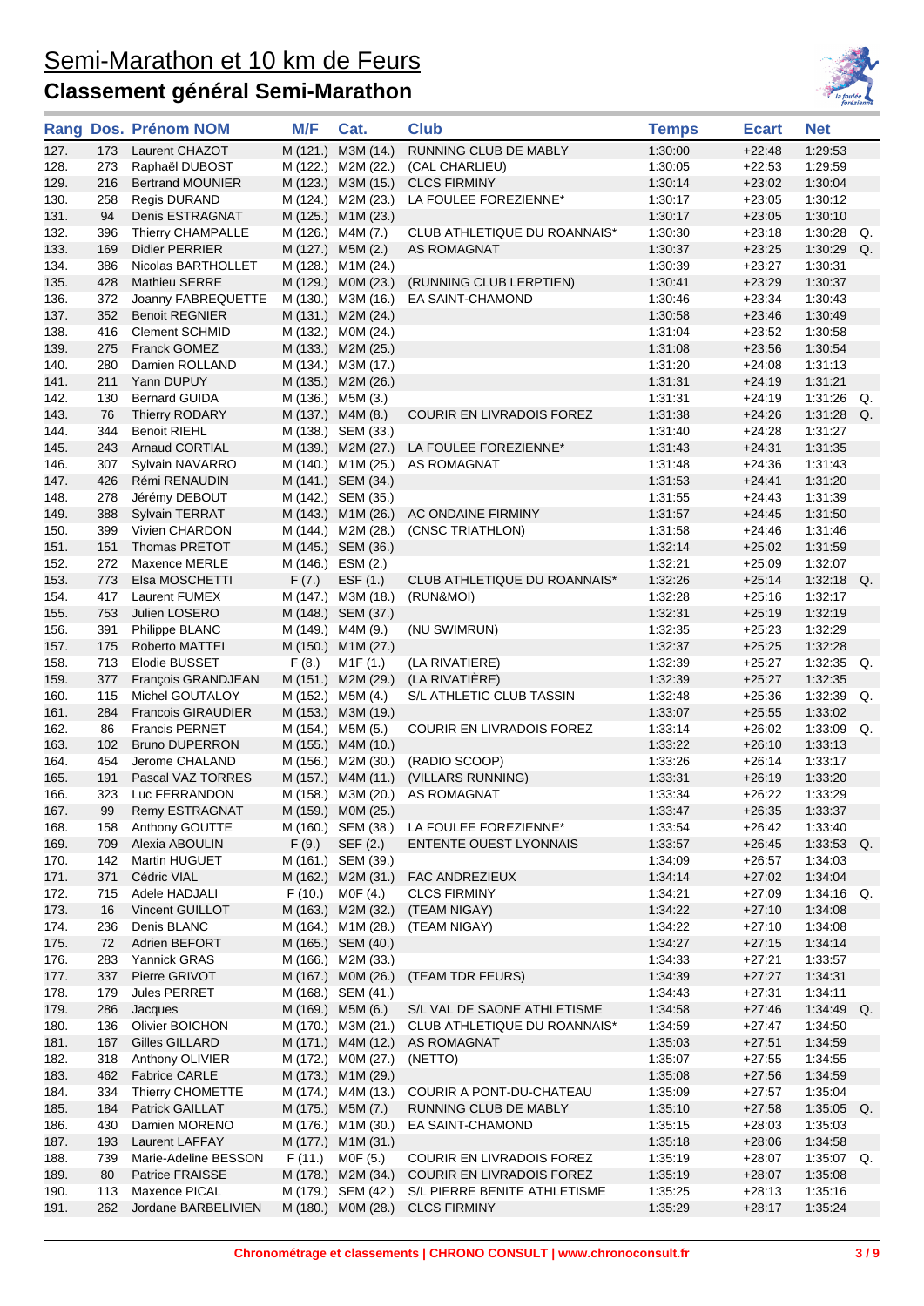

|              |            | Rang Dos. Prénom NOM                           | M/F   | Cat.                                     | <b>Club</b>                                        | <b>Temps</b>       | <b>Ecart</b>         | <b>Net</b>               |
|--------------|------------|------------------------------------------------|-------|------------------------------------------|----------------------------------------------------|--------------------|----------------------|--------------------------|
| 127.         | 173        | Laurent CHAZOT                                 |       | M (121.) M3M (14.)                       | RUNNING CLUB DE MABLY                              | 1:30:00            | $+22:48$             | 1:29:53                  |
| 128.         | 273        | Raphaël DUBOST                                 |       | M (122.) M2M (22.)                       | (CAL CHARLIEU)                                     | 1:30:05            | $+22:53$             | 1:29:59                  |
| 129.         | 216        | <b>Bertrand MOUNIER</b>                        |       | M (123.) M3M (15.)                       | <b>CLCS FIRMINY</b>                                | 1:30:14            | $+23:02$             | 1:30:04                  |
| 130.         | 258        | <b>Regis DURAND</b>                            |       | M (124.) M2M (23.)                       | LA FOULEE FOREZIENNE*                              | 1:30:17            | $+23:05$             | 1:30:12                  |
| 131.         | 94         | Denis ESTRAGNAT                                |       | M (125.) M1M (23.)                       |                                                    | 1:30:17            | $+23:05$             | 1:30:10                  |
| 132.         | 396        | Thierry CHAMPALLE                              |       | M (126.) M4M (7.)                        | CLUB ATHLETIQUE DU ROANNAIS*                       | 1:30:30            | $+23:18$             | 1:30:28<br>Q.            |
| 133.         | 169        | Didier PERRIER                                 |       | M (127.) M5M (2.)                        | <b>AS ROMAGNAT</b>                                 | 1:30:37            | $+23:25$             | 1:30:29<br>Q.            |
| 134.         | 386        | Nicolas BARTHOLLET                             |       | M (128.) M1M (24.)                       |                                                    | 1:30:39            | $+23:27$             | 1:30:31                  |
| 135.         | 428        | Mathieu SERRE                                  |       | M (129.) M0M (23.)                       | (RUNNING CLUB LERPTIEN)                            | 1:30:41            | $+23.29$             | 1:30:37                  |
| 136.         | 372        | Joanny FABREQUETTE                             |       | M (130.) M3M (16.)                       | EA SAINT-CHAMOND                                   | 1:30:46            | $+23:34$             | 1:30:43                  |
| 137.<br>138. | 352<br>416 | <b>Benoit REGNIER</b><br><b>Clement SCHMID</b> |       | M (131.) M2M (24.)<br>M (132.) MOM (24.) |                                                    | 1:30:58<br>1:31:04 | $+23.46$<br>$+23:52$ | 1:30:49<br>1:30:58       |
| 139.         | 275        | <b>Franck GOMEZ</b>                            |       | M (133.) M2M (25.)                       |                                                    | 1:31:08            | $+23:56$             | 1:30:54                  |
| 140.         | 280        | Damien ROLLAND                                 |       | M (134.) M3M (17.)                       |                                                    | 1:31:20            | $+24:08$             | 1:31:13                  |
| 141.         | 211        | Yann DUPUY                                     |       | M (135.) M2M (26.)                       |                                                    | 1:31:31            | $+24:19$             | 1:31:21                  |
| 142.         | 130        | <b>Bernard GUIDA</b>                           |       | M (136.) M5M (3.)                        |                                                    | 1:31:31            | $+24:19$             | 1:31:26<br>Q.            |
| 143.         | 76         | Thierry RODARY                                 |       | M (137.) M4M (8.)                        | COURIR EN LIVRADOIS FOREZ                          | 1:31:38            | $+24.26$             | 1:31:28<br>Q.            |
| 144.         | 344        | <b>Benoit RIEHL</b>                            |       | M (138.) SEM (33.)                       |                                                    | 1:31:40            | $+24:28$             | 1:31:27                  |
| 145.         | 243        | Arnaud CORTIAL                                 |       | M (139.) M2M (27.)                       | LA FOULEE FOREZIENNE*                              | 1.31.43            | $+24.31$             | 1:31:35                  |
| 146.         | 307        | Sylvain NAVARRO                                |       | M (140.) M1M (25.)                       | AS ROMAGNAT                                        | 1:31:48            | $+24:36$             | 1:31:43                  |
| 147.         | 426        | Rémi RENAUDIN                                  |       | M (141.) SEM (34.)                       |                                                    | 1:31:53            | $+24.41$             | 1:31:20                  |
| 148.         | 278        | Jérémy DEBOUT                                  |       | M (142.) SEM (35.)                       |                                                    | 1:31:55            | $+24.43$             | 1:31:39                  |
| 149.         | 388        | Sylvain TERRAT                                 |       | M (143.) M1M (26.)                       | AC ONDAINE FIRMINY                                 | 1:31:57            | $+24:45$             | 1:31:50                  |
| 150.         | 399        | Vivien CHARDON                                 |       | M (144.) M2M (28.)                       | (CNSC TRIATHLON)                                   | 1:31:58            | $+24.46$             | 1:31:46                  |
| 151.         | 151        | Thomas PRETOT                                  |       | M (145.) SEM (36.)                       |                                                    | 1:32:14            | $+25:02$             | 1:31:59                  |
| 152.         | 272        | Maxence MERLE                                  |       | M (146.) ESM (2.)                        |                                                    | 1:32:21            | $+25:09$             | 1:32:07                  |
| 153.         | 773        | Elsa MOSCHETTI                                 | F(7.) | EST(1.)                                  | CLUB ATHLETIQUE DU ROANNAIS*                       | 1:32:26            | $+25:14$             | 1:32:18<br>Q.            |
| 154.         | 417        | Laurent FUMEX                                  |       | M (147.) M3M (18.)                       | (RUN&MOI)                                          | 1:32:28            | $+25:16$             | 1:32:17                  |
| 155.         | 753        | Julien LOSERO                                  |       | M (148.) SEM (37.)                       |                                                    | 1:32:31            | $+25:19$             | 1:32:19                  |
| 156.         | 391        | Philippe BLANC                                 |       | M (149.) M4M (9.)                        | (NU SWIMRUN)                                       | 1:32:35            | $+25:23$             | 1:32:29                  |
| 157.         | 175        | Roberto MATTEI                                 |       | M (150.) M1M (27.)                       |                                                    | 1:32:37            | $+25:25$             | 1:32:28                  |
| 158.         | 713        | Elodie BUSSET                                  | F(8.) | M <sub>1</sub> F (1.)                    | (LA RIVATIERE)                                     | 1:32:39            | $+25:27$             | $1:32:35$ Q.             |
| 159.<br>160. | 377<br>115 | François GRANDJEAN<br>Michel GOUTALOY          |       | M (151.) M2M (29.)<br>M (152.) M5M (4.)  | (LA RIVATIÈRE)<br>S/L ATHLETIC CLUB TASSIN         | 1:32:39<br>1:32:48 | $+25:27$<br>$+25:36$ | 1:32:35<br>1:32:39<br>Q. |
| 161.         | 284        | <b>Francois GIRAUDIER</b>                      |       | M (153.) M3M (19.)                       |                                                    | 1:33:07            | $+25:55$             | 1:33:02                  |
| 162.         | 86         | <b>Francis PERNET</b>                          |       | M (154.) M5M (5.)                        | <b>COURIR EN LIVRADOIS FOREZ</b>                   | 1:33:14            | $+26:02$             | $1.33.09$ Q.             |
| 163.         | 102        | <b>Bruno DUPERRON</b>                          |       | M (155.) M4M (10.)                       |                                                    | 1:33:22            | $+26:10$             | 1:33:13                  |
| 164.         | 454        | Jerome CHALAND                                 |       | M (156.) M2M (30.)                       | (RADIO SCOOP)                                      | 1:33:26            | $+26:14$             | 1:33:17                  |
| 165.         | 191        | Pascal VAZ TORRES                              |       | M (157.) M4M (11.)                       | (VILLARS RUNNING)                                  | 1:33:31            | $+26:19$             | 1:33:20                  |
| 166.         | 323        | Luc FERRANDON                                  |       | M (158.) M3M (20.)                       | AS ROMAGNAT                                        | 1:33:34            | $+26:22$             | 1:33:29                  |
| 167.         | 99         | Remy ESTRAGNAT                                 |       | M (159.) M0M (25.)                       |                                                    | 1:33:47            | $+26:35$             | 1:33:37                  |
| 168.         | 158        | Anthony GOUTTE                                 |       | M (160.) SEM (38.)                       | LA FOULEE FOREZIENNE*                              | 1:33:54            | $+26:42$             | 1:33:40                  |
| 169.         | 709        | Alexia ABOULIN                                 | F(9.) | SEF (2.)                                 | <b>ENTENTE OUEST LYONNAIS</b>                      | 1:33:57            | $+26:45$             | $1:33:53$ Q.             |
| 170.         | 142        | Martin HUGUET                                  |       | M (161.) SEM (39.)                       |                                                    | 1:34:09            | $+26:57$             | 1:34:03                  |
| 171.         | 371        | Cédric VIAL                                    |       | M (162.) M2M (31.)                       | FAC ANDREZIEUX                                     | 1:34:14            | $+27:02$             | 1:34:04                  |
| 172.         | 715        | Adele HADJALI                                  |       | $F(10.)$ MOF $(4.)$                      | <b>CLCS FIRMINY</b>                                | 1:34:21            | $+27:09$             | $1:34:16$ Q.             |
| 173.         | 16         | Vincent GUILLOT                                |       | M (163.) M2M (32.)                       | (TEAM NIGAY)                                       | 1:34:22            | $+27:10$             | 1:34:08                  |
| 174.         | 236        | Denis BLANC                                    |       | M (164.) M1M (28.)                       | (TEAM NIGAY)                                       | 1:34:22            | $+27:10$             | 1:34:08                  |
| 175.         | 72         | Adrien BEFORT                                  |       | M (165.) SEM (40.)                       |                                                    | 1:34:27            | $+27:15$             | 1:34:14                  |
| 176.         | 283        | Yannick GRAS                                   |       | M (166.) M2M (33.)                       |                                                    | 1:34:33            | $+27:21$             | 1:33:57                  |
| 177.         | 337        | Pierre GRIVOT                                  |       | M (167.) MOM (26.)                       | (TEAM TDR FEURS)                                   | 1:34:39            | $+27:27$             | 1:34:31                  |
| 178.         | 179        | Jules PERRET                                   |       | M (168.) SEM (41.)                       |                                                    | 1:34:43            | $+27:31$             | 1:34:11                  |
| 179.         | 286        | Jacques                                        |       | M (169.) M5M (6.)                        | S/L VAL DE SAONE ATHLETISME                        | 1:34:58            | $+27:46$             | 1:34:49<br>Q.            |
| 180.<br>181. | 136<br>167 | Olivier BOICHON<br>Gilles GILLARD              |       | M (170.) M3M (21.)<br>M (171.) M4M (12.) | CLUB ATHLETIQUE DU ROANNAIS*<br><b>AS ROMAGNAT</b> | 1:34:59<br>1:35:03 | $+27:47$<br>$+27:51$ | 1:34:50<br>1:34:59       |
| 182.         | 318        | Anthony OLIVIER                                |       | M (172.) M0M (27.)                       | (NETTO)                                            | 1:35:07            | $+27:55$             | 1:34:55                  |
| 183.         | 462        | <b>Fabrice CARLE</b>                           |       | M (173.) M1M (29.)                       |                                                    | 1:35:08            | $+27:56$             | 1:34:59                  |
| 184.         | 334        | Thierry CHOMETTE                               |       | M (174.) M4M (13.)                       | COURIR A PONT-DU-CHATEAU                           | 1:35:09            | $+27:57$             | 1:35:04                  |
| 185.         | 184        | Patrick GAILLAT                                |       | M (175.) M5M (7.)                        | RUNNING CLUB DE MABLY                              | 1:35:10            | $+27:58$             | $1:35:05$ Q.             |
| 186.         | 430        | Damien MORENO                                  |       | M (176.) M1M (30.)                       | EA SAINT-CHAMOND                                   | 1:35:15            | $+28:03$             | 1:35:03                  |
| 187.         | 193        | Laurent LAFFAY                                 |       | M (177.) M1M (31.)                       |                                                    | 1:35:18            | $+28:06$             | 1:34:58                  |
| 188.         | 739        | Marie-Adeline BESSON                           |       | F (11.) MOF (5.)                         | COURIR EN LIVRADOIS FOREZ                          | 1:35:19            | $+28:07$             | 1:35:07<br>Q.            |
| 189.         | 80         | Patrice FRAISSE                                |       | M (178.) M2M (34.)                       | COURIR EN LIVRADOIS FOREZ                          | 1:35:19            | $+28:07$             | 1:35:08                  |
| 190.         | 113        | Maxence PICAL                                  |       | M (179.) SEM (42.)                       | S/L PIERRE BENITE ATHLETISME                       | 1:35:25            | $+28:13$             | 1:35:16                  |
| 191.         | 262        | Jordane BARBELIVIEN                            |       | M (180.) M0M (28.)                       | <b>CLCS FIRMINY</b>                                | 1:35:29            | $+28:17$             | 1:35:24                  |
|              |            |                                                |       |                                          |                                                    |                    |                      |                          |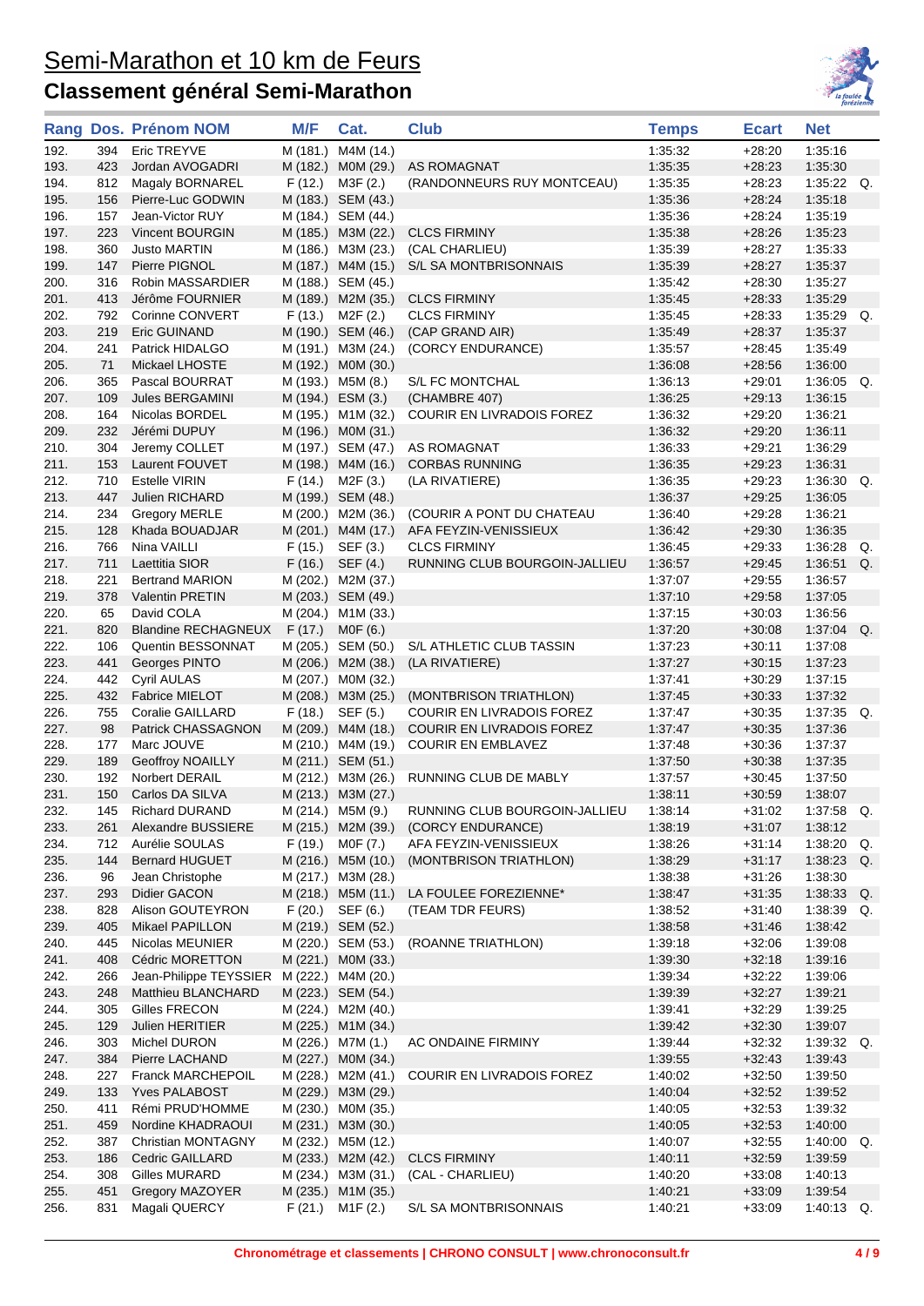

| 192.<br>Eric TREYVE<br>M (181.)<br>M4M (14.)<br>1:35:32<br>1:35:16<br>394<br>$+28:20$<br>193.<br>423<br>Jordan AVOGADRI<br>M (182.) MOM (29.)<br>1:35:35<br>$+28:23$<br>1:35:30<br>AS ROMAGNAT<br>(RANDONNEURS RUY MONTCEAU)<br>1:35:22<br>812<br>Magaly BORNAREL<br>F(12.)<br>M3F (2.)<br>1.35.35<br>$+28:23$<br>194.<br>1:35:36<br>1:35:18<br>195.<br>156<br>Pierre-Luc GODWIN<br>M (183.) SEM (43.)<br>$+28:24$<br>196.<br>M (184.) SEM (44.)<br>1.35.36<br>$+28:24$<br>1:35:19<br>157<br>Jean-Victor RUY<br>197.<br>Vincent BOURGIN<br>M (185.) M3M (22.)<br><b>CLCS FIRMINY</b><br>1:35:38<br>$+28:26$<br>1:35:23<br>223<br>360<br>M (186.) M3M (23.)<br>(CAL CHARLIEU)<br>1:35:39<br>1:35:33<br>198.<br><b>Justo MARTIN</b><br>+28:27<br>199.<br>147<br>Pierre PIGNOL<br>M (187.) M4M (15.)<br>S/L SA MONTBRISONNAIS<br>1.35.39<br>$+28:27$<br>1:35:37<br>200.<br>316<br>Robin MASSARDIER<br>M (188.) SEM (45.)<br>1:35:42<br>$+28:30$<br>1:35:27<br>1:35:29<br>201.<br>413<br>Jérôme FOURNIER<br>M (189.) M2M (35.)<br><b>CLCS FIRMINY</b><br>1:35:45<br>$+28:33$<br>1:35:29<br>202.<br>792<br>Corinne CONVERT<br>$F(13.)$ M2F $(2.)$<br><b>CLCS FIRMINY</b><br>1.35.45<br>$+28:33$<br>203.<br>219<br>Eric GUINAND<br>M (190.) SEM (46.)<br>(CAP GRAND AIR)<br>1:35:49<br>$+28:37$<br>1:35:37<br>204.<br>241<br>Patrick HIDALGO<br>M (191.) M3M (24.)<br>(CORCY ENDURANCE)<br>1.35.57<br>$+28:45$<br>1:35:49<br>205.<br>71<br>M (192.) M0M (30.)<br>1:36:08<br>$+28:56$<br>1:36:00<br>Mickael LHOSTE<br>206.<br>365<br>M (193.) M5M (8.)<br>S/L FC MONTCHAL<br>1.36.13<br>$+29:01$<br>1:36:05<br>Pascal BOURRAT<br>207.<br>Jules BERGAMINI<br>M (194.) ESM (3.)<br>(CHAMBRE 407)<br>1:36:25<br>$+29:13$<br>1:36:15<br>109<br>164<br>Nicolas BORDEL<br>M (195.) M1M (32.)<br>COURIR EN LIVRADOIS FOREZ<br>1:36:32<br>$+29:20$<br>1:36:21<br>208.<br>209.<br>232<br>Jérémi DUPUY<br>M (196.) MOM (31.)<br>1.36.32<br>$+29:20$<br>1:36:11<br>210.<br>304<br>Jeremy COLLET<br>M (197.) SEM (47.)<br><b>AS ROMAGNAT</b><br>1:36:33<br>$+29.21$<br>1:36:29<br>211.<br>153<br>Laurent FOUVET<br>M (198.) M4M (16.)<br><b>CORBAS RUNNING</b><br>1:36:35<br>$+29:23$<br>1:36:31<br>710<br>212.<br><b>Estelle VIRIN</b><br>F(14.)<br>M2F (3.)<br>1.36.35<br>$+29.23$<br>1:36:30<br>(LA RIVATIERE)<br>213.<br>1:36:05<br>447<br>Julien RICHARD<br>M (199.) SEM (48.)<br>1.36.37<br>$+29:25$<br>214.<br>234<br>M (200.) M2M (36.)<br>(COURIR A PONT DU CHATEAU<br>1.36.40<br>$+29:28$<br>1:36:21<br><b>Gregory MERLE</b><br>215.<br>1:36:35<br>128<br>Khada BOUADJAR<br>M (201.) M4M (17.)<br>AFA FEYZIN-VENISSIEUX<br>1.36.42<br>$+29:30$<br>216.<br>766<br>F(15.)<br><b>CLCS FIRMINY</b><br>1.36.45<br>1:36:28<br>Nina VAILLI<br>SEF (3.)<br>$+29:33$<br>217.<br>711<br>Laettitia SIOR<br>F(16.)<br>SEF (4.)<br>1.36.57<br>$+29:45$<br>1:36:51<br>RUNNING CLUB BOURGOIN-JALLIEU<br>218.<br>1:36:57<br>221<br><b>Bertrand MARION</b><br>M (202.) M2M (37.)<br>1:37:07<br>$+29:55$<br>219.<br>378<br><b>Valentin PRETIN</b><br>M (203.) SEM (49.)<br>1:37:10<br>$+29:58$<br>1:37:05<br>220.<br>65<br>David COLA<br>M (204.) M1M (33.)<br>1:37:15<br>$+30:03$<br>1:36:56<br>221.<br>820<br><b>Blandine RECHAGNEUX</b><br>F(17.)<br>MOF(6.)<br>1.37.20<br>$+30:08$<br>1:37:04<br>222.<br>1:37:08<br>106<br>Quentin BESSONNAT<br>M (205.) SEM (50.)<br>S/L ATHLETIC CLUB TASSIN<br>1.37.23<br>$+30:11$<br>223.<br>441<br>M (206.) M2M (38.)<br>(LA RIVATIERE)<br>1.37.27<br>$+30:15$<br>1.37.23<br>Georges PINTO<br>224.<br>442<br><b>Cyril AULAS</b><br>M (207.) M0M (32.)<br>1:37:41<br>$+30:29$<br>1:37:15 |    |
|-------------------------------------------------------------------------------------------------------------------------------------------------------------------------------------------------------------------------------------------------------------------------------------------------------------------------------------------------------------------------------------------------------------------------------------------------------------------------------------------------------------------------------------------------------------------------------------------------------------------------------------------------------------------------------------------------------------------------------------------------------------------------------------------------------------------------------------------------------------------------------------------------------------------------------------------------------------------------------------------------------------------------------------------------------------------------------------------------------------------------------------------------------------------------------------------------------------------------------------------------------------------------------------------------------------------------------------------------------------------------------------------------------------------------------------------------------------------------------------------------------------------------------------------------------------------------------------------------------------------------------------------------------------------------------------------------------------------------------------------------------------------------------------------------------------------------------------------------------------------------------------------------------------------------------------------------------------------------------------------------------------------------------------------------------------------------------------------------------------------------------------------------------------------------------------------------------------------------------------------------------------------------------------------------------------------------------------------------------------------------------------------------------------------------------------------------------------------------------------------------------------------------------------------------------------------------------------------------------------------------------------------------------------------------------------------------------------------------------------------------------------------------------------------------------------------------------------------------------------------------------------------------------------------------------------------------------------------------------------------------------------------------------------------------------------------------------------------------------------------------------------------------------------------------------------------------------------------------------------------------------------------------------------------------------------------------------------------------------------------------------------------------------------------------------------------------------------------------------------------------------------------------------------------------------------------------------------------------------|----|
|                                                                                                                                                                                                                                                                                                                                                                                                                                                                                                                                                                                                                                                                                                                                                                                                                                                                                                                                                                                                                                                                                                                                                                                                                                                                                                                                                                                                                                                                                                                                                                                                                                                                                                                                                                                                                                                                                                                                                                                                                                                                                                                                                                                                                                                                                                                                                                                                                                                                                                                                                                                                                                                                                                                                                                                                                                                                                                                                                                                                                                                                                                                                                                                                                                                                                                                                                                                                                                                                                                                                                                                                       |    |
|                                                                                                                                                                                                                                                                                                                                                                                                                                                                                                                                                                                                                                                                                                                                                                                                                                                                                                                                                                                                                                                                                                                                                                                                                                                                                                                                                                                                                                                                                                                                                                                                                                                                                                                                                                                                                                                                                                                                                                                                                                                                                                                                                                                                                                                                                                                                                                                                                                                                                                                                                                                                                                                                                                                                                                                                                                                                                                                                                                                                                                                                                                                                                                                                                                                                                                                                                                                                                                                                                                                                                                                                       |    |
|                                                                                                                                                                                                                                                                                                                                                                                                                                                                                                                                                                                                                                                                                                                                                                                                                                                                                                                                                                                                                                                                                                                                                                                                                                                                                                                                                                                                                                                                                                                                                                                                                                                                                                                                                                                                                                                                                                                                                                                                                                                                                                                                                                                                                                                                                                                                                                                                                                                                                                                                                                                                                                                                                                                                                                                                                                                                                                                                                                                                                                                                                                                                                                                                                                                                                                                                                                                                                                                                                                                                                                                                       | Q. |
|                                                                                                                                                                                                                                                                                                                                                                                                                                                                                                                                                                                                                                                                                                                                                                                                                                                                                                                                                                                                                                                                                                                                                                                                                                                                                                                                                                                                                                                                                                                                                                                                                                                                                                                                                                                                                                                                                                                                                                                                                                                                                                                                                                                                                                                                                                                                                                                                                                                                                                                                                                                                                                                                                                                                                                                                                                                                                                                                                                                                                                                                                                                                                                                                                                                                                                                                                                                                                                                                                                                                                                                                       |    |
|                                                                                                                                                                                                                                                                                                                                                                                                                                                                                                                                                                                                                                                                                                                                                                                                                                                                                                                                                                                                                                                                                                                                                                                                                                                                                                                                                                                                                                                                                                                                                                                                                                                                                                                                                                                                                                                                                                                                                                                                                                                                                                                                                                                                                                                                                                                                                                                                                                                                                                                                                                                                                                                                                                                                                                                                                                                                                                                                                                                                                                                                                                                                                                                                                                                                                                                                                                                                                                                                                                                                                                                                       |    |
|                                                                                                                                                                                                                                                                                                                                                                                                                                                                                                                                                                                                                                                                                                                                                                                                                                                                                                                                                                                                                                                                                                                                                                                                                                                                                                                                                                                                                                                                                                                                                                                                                                                                                                                                                                                                                                                                                                                                                                                                                                                                                                                                                                                                                                                                                                                                                                                                                                                                                                                                                                                                                                                                                                                                                                                                                                                                                                                                                                                                                                                                                                                                                                                                                                                                                                                                                                                                                                                                                                                                                                                                       |    |
|                                                                                                                                                                                                                                                                                                                                                                                                                                                                                                                                                                                                                                                                                                                                                                                                                                                                                                                                                                                                                                                                                                                                                                                                                                                                                                                                                                                                                                                                                                                                                                                                                                                                                                                                                                                                                                                                                                                                                                                                                                                                                                                                                                                                                                                                                                                                                                                                                                                                                                                                                                                                                                                                                                                                                                                                                                                                                                                                                                                                                                                                                                                                                                                                                                                                                                                                                                                                                                                                                                                                                                                                       |    |
|                                                                                                                                                                                                                                                                                                                                                                                                                                                                                                                                                                                                                                                                                                                                                                                                                                                                                                                                                                                                                                                                                                                                                                                                                                                                                                                                                                                                                                                                                                                                                                                                                                                                                                                                                                                                                                                                                                                                                                                                                                                                                                                                                                                                                                                                                                                                                                                                                                                                                                                                                                                                                                                                                                                                                                                                                                                                                                                                                                                                                                                                                                                                                                                                                                                                                                                                                                                                                                                                                                                                                                                                       |    |
|                                                                                                                                                                                                                                                                                                                                                                                                                                                                                                                                                                                                                                                                                                                                                                                                                                                                                                                                                                                                                                                                                                                                                                                                                                                                                                                                                                                                                                                                                                                                                                                                                                                                                                                                                                                                                                                                                                                                                                                                                                                                                                                                                                                                                                                                                                                                                                                                                                                                                                                                                                                                                                                                                                                                                                                                                                                                                                                                                                                                                                                                                                                                                                                                                                                                                                                                                                                                                                                                                                                                                                                                       |    |
|                                                                                                                                                                                                                                                                                                                                                                                                                                                                                                                                                                                                                                                                                                                                                                                                                                                                                                                                                                                                                                                                                                                                                                                                                                                                                                                                                                                                                                                                                                                                                                                                                                                                                                                                                                                                                                                                                                                                                                                                                                                                                                                                                                                                                                                                                                                                                                                                                                                                                                                                                                                                                                                                                                                                                                                                                                                                                                                                                                                                                                                                                                                                                                                                                                                                                                                                                                                                                                                                                                                                                                                                       |    |
|                                                                                                                                                                                                                                                                                                                                                                                                                                                                                                                                                                                                                                                                                                                                                                                                                                                                                                                                                                                                                                                                                                                                                                                                                                                                                                                                                                                                                                                                                                                                                                                                                                                                                                                                                                                                                                                                                                                                                                                                                                                                                                                                                                                                                                                                                                                                                                                                                                                                                                                                                                                                                                                                                                                                                                                                                                                                                                                                                                                                                                                                                                                                                                                                                                                                                                                                                                                                                                                                                                                                                                                                       | Q. |
|                                                                                                                                                                                                                                                                                                                                                                                                                                                                                                                                                                                                                                                                                                                                                                                                                                                                                                                                                                                                                                                                                                                                                                                                                                                                                                                                                                                                                                                                                                                                                                                                                                                                                                                                                                                                                                                                                                                                                                                                                                                                                                                                                                                                                                                                                                                                                                                                                                                                                                                                                                                                                                                                                                                                                                                                                                                                                                                                                                                                                                                                                                                                                                                                                                                                                                                                                                                                                                                                                                                                                                                                       |    |
|                                                                                                                                                                                                                                                                                                                                                                                                                                                                                                                                                                                                                                                                                                                                                                                                                                                                                                                                                                                                                                                                                                                                                                                                                                                                                                                                                                                                                                                                                                                                                                                                                                                                                                                                                                                                                                                                                                                                                                                                                                                                                                                                                                                                                                                                                                                                                                                                                                                                                                                                                                                                                                                                                                                                                                                                                                                                                                                                                                                                                                                                                                                                                                                                                                                                                                                                                                                                                                                                                                                                                                                                       |    |
|                                                                                                                                                                                                                                                                                                                                                                                                                                                                                                                                                                                                                                                                                                                                                                                                                                                                                                                                                                                                                                                                                                                                                                                                                                                                                                                                                                                                                                                                                                                                                                                                                                                                                                                                                                                                                                                                                                                                                                                                                                                                                                                                                                                                                                                                                                                                                                                                                                                                                                                                                                                                                                                                                                                                                                                                                                                                                                                                                                                                                                                                                                                                                                                                                                                                                                                                                                                                                                                                                                                                                                                                       | Q. |
|                                                                                                                                                                                                                                                                                                                                                                                                                                                                                                                                                                                                                                                                                                                                                                                                                                                                                                                                                                                                                                                                                                                                                                                                                                                                                                                                                                                                                                                                                                                                                                                                                                                                                                                                                                                                                                                                                                                                                                                                                                                                                                                                                                                                                                                                                                                                                                                                                                                                                                                                                                                                                                                                                                                                                                                                                                                                                                                                                                                                                                                                                                                                                                                                                                                                                                                                                                                                                                                                                                                                                                                                       |    |
|                                                                                                                                                                                                                                                                                                                                                                                                                                                                                                                                                                                                                                                                                                                                                                                                                                                                                                                                                                                                                                                                                                                                                                                                                                                                                                                                                                                                                                                                                                                                                                                                                                                                                                                                                                                                                                                                                                                                                                                                                                                                                                                                                                                                                                                                                                                                                                                                                                                                                                                                                                                                                                                                                                                                                                                                                                                                                                                                                                                                                                                                                                                                                                                                                                                                                                                                                                                                                                                                                                                                                                                                       |    |
|                                                                                                                                                                                                                                                                                                                                                                                                                                                                                                                                                                                                                                                                                                                                                                                                                                                                                                                                                                                                                                                                                                                                                                                                                                                                                                                                                                                                                                                                                                                                                                                                                                                                                                                                                                                                                                                                                                                                                                                                                                                                                                                                                                                                                                                                                                                                                                                                                                                                                                                                                                                                                                                                                                                                                                                                                                                                                                                                                                                                                                                                                                                                                                                                                                                                                                                                                                                                                                                                                                                                                                                                       |    |
|                                                                                                                                                                                                                                                                                                                                                                                                                                                                                                                                                                                                                                                                                                                                                                                                                                                                                                                                                                                                                                                                                                                                                                                                                                                                                                                                                                                                                                                                                                                                                                                                                                                                                                                                                                                                                                                                                                                                                                                                                                                                                                                                                                                                                                                                                                                                                                                                                                                                                                                                                                                                                                                                                                                                                                                                                                                                                                                                                                                                                                                                                                                                                                                                                                                                                                                                                                                                                                                                                                                                                                                                       |    |
|                                                                                                                                                                                                                                                                                                                                                                                                                                                                                                                                                                                                                                                                                                                                                                                                                                                                                                                                                                                                                                                                                                                                                                                                                                                                                                                                                                                                                                                                                                                                                                                                                                                                                                                                                                                                                                                                                                                                                                                                                                                                                                                                                                                                                                                                                                                                                                                                                                                                                                                                                                                                                                                                                                                                                                                                                                                                                                                                                                                                                                                                                                                                                                                                                                                                                                                                                                                                                                                                                                                                                                                                       |    |
|                                                                                                                                                                                                                                                                                                                                                                                                                                                                                                                                                                                                                                                                                                                                                                                                                                                                                                                                                                                                                                                                                                                                                                                                                                                                                                                                                                                                                                                                                                                                                                                                                                                                                                                                                                                                                                                                                                                                                                                                                                                                                                                                                                                                                                                                                                                                                                                                                                                                                                                                                                                                                                                                                                                                                                                                                                                                                                                                                                                                                                                                                                                                                                                                                                                                                                                                                                                                                                                                                                                                                                                                       | Q. |
|                                                                                                                                                                                                                                                                                                                                                                                                                                                                                                                                                                                                                                                                                                                                                                                                                                                                                                                                                                                                                                                                                                                                                                                                                                                                                                                                                                                                                                                                                                                                                                                                                                                                                                                                                                                                                                                                                                                                                                                                                                                                                                                                                                                                                                                                                                                                                                                                                                                                                                                                                                                                                                                                                                                                                                                                                                                                                                                                                                                                                                                                                                                                                                                                                                                                                                                                                                                                                                                                                                                                                                                                       |    |
|                                                                                                                                                                                                                                                                                                                                                                                                                                                                                                                                                                                                                                                                                                                                                                                                                                                                                                                                                                                                                                                                                                                                                                                                                                                                                                                                                                                                                                                                                                                                                                                                                                                                                                                                                                                                                                                                                                                                                                                                                                                                                                                                                                                                                                                                                                                                                                                                                                                                                                                                                                                                                                                                                                                                                                                                                                                                                                                                                                                                                                                                                                                                                                                                                                                                                                                                                                                                                                                                                                                                                                                                       |    |
|                                                                                                                                                                                                                                                                                                                                                                                                                                                                                                                                                                                                                                                                                                                                                                                                                                                                                                                                                                                                                                                                                                                                                                                                                                                                                                                                                                                                                                                                                                                                                                                                                                                                                                                                                                                                                                                                                                                                                                                                                                                                                                                                                                                                                                                                                                                                                                                                                                                                                                                                                                                                                                                                                                                                                                                                                                                                                                                                                                                                                                                                                                                                                                                                                                                                                                                                                                                                                                                                                                                                                                                                       |    |
|                                                                                                                                                                                                                                                                                                                                                                                                                                                                                                                                                                                                                                                                                                                                                                                                                                                                                                                                                                                                                                                                                                                                                                                                                                                                                                                                                                                                                                                                                                                                                                                                                                                                                                                                                                                                                                                                                                                                                                                                                                                                                                                                                                                                                                                                                                                                                                                                                                                                                                                                                                                                                                                                                                                                                                                                                                                                                                                                                                                                                                                                                                                                                                                                                                                                                                                                                                                                                                                                                                                                                                                                       | Q. |
|                                                                                                                                                                                                                                                                                                                                                                                                                                                                                                                                                                                                                                                                                                                                                                                                                                                                                                                                                                                                                                                                                                                                                                                                                                                                                                                                                                                                                                                                                                                                                                                                                                                                                                                                                                                                                                                                                                                                                                                                                                                                                                                                                                                                                                                                                                                                                                                                                                                                                                                                                                                                                                                                                                                                                                                                                                                                                                                                                                                                                                                                                                                                                                                                                                                                                                                                                                                                                                                                                                                                                                                                       | Q. |
|                                                                                                                                                                                                                                                                                                                                                                                                                                                                                                                                                                                                                                                                                                                                                                                                                                                                                                                                                                                                                                                                                                                                                                                                                                                                                                                                                                                                                                                                                                                                                                                                                                                                                                                                                                                                                                                                                                                                                                                                                                                                                                                                                                                                                                                                                                                                                                                                                                                                                                                                                                                                                                                                                                                                                                                                                                                                                                                                                                                                                                                                                                                                                                                                                                                                                                                                                                                                                                                                                                                                                                                                       |    |
|                                                                                                                                                                                                                                                                                                                                                                                                                                                                                                                                                                                                                                                                                                                                                                                                                                                                                                                                                                                                                                                                                                                                                                                                                                                                                                                                                                                                                                                                                                                                                                                                                                                                                                                                                                                                                                                                                                                                                                                                                                                                                                                                                                                                                                                                                                                                                                                                                                                                                                                                                                                                                                                                                                                                                                                                                                                                                                                                                                                                                                                                                                                                                                                                                                                                                                                                                                                                                                                                                                                                                                                                       |    |
|                                                                                                                                                                                                                                                                                                                                                                                                                                                                                                                                                                                                                                                                                                                                                                                                                                                                                                                                                                                                                                                                                                                                                                                                                                                                                                                                                                                                                                                                                                                                                                                                                                                                                                                                                                                                                                                                                                                                                                                                                                                                                                                                                                                                                                                                                                                                                                                                                                                                                                                                                                                                                                                                                                                                                                                                                                                                                                                                                                                                                                                                                                                                                                                                                                                                                                                                                                                                                                                                                                                                                                                                       |    |
|                                                                                                                                                                                                                                                                                                                                                                                                                                                                                                                                                                                                                                                                                                                                                                                                                                                                                                                                                                                                                                                                                                                                                                                                                                                                                                                                                                                                                                                                                                                                                                                                                                                                                                                                                                                                                                                                                                                                                                                                                                                                                                                                                                                                                                                                                                                                                                                                                                                                                                                                                                                                                                                                                                                                                                                                                                                                                                                                                                                                                                                                                                                                                                                                                                                                                                                                                                                                                                                                                                                                                                                                       | Q. |
|                                                                                                                                                                                                                                                                                                                                                                                                                                                                                                                                                                                                                                                                                                                                                                                                                                                                                                                                                                                                                                                                                                                                                                                                                                                                                                                                                                                                                                                                                                                                                                                                                                                                                                                                                                                                                                                                                                                                                                                                                                                                                                                                                                                                                                                                                                                                                                                                                                                                                                                                                                                                                                                                                                                                                                                                                                                                                                                                                                                                                                                                                                                                                                                                                                                                                                                                                                                                                                                                                                                                                                                                       |    |
|                                                                                                                                                                                                                                                                                                                                                                                                                                                                                                                                                                                                                                                                                                                                                                                                                                                                                                                                                                                                                                                                                                                                                                                                                                                                                                                                                                                                                                                                                                                                                                                                                                                                                                                                                                                                                                                                                                                                                                                                                                                                                                                                                                                                                                                                                                                                                                                                                                                                                                                                                                                                                                                                                                                                                                                                                                                                                                                                                                                                                                                                                                                                                                                                                                                                                                                                                                                                                                                                                                                                                                                                       |    |
|                                                                                                                                                                                                                                                                                                                                                                                                                                                                                                                                                                                                                                                                                                                                                                                                                                                                                                                                                                                                                                                                                                                                                                                                                                                                                                                                                                                                                                                                                                                                                                                                                                                                                                                                                                                                                                                                                                                                                                                                                                                                                                                                                                                                                                                                                                                                                                                                                                                                                                                                                                                                                                                                                                                                                                                                                                                                                                                                                                                                                                                                                                                                                                                                                                                                                                                                                                                                                                                                                                                                                                                                       |    |
| 225.<br>432<br>Fabrice MIELOT<br>(MONTBRISON TRIATHLON)<br>1:37:45<br>$+30:33$<br>1:37:32<br>M (208.) M3M (25.)                                                                                                                                                                                                                                                                                                                                                                                                                                                                                                                                                                                                                                                                                                                                                                                                                                                                                                                                                                                                                                                                                                                                                                                                                                                                                                                                                                                                                                                                                                                                                                                                                                                                                                                                                                                                                                                                                                                                                                                                                                                                                                                                                                                                                                                                                                                                                                                                                                                                                                                                                                                                                                                                                                                                                                                                                                                                                                                                                                                                                                                                                                                                                                                                                                                                                                                                                                                                                                                                                       |    |
| 226.<br>755<br>COURIR EN LIVRADOIS FOREZ<br>$+30:35$<br>1:37:35<br>Coralie GAILLARD<br>F (18.)<br>SEF (5.)<br>1:37:47<br>227.<br>98<br>M (209.) M4M (18.)<br><b>COURIR EN LIVRADOIS FOREZ</b><br>1.37.47<br>$+30:35$<br>1:37:36                                                                                                                                                                                                                                                                                                                                                                                                                                                                                                                                                                                                                                                                                                                                                                                                                                                                                                                                                                                                                                                                                                                                                                                                                                                                                                                                                                                                                                                                                                                                                                                                                                                                                                                                                                                                                                                                                                                                                                                                                                                                                                                                                                                                                                                                                                                                                                                                                                                                                                                                                                                                                                                                                                                                                                                                                                                                                                                                                                                                                                                                                                                                                                                                                                                                                                                                                                       | Q. |
| Patrick CHASSAGNON<br>228.<br><b>COURIR EN EMBLAVEZ</b><br>1:37:48<br>1:37:37<br>177<br>Marc JOUVE<br>M (210.) M4M (19.)<br>+30:36                                                                                                                                                                                                                                                                                                                                                                                                                                                                                                                                                                                                                                                                                                                                                                                                                                                                                                                                                                                                                                                                                                                                                                                                                                                                                                                                                                                                                                                                                                                                                                                                                                                                                                                                                                                                                                                                                                                                                                                                                                                                                                                                                                                                                                                                                                                                                                                                                                                                                                                                                                                                                                                                                                                                                                                                                                                                                                                                                                                                                                                                                                                                                                                                                                                                                                                                                                                                                                                                    |    |
| 229.<br>189<br>Geoffroy NOAILLY<br>M (211.) SEM (51.)<br>1:37:50<br>$+30:38$<br>1.37:35                                                                                                                                                                                                                                                                                                                                                                                                                                                                                                                                                                                                                                                                                                                                                                                                                                                                                                                                                                                                                                                                                                                                                                                                                                                                                                                                                                                                                                                                                                                                                                                                                                                                                                                                                                                                                                                                                                                                                                                                                                                                                                                                                                                                                                                                                                                                                                                                                                                                                                                                                                                                                                                                                                                                                                                                                                                                                                                                                                                                                                                                                                                                                                                                                                                                                                                                                                                                                                                                                                               |    |
| 230.<br>192<br><b>Norbert DERAIL</b><br>M (212.) M3M (26.)<br>1.37.57<br>$+30:45$<br>1:37:50<br>RUNNING CLUB DE MABLY                                                                                                                                                                                                                                                                                                                                                                                                                                                                                                                                                                                                                                                                                                                                                                                                                                                                                                                                                                                                                                                                                                                                                                                                                                                                                                                                                                                                                                                                                                                                                                                                                                                                                                                                                                                                                                                                                                                                                                                                                                                                                                                                                                                                                                                                                                                                                                                                                                                                                                                                                                                                                                                                                                                                                                                                                                                                                                                                                                                                                                                                                                                                                                                                                                                                                                                                                                                                                                                                                 |    |
| 231.<br>150<br>Carlos DA SILVA<br>M (213.) M3M (27.)<br>1:38:11<br>$+30:59$<br>1:38:07                                                                                                                                                                                                                                                                                                                                                                                                                                                                                                                                                                                                                                                                                                                                                                                                                                                                                                                                                                                                                                                                                                                                                                                                                                                                                                                                                                                                                                                                                                                                                                                                                                                                                                                                                                                                                                                                                                                                                                                                                                                                                                                                                                                                                                                                                                                                                                                                                                                                                                                                                                                                                                                                                                                                                                                                                                                                                                                                                                                                                                                                                                                                                                                                                                                                                                                                                                                                                                                                                                                |    |
| 232.<br>1:37:58 Q.<br>145<br>M (214.) M5M (9.)<br>RUNNING CLUB BOURGOIN-JALLIEU<br>1:38:14<br>$+31:02$<br><b>Richard DURAND</b>                                                                                                                                                                                                                                                                                                                                                                                                                                                                                                                                                                                                                                                                                                                                                                                                                                                                                                                                                                                                                                                                                                                                                                                                                                                                                                                                                                                                                                                                                                                                                                                                                                                                                                                                                                                                                                                                                                                                                                                                                                                                                                                                                                                                                                                                                                                                                                                                                                                                                                                                                                                                                                                                                                                                                                                                                                                                                                                                                                                                                                                                                                                                                                                                                                                                                                                                                                                                                                                                       |    |
| 233.<br>Alexandre BUSSIERE<br>M (215.) M2M (39.)<br>(CORCY ENDURANCE)<br>1:38:19<br>1:38:12<br>$+31:07$<br>261                                                                                                                                                                                                                                                                                                                                                                                                                                                                                                                                                                                                                                                                                                                                                                                                                                                                                                                                                                                                                                                                                                                                                                                                                                                                                                                                                                                                                                                                                                                                                                                                                                                                                                                                                                                                                                                                                                                                                                                                                                                                                                                                                                                                                                                                                                                                                                                                                                                                                                                                                                                                                                                                                                                                                                                                                                                                                                                                                                                                                                                                                                                                                                                                                                                                                                                                                                                                                                                                                        |    |
| 234.<br>Aurélie SOULAS<br>F (19.)<br>M0F (7.)<br>AFA FEYZIN-VENISSIEUX<br>1:38:26<br>1:38:20<br>712<br>$+31:14$                                                                                                                                                                                                                                                                                                                                                                                                                                                                                                                                                                                                                                                                                                                                                                                                                                                                                                                                                                                                                                                                                                                                                                                                                                                                                                                                                                                                                                                                                                                                                                                                                                                                                                                                                                                                                                                                                                                                                                                                                                                                                                                                                                                                                                                                                                                                                                                                                                                                                                                                                                                                                                                                                                                                                                                                                                                                                                                                                                                                                                                                                                                                                                                                                                                                                                                                                                                                                                                                                       | Q. |
| 1:38:23<br>235.<br>144<br><b>Bernard HUGUET</b><br>M (216.) M5M (10.)<br>(MONTBRISON TRIATHLON)<br>1:38:29<br>$+31:17$                                                                                                                                                                                                                                                                                                                                                                                                                                                                                                                                                                                                                                                                                                                                                                                                                                                                                                                                                                                                                                                                                                                                                                                                                                                                                                                                                                                                                                                                                                                                                                                                                                                                                                                                                                                                                                                                                                                                                                                                                                                                                                                                                                                                                                                                                                                                                                                                                                                                                                                                                                                                                                                                                                                                                                                                                                                                                                                                                                                                                                                                                                                                                                                                                                                                                                                                                                                                                                                                                | Q. |
| 1:38:30<br>236.<br>96<br>Jean Christophe<br>M (217.) M3M (28.)<br>1:38:38<br>$+31:26$                                                                                                                                                                                                                                                                                                                                                                                                                                                                                                                                                                                                                                                                                                                                                                                                                                                                                                                                                                                                                                                                                                                                                                                                                                                                                                                                                                                                                                                                                                                                                                                                                                                                                                                                                                                                                                                                                                                                                                                                                                                                                                                                                                                                                                                                                                                                                                                                                                                                                                                                                                                                                                                                                                                                                                                                                                                                                                                                                                                                                                                                                                                                                                                                                                                                                                                                                                                                                                                                                                                 |    |
| 237.<br>Didier GACON<br>M (218.) M5M (11.)<br>LA FOULEE FOREZIENNE*<br>1.38.47<br>$+31:35$<br>1:38:33<br>293                                                                                                                                                                                                                                                                                                                                                                                                                                                                                                                                                                                                                                                                                                                                                                                                                                                                                                                                                                                                                                                                                                                                                                                                                                                                                                                                                                                                                                                                                                                                                                                                                                                                                                                                                                                                                                                                                                                                                                                                                                                                                                                                                                                                                                                                                                                                                                                                                                                                                                                                                                                                                                                                                                                                                                                                                                                                                                                                                                                                                                                                                                                                                                                                                                                                                                                                                                                                                                                                                          | Q. |
| Alison GOUTEYRON<br>1:38:39<br>238.<br>828<br>$F(20.)$ SEF $(6.)$<br>(TEAM TDR FEURS)<br>1:38:52<br>$+31:40$                                                                                                                                                                                                                                                                                                                                                                                                                                                                                                                                                                                                                                                                                                                                                                                                                                                                                                                                                                                                                                                                                                                                                                                                                                                                                                                                                                                                                                                                                                                                                                                                                                                                                                                                                                                                                                                                                                                                                                                                                                                                                                                                                                                                                                                                                                                                                                                                                                                                                                                                                                                                                                                                                                                                                                                                                                                                                                                                                                                                                                                                                                                                                                                                                                                                                                                                                                                                                                                                                          | Q. |
| 239.<br>405<br><b>Mikael PAPILLON</b><br>M (219.) SEM (52.)<br>1:38:58<br>$+31:46$<br>1:38:42                                                                                                                                                                                                                                                                                                                                                                                                                                                                                                                                                                                                                                                                                                                                                                                                                                                                                                                                                                                                                                                                                                                                                                                                                                                                                                                                                                                                                                                                                                                                                                                                                                                                                                                                                                                                                                                                                                                                                                                                                                                                                                                                                                                                                                                                                                                                                                                                                                                                                                                                                                                                                                                                                                                                                                                                                                                                                                                                                                                                                                                                                                                                                                                                                                                                                                                                                                                                                                                                                                         |    |
| 445<br>Nicolas MEUNIER<br>M (220.) SEM (53.)<br>(ROANNE TRIATHLON)<br>1.39.18<br>$+32:06$<br>1:39:08<br>240.                                                                                                                                                                                                                                                                                                                                                                                                                                                                                                                                                                                                                                                                                                                                                                                                                                                                                                                                                                                                                                                                                                                                                                                                                                                                                                                                                                                                                                                                                                                                                                                                                                                                                                                                                                                                                                                                                                                                                                                                                                                                                                                                                                                                                                                                                                                                                                                                                                                                                                                                                                                                                                                                                                                                                                                                                                                                                                                                                                                                                                                                                                                                                                                                                                                                                                                                                                                                                                                                                          |    |
| 408<br>M (221.) M0M (33.)<br>1:39:30<br>1:39:16<br>241.<br>Cédric MORETTON<br>$+32:18$                                                                                                                                                                                                                                                                                                                                                                                                                                                                                                                                                                                                                                                                                                                                                                                                                                                                                                                                                                                                                                                                                                                                                                                                                                                                                                                                                                                                                                                                                                                                                                                                                                                                                                                                                                                                                                                                                                                                                                                                                                                                                                                                                                                                                                                                                                                                                                                                                                                                                                                                                                                                                                                                                                                                                                                                                                                                                                                                                                                                                                                                                                                                                                                                                                                                                                                                                                                                                                                                                                                |    |
| Jean-Philippe TEYSSIER<br>M (222.) M4M (20.)<br>1.39.34<br>$+32:22$<br>1:39:06<br>242.<br>266                                                                                                                                                                                                                                                                                                                                                                                                                                                                                                                                                                                                                                                                                                                                                                                                                                                                                                                                                                                                                                                                                                                                                                                                                                                                                                                                                                                                                                                                                                                                                                                                                                                                                                                                                                                                                                                                                                                                                                                                                                                                                                                                                                                                                                                                                                                                                                                                                                                                                                                                                                                                                                                                                                                                                                                                                                                                                                                                                                                                                                                                                                                                                                                                                                                                                                                                                                                                                                                                                                         |    |
| 243.<br>248<br>Matthieu BLANCHARD<br>M (223.) SEM (54.)<br>1:39:39<br>$+32:27$<br>1:39:21                                                                                                                                                                                                                                                                                                                                                                                                                                                                                                                                                                                                                                                                                                                                                                                                                                                                                                                                                                                                                                                                                                                                                                                                                                                                                                                                                                                                                                                                                                                                                                                                                                                                                                                                                                                                                                                                                                                                                                                                                                                                                                                                                                                                                                                                                                                                                                                                                                                                                                                                                                                                                                                                                                                                                                                                                                                                                                                                                                                                                                                                                                                                                                                                                                                                                                                                                                                                                                                                                                             |    |
| 305<br>Gilles FRECON<br>M (224.) M2M (40.)<br>1.39:41<br>$+32:29$<br>1:39:25<br>244.                                                                                                                                                                                                                                                                                                                                                                                                                                                                                                                                                                                                                                                                                                                                                                                                                                                                                                                                                                                                                                                                                                                                                                                                                                                                                                                                                                                                                                                                                                                                                                                                                                                                                                                                                                                                                                                                                                                                                                                                                                                                                                                                                                                                                                                                                                                                                                                                                                                                                                                                                                                                                                                                                                                                                                                                                                                                                                                                                                                                                                                                                                                                                                                                                                                                                                                                                                                                                                                                                                                  |    |
| 245.<br>129<br>M (225.) M1M (34.)<br>1:39:42<br>$+32:30$<br>1:39:07<br>Julien HERITIER                                                                                                                                                                                                                                                                                                                                                                                                                                                                                                                                                                                                                                                                                                                                                                                                                                                                                                                                                                                                                                                                                                                                                                                                                                                                                                                                                                                                                                                                                                                                                                                                                                                                                                                                                                                                                                                                                                                                                                                                                                                                                                                                                                                                                                                                                                                                                                                                                                                                                                                                                                                                                                                                                                                                                                                                                                                                                                                                                                                                                                                                                                                                                                                                                                                                                                                                                                                                                                                                                                                |    |
| M (226.) M7M (1.)<br>1.39.44<br>1:39:32<br>246.<br>303<br>Michel DURON<br>AC ONDAINE FIRMINY<br>+32:32<br>1:39:43<br>247.<br>384<br>Pierre LACHAND<br>M (227.) MOM (34.)<br>1:39:55<br>$+32:43$                                                                                                                                                                                                                                                                                                                                                                                                                                                                                                                                                                                                                                                                                                                                                                                                                                                                                                                                                                                                                                                                                                                                                                                                                                                                                                                                                                                                                                                                                                                                                                                                                                                                                                                                                                                                                                                                                                                                                                                                                                                                                                                                                                                                                                                                                                                                                                                                                                                                                                                                                                                                                                                                                                                                                                                                                                                                                                                                                                                                                                                                                                                                                                                                                                                                                                                                                                                                       | Q. |
| M (228.) M2M (41.)<br>1:39:50<br>248.<br>227<br><b>Franck MARCHEPOIL</b><br><b>COURIR EN LIVRADOIS FOREZ</b><br>1:40:02<br>$+32:50$                                                                                                                                                                                                                                                                                                                                                                                                                                                                                                                                                                                                                                                                                                                                                                                                                                                                                                                                                                                                                                                                                                                                                                                                                                                                                                                                                                                                                                                                                                                                                                                                                                                                                                                                                                                                                                                                                                                                                                                                                                                                                                                                                                                                                                                                                                                                                                                                                                                                                                                                                                                                                                                                                                                                                                                                                                                                                                                                                                                                                                                                                                                                                                                                                                                                                                                                                                                                                                                                   |    |
| 249.<br>133<br>M (229.) M3M (29.)<br>1:40:04<br>$+32:52$<br>1:39:52<br><b>Yves PALABOST</b>                                                                                                                                                                                                                                                                                                                                                                                                                                                                                                                                                                                                                                                                                                                                                                                                                                                                                                                                                                                                                                                                                                                                                                                                                                                                                                                                                                                                                                                                                                                                                                                                                                                                                                                                                                                                                                                                                                                                                                                                                                                                                                                                                                                                                                                                                                                                                                                                                                                                                                                                                                                                                                                                                                                                                                                                                                                                                                                                                                                                                                                                                                                                                                                                                                                                                                                                                                                                                                                                                                           |    |
| M (230.) M0M (35.)<br>1:40:05<br>1:39:32<br>250.<br>411<br>Rémi PRUD'HOMME<br>+32:53                                                                                                                                                                                                                                                                                                                                                                                                                                                                                                                                                                                                                                                                                                                                                                                                                                                                                                                                                                                                                                                                                                                                                                                                                                                                                                                                                                                                                                                                                                                                                                                                                                                                                                                                                                                                                                                                                                                                                                                                                                                                                                                                                                                                                                                                                                                                                                                                                                                                                                                                                                                                                                                                                                                                                                                                                                                                                                                                                                                                                                                                                                                                                                                                                                                                                                                                                                                                                                                                                                                  |    |
| 251.<br>Nordine KHADRAOUI<br>M (231.) M3M (30.)<br>1:40:05<br>$+32:53$<br>1:40:00<br>459                                                                                                                                                                                                                                                                                                                                                                                                                                                                                                                                                                                                                                                                                                                                                                                                                                                                                                                                                                                                                                                                                                                                                                                                                                                                                                                                                                                                                                                                                                                                                                                                                                                                                                                                                                                                                                                                                                                                                                                                                                                                                                                                                                                                                                                                                                                                                                                                                                                                                                                                                                                                                                                                                                                                                                                                                                                                                                                                                                                                                                                                                                                                                                                                                                                                                                                                                                                                                                                                                                              |    |
| 387<br>M (232.) M5M (12.)<br>1:40:07<br>1:40:00<br>252.<br><b>Christian MONTAGNY</b><br>$+32:55$                                                                                                                                                                                                                                                                                                                                                                                                                                                                                                                                                                                                                                                                                                                                                                                                                                                                                                                                                                                                                                                                                                                                                                                                                                                                                                                                                                                                                                                                                                                                                                                                                                                                                                                                                                                                                                                                                                                                                                                                                                                                                                                                                                                                                                                                                                                                                                                                                                                                                                                                                                                                                                                                                                                                                                                                                                                                                                                                                                                                                                                                                                                                                                                                                                                                                                                                                                                                                                                                                                      | Q. |
| 253.<br>186<br><b>Cedric GAILLARD</b><br>M (233.) M2M (42.)<br><b>CLCS FIRMINY</b><br>1:40:11<br>$+32:59$<br>1:39:59                                                                                                                                                                                                                                                                                                                                                                                                                                                                                                                                                                                                                                                                                                                                                                                                                                                                                                                                                                                                                                                                                                                                                                                                                                                                                                                                                                                                                                                                                                                                                                                                                                                                                                                                                                                                                                                                                                                                                                                                                                                                                                                                                                                                                                                                                                                                                                                                                                                                                                                                                                                                                                                                                                                                                                                                                                                                                                                                                                                                                                                                                                                                                                                                                                                                                                                                                                                                                                                                                  |    |
| 254.<br>308<br>M (234.) M3M (31.)<br>(CAL - CHARLIEU)<br>1:40:20<br>1:40:13<br>Gilles MURARD<br>$+33:08$                                                                                                                                                                                                                                                                                                                                                                                                                                                                                                                                                                                                                                                                                                                                                                                                                                                                                                                                                                                                                                                                                                                                                                                                                                                                                                                                                                                                                                                                                                                                                                                                                                                                                                                                                                                                                                                                                                                                                                                                                                                                                                                                                                                                                                                                                                                                                                                                                                                                                                                                                                                                                                                                                                                                                                                                                                                                                                                                                                                                                                                                                                                                                                                                                                                                                                                                                                                                                                                                                              |    |
| 255.<br>451<br>M (235.) M1M (35.)<br>1:40:21<br>$+33:09$<br>1.39:54<br><b>Gregory MAZOYER</b>                                                                                                                                                                                                                                                                                                                                                                                                                                                                                                                                                                                                                                                                                                                                                                                                                                                                                                                                                                                                                                                                                                                                                                                                                                                                                                                                                                                                                                                                                                                                                                                                                                                                                                                                                                                                                                                                                                                                                                                                                                                                                                                                                                                                                                                                                                                                                                                                                                                                                                                                                                                                                                                                                                                                                                                                                                                                                                                                                                                                                                                                                                                                                                                                                                                                                                                                                                                                                                                                                                         |    |
| Magali QUERCY<br>S/L SA MONTBRISONNAIS<br>1:40:21<br>1:40:13 Q.<br>256.<br>831<br>F (21.)<br>M1F (2.)<br>$+33:09$                                                                                                                                                                                                                                                                                                                                                                                                                                                                                                                                                                                                                                                                                                                                                                                                                                                                                                                                                                                                                                                                                                                                                                                                                                                                                                                                                                                                                                                                                                                                                                                                                                                                                                                                                                                                                                                                                                                                                                                                                                                                                                                                                                                                                                                                                                                                                                                                                                                                                                                                                                                                                                                                                                                                                                                                                                                                                                                                                                                                                                                                                                                                                                                                                                                                                                                                                                                                                                                                                     |    |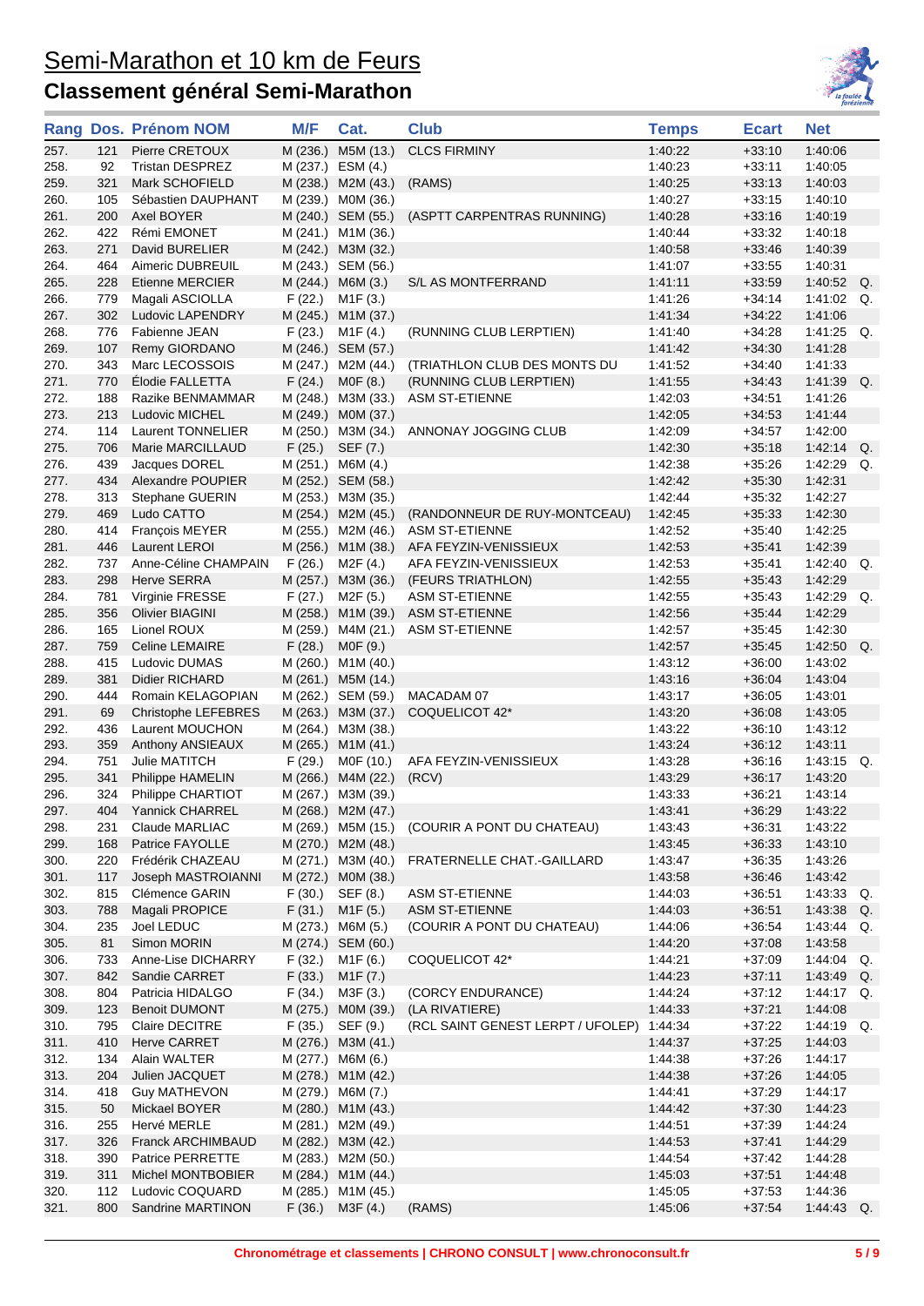

|              |            | Rang Dos. Prénom NOM                   | M/F      | Cat.                                    | <b>Club</b>                             | <b>Temps</b>       | <b>Ecart</b>         | <b>Net</b>                    |  |
|--------------|------------|----------------------------------------|----------|-----------------------------------------|-----------------------------------------|--------------------|----------------------|-------------------------------|--|
| 257.         | 121        | Pierre CRETOUX                         | M (236.) | M5M (13.)                               | <b>CLCS FIRMINY</b>                     | 1:40:22            | $+33:10$             | 1:40:06                       |  |
| 258.         | 92         | <b>Tristan DESPREZ</b>                 | M (237.) | ESM (4.)                                |                                         | 1:40:23            | $+33:11$             | 1:40:05                       |  |
| 259.         | 321        | Mark SCHOFIELD                         |          | M (238.) M2M (43.)                      | (RAMS)                                  | 1:40:25            | $+33:13$             | 1:40:03                       |  |
| 260.         | 105        | Sébastien DAUPHANT                     |          | M (239.) M0M (36.)                      |                                         | 1:40:27            | $+33:15$             | 1:40:10                       |  |
| 261.         | 200        | Axel BOYER                             |          | M (240.) SEM (55.)                      | (ASPTT CARPENTRAS RUNNING)              | 1:40:28            | $+33:16$             | 1:40:19                       |  |
| 262.         | 422        | Rémi EMONET                            |          | M (241.) M1M (36.)                      |                                         | 1.40:44            | $+33:32$             | 1:40:18                       |  |
| 263.         | 271        | David BURELIER                         |          | M (242.) M3M (32.)                      |                                         | 1:40:58            | $+33.46$             | 1:40:39                       |  |
| 264.         | 464        | Aimeric DUBREUIL                       |          | M (243.) SEM (56.)                      |                                         | 1:41:07            | $+33:55$             | 1:40:31                       |  |
| 265.         | 228        | Etienne MERCIER                        |          | M (244.) M6M (3.)                       | S/L AS MONTFERRAND                      | 1:41:11            | $+33:59$             | 1:40:52<br>Q.                 |  |
| 266.         | 779        | Magali ASCIOLLA                        | F (22.)  | M <sub>1</sub> F (3.)                   |                                         | 1:41:26            | $+34:14$             | 1:41:02<br>Q.                 |  |
| 267.         | 302        | Ludovic LAPENDRY                       |          | M (245.) M1M (37.)                      |                                         | 1:41:34            | $+34:22$             | 1:41:06                       |  |
| 268.         | 776        | Fabienne JEAN                          | F (23.)  | M1F (4.)                                | (RUNNING CLUB LERPTIEN)                 | 1:41:40            | $+34.28$             | 1:41:25<br>Q.                 |  |
| 269.         | 107        | Remy GIORDANO                          |          | M (246.) SEM (57.)                      |                                         | 1:41:42            | $+34:30$             | 1:41:28                       |  |
| 270.         | 343        | Marc LECOSSOIS                         |          | M (247.) M2M (44.)                      | (TRIATHLON CLUB DES MONTS DU            | 1:41:52            | $+34:40$             | 1:41:33                       |  |
| 271.         | 770        | Elodie FALLETTA                        | F(24.)   | MOF(8.)                                 | (RUNNING CLUB LERPTIEN)                 | 1:41:55            | $+34:43$             | 1:41:39<br>Q.                 |  |
| 272.         | 188        | Razike BENMAMMAR                       |          | M (248.) M3M (33.)                      | <b>ASM ST-ETIENNE</b>                   | 1:42:03            | $+34:51$             | 1:41:26                       |  |
| 273.         | 213        | Ludovic MICHEL                         | M (249.) | M0M (37.)                               |                                         | 1:42:05            | $+34.53$             | 1:41:44                       |  |
| 274.         | 114        | Laurent TONNELIER                      |          |                                         | M (250.) M3M (34.) ANNONAY JOGGING CLUB | 1:42:09            | $+34:57$             | 1:42:00                       |  |
| 275.         | 706        | Marie MARCILLAUD                       | F(25.)   | SEF (7.)                                |                                         | 1:42:30            | $+35:18$             | 1:42:14<br>Q.                 |  |
| 276.         | 439        | Jacques DOREL                          |          | M (251.) M6M (4.)                       |                                         | 1:42:38            | $+35:26$             | 1:42:29<br>Q.                 |  |
| 277.         | 434        | Alexandre POUPIER                      |          | M (252.) SEM (58.)                      |                                         | 1:42:42            | $+35:30$             | 1:42:31                       |  |
| 278.         | 313        | Stephane GUERIN                        |          | M (253.) M3M (35.)                      |                                         | 1:42:44            | $+35:32$             | 1:42:27                       |  |
| 279.         | 469        | Ludo CATTO                             |          | M (254.) M2M (45.)                      | (RANDONNEUR DE RUY-MONTCEAU)            | 1:42:45            | $+35:33$             | 1:42:30                       |  |
| 280.         | 414        | François MEYER                         |          | M (255.) M2M (46.)                      | <b>ASM ST-ETIENNE</b>                   | 1:42:52            | $+35:40$             | 1:42:25                       |  |
| 281.         | 446        | Laurent LEROI                          |          | M (256.) M1M (38.)                      | AFA FEYZIN-VENISSIEUX                   | 1.42.53            | $+35.41$             | 1:42:39                       |  |
| 282.         | 737        | Anne-Céline CHAMPAIN                   | F(26.)   | M2F (4.)                                | AFA FEYZIN-VENISSIEUX                   | 1:42:53            | $+35.41$             | $1:42:40$ Q.                  |  |
| 283.         | 298        | <b>Herve SERRA</b>                     |          |                                         | M (257.) M3M (36.) (FEURS TRIATHLON)    | 1:42:55            | $+35.43$             | 1:42:29                       |  |
| 284.         | 781        | Virginie FRESSE                        | F(27.)   | M2F (5.)                                | <b>ASM ST-ETIENNE</b>                   | 1:42:55            | $+35.43$             | 1:42:29<br>Q.                 |  |
| 285.         | 356        | <b>Olivier BIAGINI</b>                 |          | M (258.) M1M (39.)                      | <b>ASM ST-ETIENNE</b>                   | 1:42:56            | $+35.44$             | 1:42:29                       |  |
| 286.         | 165        | Lionel ROUX                            |          | M (259.) M4M (21.)                      | ASM ST-ETIENNE                          | 1:42:57            | $+35:45$             | 1:42:30                       |  |
| 287.         | 759        | Celine LEMAIRE                         | F(28.)   | MOF (9.)                                |                                         | 1:42:57            | $+35:45$             | $1:42:50$ Q.                  |  |
| 288.         | 415        | Ludovic DUMAS                          |          | M (260.) M1M (40.)                      |                                         | 1:43:12            | $+36:00$             | 1:43:02                       |  |
| 289.         | 381        | Didier RICHARD                         |          | M (261.) M5M (14.)                      |                                         | 1:43:16            | $+36:04$             | 1:43:04                       |  |
| 290.         | 444        | Romain KELAGOPIAN                      |          | M (262.) SEM (59.)                      | MACADAM 07                              | 1:43:17            | $+36:05$             | 1:43:01                       |  |
| 291.         | 69         | Christophe LEFEBRES                    |          | M (263.) M3M (37.)                      | COQUELICOT 42*                          | 1:43:20            | $+36:08$             | 1:43:05                       |  |
| 292.         | 436        | Laurent MOUCHON                        |          | M (264.) M3M (38.)                      |                                         | 1:43:22            | $+36:10$             | 1:43:12                       |  |
| 293.         | 359        | Anthony ANSIEAUX                       |          | M (265.) M1M (41.)                      |                                         | 1:43:24            | $+36:12$             | 1:43:11                       |  |
| 294.         | 751        | Julie MATITCH                          | F (29.)  | M0F (10.)                               | AFA FEYZIN-VENISSIEUX                   | 1:43:28            | $+36:16$             | $1:43:15$ Q.                  |  |
| 295.         | 341        | Philippe HAMELIN                       |          | M (266.) M4M (22.)                      | (RCV)                                   | 1:43:29            | $+36:17$             | 1:43:20                       |  |
| 296.         | 324        | Philippe CHARTIOT                      |          | M (267.) M3M (39.)                      |                                         | 1:43:33            | $+36.21$             | 1:43:14                       |  |
| 297.         |            | 404 Yannick CHARREL                    |          | M (268.) M2M (47.)                      |                                         | 1:43:41            | $+36:29$             | 1:43:22                       |  |
| 298.         | 231        | Claude MARLIAC                         |          | M (269.) M5M (15.)                      | (COURIR A PONT DU CHATEAU)              | 1:43:43            | $+36:31$             | 1:43:22                       |  |
| 299.         | 168        | Patrice FAYOLLE                        |          | M (270.) M2M (48.)                      |                                         | 1:43:45            | $+36:33$             | 1:43:10                       |  |
| 300.         | 220        | Frédérik CHAZEAU                       |          | M (271.) M3M (40.)                      | FRATERNELLE CHAT.-GAILLARD              | 1:43:47            | $+36:35$             | 1:43:26                       |  |
| 301.         | 117        | Joseph MASTROIANNI                     |          | M (272.) M0M (38.)                      |                                         | 1:43:58            | $+36:46$             | 1:43:42                       |  |
| 302.         | 815        | Clémence GARIN                         | F(30.)   | SEF (8.)                                | <b>ASM ST-ETIENNE</b>                   | 1:44:03            | $+36:51$             | 1:43:33<br>Q.                 |  |
| 303.         | 788        | Magali PROPICE                         | F(31.)   | M1F (5.)                                | <b>ASM ST-ETIENNE</b>                   | 1:44:03            | $+36:51$             | $1:43:38$ Q.                  |  |
| 304.         | 235        | Joel LEDUC                             |          | M (273.) M6M (5.)                       | (COURIR A PONT DU CHATEAU)              | 1:44:06            | $+36:54$             | $1:43:44$ Q.                  |  |
| 305.         | 81         | Simon MORIN                            |          | M (274.) SEM (60.)                      |                                         | 1:44:20            | $+37:08$             | 1:43:58                       |  |
| 306.         | 733        | Anne-Lise DICHARRY                     | F (32.)  | M1F (6.)                                | COQUELICOT 42*                          | 1:44:21            | $+37:09$             | 1:44:04<br>Q.<br>$1.43.49$ Q. |  |
| 307.         | 842        | Sandie CARRET                          | F(33.)   | M1F (7.)                                |                                         | 1:44:23            | $+37:11$             |                               |  |
| 308.         | 804        | Patricia HIDALGO                       | F(34.)   | M3F (3.)                                | (CORCY ENDURANCE)                       | 1:44:24            | $+37:12$             | 1:44:17 Q.<br>1:44:08         |  |
| 309.         | 123<br>795 | <b>Benoit DUMONT</b><br>Claire DECITRE |          | M (275.) M0M (39.)                      | (LA RIVATIERE)                          | 1:44:33            | $+37:21$<br>$+37:22$ | 1:44:19 Q.                    |  |
| 310.<br>311. | 410        | Herve CARRET                           | F (35.)  | SEF (9.)                                | (RCL SAINT GENEST LERPT / UFOLEP)       | 1:44:34<br>1:44:37 | $+37:25$             | 1:44:03                       |  |
| 312.         |            | Alain WALTER                           |          | M (276.) M3M (41.)                      |                                         | 1:44:38            | $+37:26$             | 1:44:17                       |  |
| 313.         | 134<br>204 | Julien JACQUET                         |          | M (277.) M6M (6.)<br>M (278.) M1M (42.) |                                         | 1:44:38            | $+37:26$             | 1:44:05                       |  |
| 314.         | 418        | <b>Guy MATHEVON</b>                    |          | M (279.) M6M (7.)                       |                                         | 1:44:41            | $+37:29$             | 1:44:17                       |  |
| 315.         | 50         | Mickael BOYER                          |          | M (280.) M1M (43.)                      |                                         | 1:44:42            | $+37:30$             | 1:44:23                       |  |
|              |            | Hervé MERLE                            |          | M (281.) M2M (49.)                      |                                         | 1:44:51            |                      | 1:44:24                       |  |
| 316.<br>317. | 255<br>326 | Franck ARCHIMBAUD                      |          | M (282.) M3M (42.)                      |                                         | 1:44:53            | $+37:39$<br>$+37.41$ | 1:44:29                       |  |
| 318.         | 390        | Patrice PERRETTE                       |          | M (283.) M2M (50.)                      |                                         | 1:44:54            | $+37:42$             | 1:44:28                       |  |
| 319.         | 311        | Michel MONTBOBIER                      |          | M (284.) M1M (44.)                      |                                         | 1:45:03            | $+37:51$             | 1:44:48                       |  |
| 320.         | 112        | Ludovic COQUARD                        |          | M (285.) M1M (45.)                      |                                         | 1:45:05            | $+37:53$             | 1:44:36                       |  |
| 321.         | 800        | Sandrine MARTINON                      | F(36.)   | M3F (4.)                                | (RAMS)                                  | 1:45:06            | $+37:54$             | 1:44:43 Q.                    |  |
|              |            |                                        |          |                                         |                                         |                    |                      |                               |  |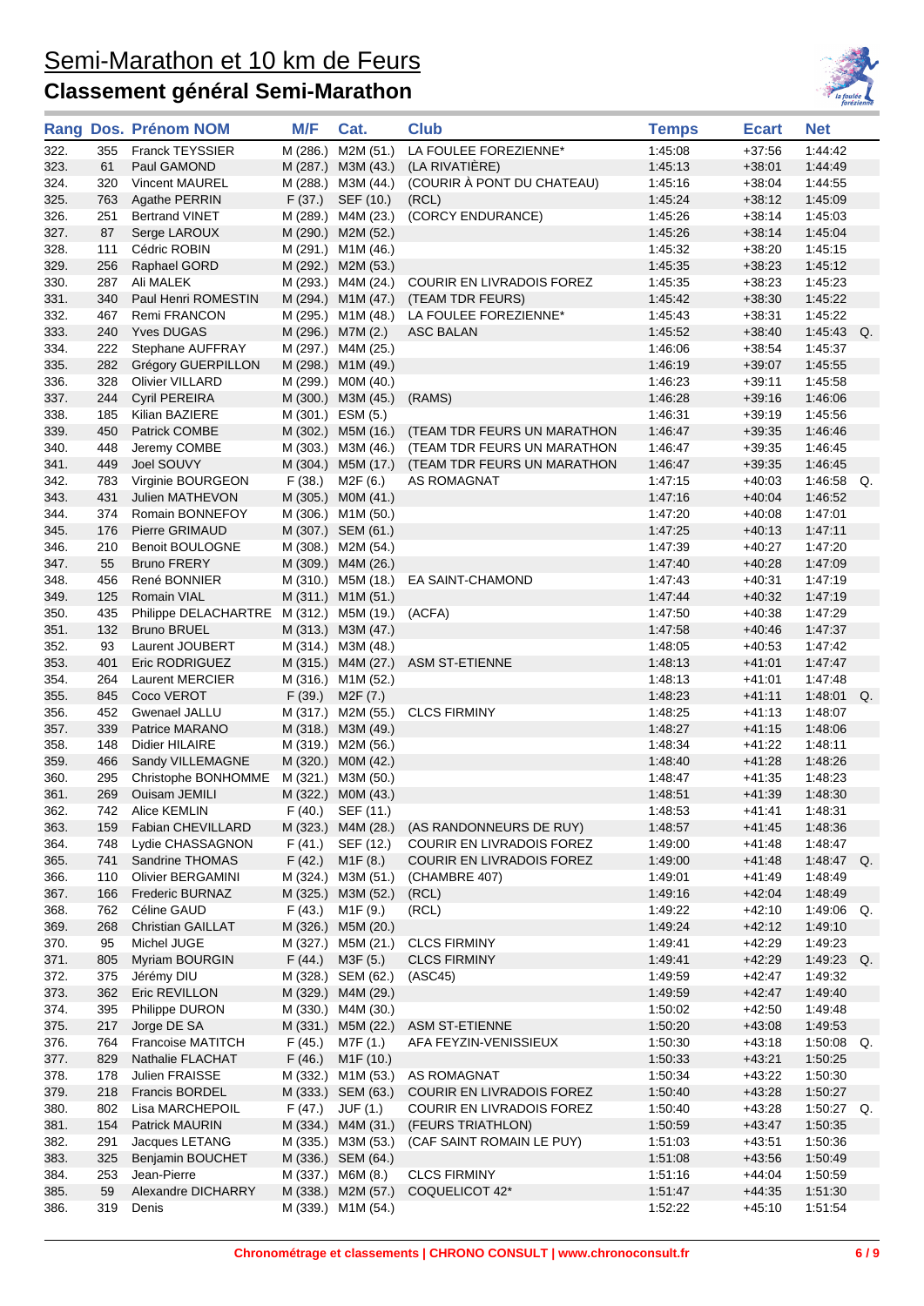

|              |           | Rang Dos. Prénom NOM                    | M/F     | Cat.                                     | <b>Club</b>                                    | <b>Temps</b>       | <b>Ecart</b>         | <b>Net</b>         |
|--------------|-----------|-----------------------------------------|---------|------------------------------------------|------------------------------------------------|--------------------|----------------------|--------------------|
| 322.         | 355       | <b>Franck TEYSSIER</b>                  |         | M (286.) M2M (51.)                       | LA FOULEE FOREZIENNE*                          | 1:45:08            | $+37:56$             | 1:44:42            |
| 323.         | 61        | Paul GAMOND                             |         | M (287.) M3M (43.)                       | (LA RIVATIÈRE)                                 | 1:45:13            | $+38:01$             | 1:44:49            |
| 324.         | 320       | Vincent MAUREL                          |         | M (288.) M3M (44.)                       | (COURIR A PONT DU CHATEAU)                     | 1:45:16            | $+38:04$             | 1:44:55            |
| 325.         | 763       | Agathe PERRIN                           | F(37.)  | SEF (10.)                                | (RCL)                                          | 1:45:24            | $+38:12$             | 1:45:09            |
| 326.         | 251       | <b>Bertrand VINET</b>                   |         | M (289.) M4M (23.)                       | (CORCY ENDURANCE)                              | 1:45:26            | $+38:14$             | 1:45:03            |
| 327.         | 87        | Serge LAROUX                            |         | M (290.) M2M (52.)                       |                                                | 1:45:26            | $+38:14$             | 1:45:04            |
| 328.         | 111       | Cédric ROBIN                            |         | M (291.) M1M (46.)                       |                                                | 1:45:32            | $+38:20$             | 1:45:15            |
| 329.         | 256       | Raphael GORD                            |         | M (292.) M2M (53.)                       |                                                | 1:45:35            | $+38:23$             | 1:45:12            |
| 330.         | 287       | Ali MALEK                               |         | M (293.) M4M (24.)                       | COURIR EN LIVRADOIS FOREZ                      | 1:45:35            | $+38:23$             | 1:45:23            |
| 331.         | 340       | Paul Henri ROMESTIN                     |         |                                          | M (294.) M1M (47.) (TEAM TDR FEURS)            | 1.45.42            | $+38:30$             | 1:45:22            |
| 332.         | 467       | <b>Remi FRANCON</b>                     |         | M (295.) M1M (48.)                       | LA FOULEE FOREZIENNE*                          | 1:45:43            | $+38:31$             | 1:45:22            |
| 333.         | 240       | <b>Yves DUGAS</b>                       |         | M (296.) M7M (2.)                        | <b>ASC BALAN</b>                               | 1:45:52            | $+38:40$             | 1:45:43 Q.         |
| 334.         | 222       | Stephane AUFFRAY                        |         | M (297.) M4M (25.)                       |                                                | 1:46:06            | $+38:54$             | 1:45:37            |
| 335.         | 282       | Grégory GUERPILLON                      |         | M (298.) M1M (49.)                       |                                                | 1:46:19            | $+39:07$             | 1:45:55            |
| 336.         | 328       | Olivier VILLARD                         |         | M (299.) M0M (40.)                       |                                                | 1:46:23            | $+39:11$             | 1:45:58            |
| 337.         | 244       | <b>Cyril PEREIRA</b>                    |         | M (300.) M3M (45.)                       | (RAMS)                                         | 1:46:28            | $+39:16$             | 1:46:06            |
| 338.         | 185       | Kilian BAZIERE                          |         | M (301.) ESM (5.)                        |                                                | 1:46:31            | $+39:19$             | 1:45:56            |
| 339.         | 450       | Patrick COMBE                           |         |                                          | M (302.) M5M (16.) (TEAM TDR FEURS UN MARATHON | 1:46:47            | $+39:35$             | 1:46:46            |
| 340.         | 448       | Jeremy COMBE                            |         |                                          | M (303.) M3M (46.) (TEAM TDR FEURS UN MARATHON | 1.46:47            | $+39:35$             | 1:46:45            |
| 341.         | 449       | Joel SOUVY                              |         |                                          | M (304.) M5M (17.) (TEAM TDR FEURS UN MARATHON | 1:46:47            | $+39:35$             | 1:46:45            |
| 342.         | 783       | Virginie BOURGEON                       |         | $F(38.)$ M2F $(6.)$                      | AS ROMAGNAT                                    | 1:47:15            | $+40:03$             | 1:46:58 Q.         |
| 343.         | 431       | Julien MATHEVON                         |         | M (305.) M0M (41.)                       |                                                | 1:47:16            | $+40:04$             | 1:46:52            |
| 344.         | 374       | Romain BONNEFOY                         |         | M (306.) M1M (50.)                       |                                                | 1.47:20            | $+40:08$             | 1:47:01            |
| 345.         | 176       | Pierre GRIMAUD                          |         | M (307.) SEM (61.)                       |                                                | 1:47:25            | $+40:13$             | 1:47:11            |
| 346.         | 210       | <b>Benoit BOULOGNE</b>                  |         | M (308.) M2M (54.)                       |                                                | 1:47:39            | $+40:27$             | 1:47:20            |
| 347.         | 55        | <b>Bruno FRERY</b>                      |         | M (309.) M4M (26.)                       |                                                | 1:47:40            | $+40:28$             | 1:47:09            |
| 348.         | 456       | René BONNIER                            |         | M (310.) M5M (18.)                       | EA SAINT-CHAMOND                               | 1.47:43            | $+40:31$             | 1:47:19            |
| 349.         | 125       | Romain VIAL                             |         | M (311.) M1M (51.)                       |                                                | 1.47.44            | $+40:32$             | 1:47:19            |
| 350.         | 435       | Philippe DELACHARTRE M (312.) M5M (19.) |         |                                          | (ACFA)                                         | 1:47:50            | $+40.38$             | 1:47:29            |
| 351.         | 132       | <b>Bruno BRUEL</b>                      |         | M (313.) M3M (47.)<br>M (314.) M3M (48.) |                                                | 1:47:58            | $+40.46$             | 1:47:37            |
| 352.<br>353. | 93<br>401 | Laurent JOUBERT<br>Eric RODRIGUEZ       |         | M (315.) M4M (27.)                       | <b>ASM ST-ETIENNE</b>                          | 1:48:05<br>1:48:13 | $+40:53$<br>$+41:01$ | 1:47:42<br>1:47:47 |
| 354.         | 264       | <b>Laurent MERCIER</b>                  |         | M (316.) M1M (52.)                       |                                                | 1:48:13            | +41:01               | 1:47:48            |
| 355.         | 845       | Coco VEROT                              |         | $F(39.)$ M2F $(7.)$                      |                                                | 1:48:23            | $+41:11$             | 1:48:01 Q.         |
| 356.         | 452       | Gwenael JALLU                           |         | M (317.) M2M (55.)                       | <b>CLCS FIRMINY</b>                            | 1:48:25            | $+41:13$             | 1:48:07            |
| 357.         | 339       | Patrice MARANO                          |         | M (318.) M3M (49.)                       |                                                | 1:48:27            | $+41:15$             | 1:48:06            |
| 358.         | 148       | Didier HILAIRE                          |         | M (319.) M2M (56.)                       |                                                | 1:48:34            | $+41:22$             | 1:48:11            |
| 359.         | 466       | Sandy VILLEMAGNE                        |         | M (320.) M0M (42.)                       |                                                | 1:48:40            | $+41:28$             | 1:48:26            |
| 360.         | 295       | Christophe BONHOMME                     |         | M (321.) M3M (50.)                       |                                                | 1.48:47            | $+41:35$             | 1:48:23            |
| 361.         | 269       | Ouisam JEMILI                           |         | M (322.) M0M (43.)                       |                                                | 1:48:51            | $+41:39$             | 1:48:30            |
| 362.         |           | 742 Alice KEMLIN                        |         | $F(40.)$ SEF $(11.)$                     |                                                | 1:48:53            | $+41:41$             | 1:48:31            |
| 363.         | 159       | Fabian CHEVILLARD                       |         | M (323.) M4M (28.)                       | (AS RANDONNEURS DE RUY)                        | 1:48:57            | +41:45               | 1:48:36            |
| 364.         | 748       | Lydie CHASSAGNON                        | F(41.)  | SEF (12.)                                | <b>COURIR EN LIVRADOIS FOREZ</b>               | 1:49:00            | $+41:48$             | 1:48:47            |
| 365.         | 741       | Sandrine THOMAS                         | F(42.)  | M1F(8.)                                  | <b>COURIR EN LIVRADOIS FOREZ</b>               | 1:49:00            | $+41:48$             | $1.48.47$ Q.       |
| 366.         | 110       | Olivier BERGAMINI                       |         | M (324.) M3M (51.)                       | (CHAMBRE 407)                                  | 1:49:01            | $+41:49$             | 1:48:49            |
| 367.         | 166       | <b>Frederic BURNAZ</b>                  |         | M (325.) M3M (52.)                       | (RCL)                                          | 1:49:16            | $+42:04$             | 1:48:49            |
| 368.         | 762       | Céline GAUD                             | F (43.) | M <sub>1</sub> F (9.)                    | (RCL)                                          | 1:49:22            | $+42:10$             | $1:49:06$ Q.       |
| 369.         | 268       | <b>Christian GAILLAT</b>                |         | M (326.) M5M (20.)                       |                                                | 1:49:24            | +42:12               | 1:49:10            |
| 370.         | 95        | Michel JUGE                             |         | M (327.) M5M (21.)                       | <b>CLCS FIRMINY</b>                            | 1:49:41            | $+42.29$             | 1:49:23            |
| 371.         | 805       | Myriam BOURGIN                          |         | $F(44.)$ M3F $(5.)$                      | <b>CLCS FIRMINY</b>                            | 1:49:41            | $+42:29$             | $1:49:23$ Q.       |
| 372.         | 375       | Jérémy DIU                              |         | M (328.) SEM (62.)                       | (ASC45)                                        | 1:49:59            | +42:47               | 1:49:32            |
| 373.         | 362       | Eric REVILLON                           |         | M (329.) M4M (29.)                       |                                                | 1:49:59            | +42:47               | 1:49:40            |
| 374.         | 395       | Philippe DURON                          |         | M (330.) M4M (30.)                       |                                                | 1:50:02            | $+42:50$             | 1:49:48            |
| 375.         | 217       | Jorge DE SA                             |         | M (331.) M5M (22.)                       | <b>ASM ST-ETIENNE</b>                          | 1:50:20            | $+43:08$             | 1:49:53            |
| 376.         | 764       | <b>Francoise MATITCH</b>                | F (45.) | M7F (1.)                                 | AFA FEYZIN-VENISSIEUX                          | 1:50:30            | $+43:18$             | 1:50:08<br>Q.      |
| 377.         | 829       | Nathalie FLACHAT                        | F(46.)  | M <sub>1</sub> F (10.)                   |                                                | 1:50:33            | $+43.21$             | 1:50:25            |
| 378.         | 178       | Julien FRAISSE                          |         | M (332.) M1M (53.)                       | AS ROMAGNAT                                    | 1:50:34            | $+43:22$             | 1:50:30            |
| 379.         | 218       | Francis BORDEL                          |         | M (333.) SEM (63.)                       | <b>COURIR EN LIVRADOIS FOREZ</b>               | 1:50:40            | $+43.28$             | 1:50:27            |
| 380.         | 802       | Lisa MARCHEPOIL                         |         | $F(47.)$ JUF $(1.)$                      | <b>COURIR EN LIVRADOIS FOREZ</b>               | 1:50:40            | $+43.28$             | $1:50:27$ Q.       |
| 381.         | 154       | Patrick MAURIN                          |         | M (334.) M4M (31.)                       | (FEURS TRIATHLON)                              | 1:50:59            | $+43.47$             | 1:50:35            |
| 382.         | 291       | Jacques LETANG                          |         | M (335.) M3M (53.)                       | (CAF SAINT ROMAIN LE PUY)                      | 1:51:03            | +43:51               | 1:50:36            |
| 383.         | 325       | Benjamin BOUCHET                        |         | M (336.) SEM (64.)                       |                                                | 1:51:08            | +43:56               | 1:50:49            |
| 384.         | 253       | Jean-Pierre                             |         | M (337.) M6M (8.)                        | <b>CLCS FIRMINY</b>                            | 1:51:16            | $+44:04$             | 1:50:59            |
| 385.         | 59        | Alexandre DICHARRY                      |         | M (338.) M2M (57.)                       | COQUELICOT 42*                                 | 1:51:47            | $+44:35$             | 1:51:30            |
| 386.         | 319       | Denis                                   |         | M (339.) M1M (54.)                       |                                                | 1:52:22            | $+45:10$             | 1:51:54            |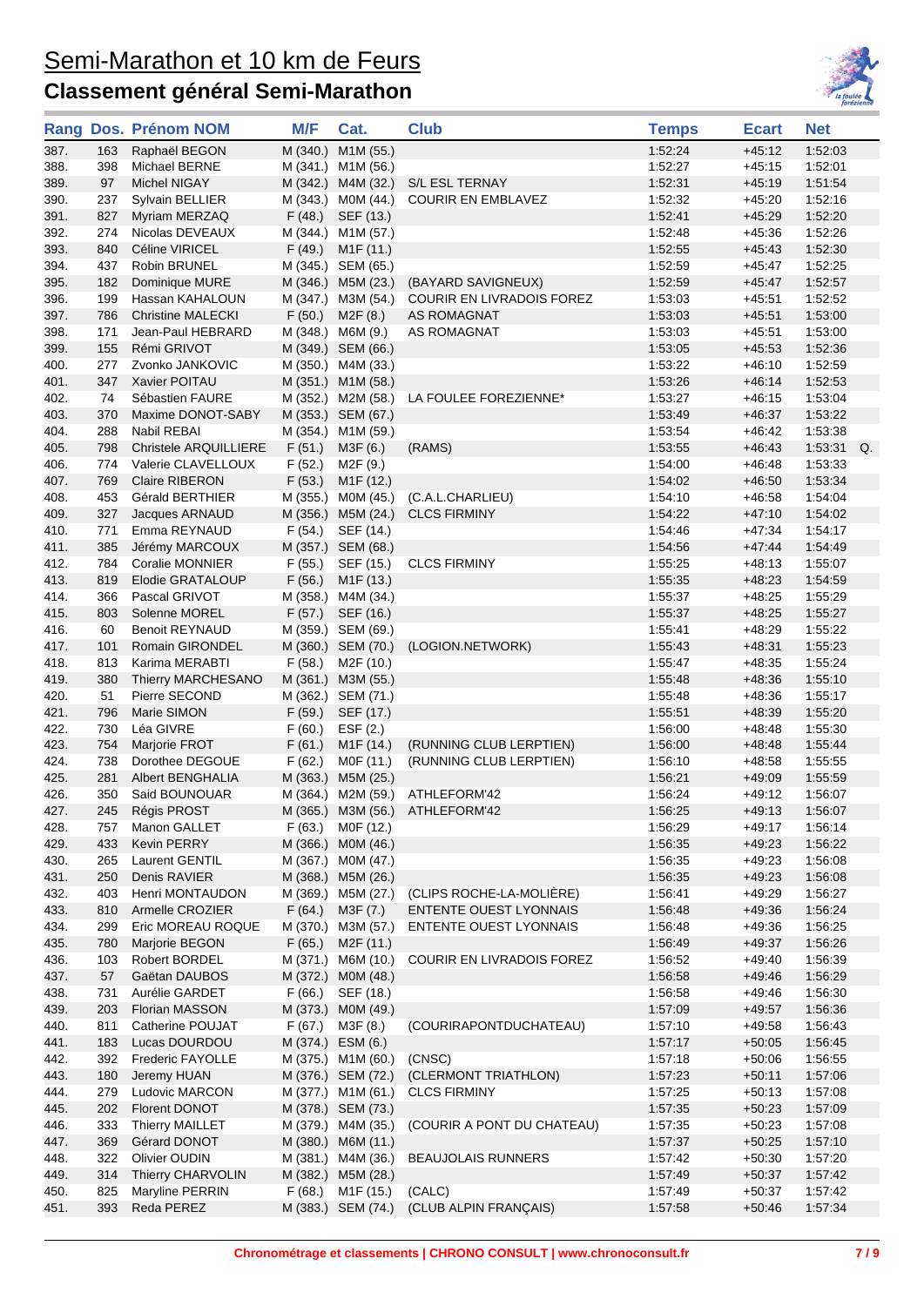

|              |            | Rang Dos. Prénom NOM             | M/F      | Cat.                                     | <b>Club</b>                                        | <b>Temps</b>       | <b>Ecart</b>         | <b>Net</b>         |
|--------------|------------|----------------------------------|----------|------------------------------------------|----------------------------------------------------|--------------------|----------------------|--------------------|
| 387.         | 163        | Raphaël BEGON                    | M (340.) | M1M (55.)                                |                                                    | 1:52:24            | $+45:12$             | 1:52:03            |
| 388.         | 398        | Michael BERNE                    |          | M (341.) M1M (56.)                       |                                                    | 1:52:27            | $+45:15$             | 1:52:01            |
| 389.         | 97         | <b>Michel NIGAY</b>              |          | M (342.) M4M (32.)                       | S/L ESL TERNAY                                     | 1:52:31            | $+45:19$             | 1:51:54            |
| 390.         | 237        | Sylvain BELLIER                  |          | M (343.) MOM (44.)                       | COURIR EN EMBLAVEZ                                 | 1:52:32            | $+45:20$             | 1:52:16            |
| 391.         | 827        | Myriam MERZAQ                    | F(48.)   | SEF (13.)                                |                                                    | 1:52:41            | $+45.29$             | 1:52:20            |
| 392.         | 274        | Nicolas DEVEAUX                  |          | M (344.) M1M (57.)                       |                                                    | 1:52:48            | $+45:36$             | 1:52:26            |
| 393.         | 840        | Céline VIRICEL                   | F(49.)   | M <sub>1</sub> F (11.)                   |                                                    | 1:52:55            | $+45.43$             | 1:52:30            |
| 394.         | 437        | Robin BRUNEL                     |          | M (345.) SEM (65.)                       |                                                    | 1:52:59            | $+45:47$             | 1:52:25            |
| 395.         | 182        | Dominique MURE                   |          | M (346.) M5M (23.)                       | (BAYARD SAVIGNEUX)                                 | 1:52:59            | $+45:47$             | 1:52:57            |
| 396.         | 199        | Hassan KAHALOUN                  |          | M (347.) M3M (54.)                       | COURIR EN LIVRADOIS FOREZ                          | 1:53:03            | $+45.51$             | 1:52:52            |
| 397.         | 786        | <b>Christine MALECKI</b>         | F(50.)   | M2F(8.)                                  | AS ROMAGNAT                                        | 1:53:03            | $+45.51$             | 1:53:00            |
| 398.         | 171        | Jean-Paul HEBRARD                |          | M (348.) M6M (9.)                        | AS ROMAGNAT                                        | 1:53:03            | $+45:51$             | 1:53:00            |
| 399.         | 155        | Rémi GRIVOT                      |          | M (349.) SEM (66.)<br>M (350.) M4M (33.) |                                                    | 1:53:05            | $+45:53$             | 1:52:36<br>1:52:59 |
| 400.<br>401. | 277<br>347 | Zvonko JANKOVIC<br>Xavier POITAU |          | M (351.) M1M (58.)                       |                                                    | 1:53:22<br>1:53:26 | $+46:10$<br>$+46:14$ | 1:52:53            |
| 402.         | 74         | Sébastien FAURE                  |          | M (352.) M2M (58.)                       | LA FOULEE FOREZIENNE*                              | 1:53:27            | $+46:15$             | 1:53:04            |
| 403.         | 370        | Maxime DONOT-SABY                |          | M (353.) SEM (67.)                       |                                                    | 1:53:49            | $+46:37$             | 1:53:22            |
| 404.         | 288        | Nabil REBAI                      |          | M (354.) M1M (59.)                       |                                                    | 1:53:54            | $+46.42$             | 1:53:38            |
| 405.         | 798        | Christele ARQUILLIERE            | F(51.)   | M3F (6.)                                 | (RAMS)                                             | 1:53:55            | $+46:43$             | $1:53:31$ Q.       |
| 406.         | 774        | Valerie CLAVELLOUX               | F(52.)   | M2F (9.)                                 |                                                    | 1:54:00            | $+46:48$             | 1:53:33            |
| 407.         | 769        | <b>Claire RIBERON</b>            | F(53.)   | M <sub>1</sub> F (12.)                   |                                                    | 1:54:02            | $+46:50$             | 1.53.34            |
| 408.         | 453        | Gérald BERTHIER                  |          | M (355.) M0M (45.)                       | (C.A.L.CHARLIEU)                                   | 1:54:10            | $+46:58$             | 1:54:04            |
| 409.         | 327        | Jacques ARNAUD                   |          | M (356.) M5M (24.)                       | <b>CLCS FIRMINY</b>                                | 1:54:22            | $+47:10$             | 1:54:02            |
| 410.         | 771        | Emma REYNAUD                     | F (54.)  | SEF (14.)                                |                                                    | 1:54:46            | $+47:34$             | 1:54:17            |
| 411.         | 385        | Jérémy MARCOUX                   |          | M (357.) SEM (68.)                       |                                                    | 1:54:56            | $+47.44$             | 1:54:49            |
| 412.         | 784        | Coralie MONNIER                  | F(55.)   | SEF (15.)                                | <b>CLCS FIRMINY</b>                                | 1:55:25            | $+48:13$             | 1:55:07            |
| 413.         | 819        | Elodie GRATALOUP                 | F(56.)   | M <sub>1</sub> F (13.)                   |                                                    | 1:55:35            | $+48.23$             | 1:54:59            |
| 414.         | 366        | Pascal GRIVOT                    |          | M (358.) M4M (34.)                       |                                                    | 1:55:37            | $+48:25$             | 1:55:29            |
| 415.         | 803        | Solenne MOREL                    | F(57.)   | SEF (16.)                                |                                                    | 1:55:37            | $+48.25$             | 1:55:27            |
| 416.         | 60         | <b>Benoit REYNAUD</b>            |          | M (359.) SEM (69.)                       |                                                    | 1:55:41            | $+48:29$             | 1:55:22            |
| 417.         | 101        | Romain GIRONDEL                  |          | M (360.) SEM (70.)                       | (LOGION.NETWORK)                                   | 1:55:43            | $+48:31$             | 1:55:23            |
| 418.         | 813        | Karima MERABTI                   | F (58.)  | M2F (10.)                                |                                                    | 1:55:47            | $+48:35$             | 1:55:24            |
| 419.         | 380        | Thierry MARCHESANO               |          | M (361.) M3M (55.)                       |                                                    | 1:55:48            | $+48:36$             | 1:55:10            |
| 420.         | 51         | Pierre SECOND                    |          | M (362.) SEM (71.)                       |                                                    | 1:55:48            | $+48:36$             | 1:55:17            |
| 421.         | 796        | Marie SIMON                      |          | F (59.) SEF (17.)                        |                                                    | 1:55:51            | $+48:39$             | 1:55:20            |
| 422.         | 730        | Léa GIVRE                        | F(60.)   | ESF (2.)                                 |                                                    | 1:56:00            | $+48.48$             | 1:55:30            |
| 423.<br>424. | 754<br>738 | Marjorie FROT<br>Dorothee DEGOUE | F(61.)   | M <sub>1</sub> F (14.)                   | (RUNNING CLUB LERPTIEN)<br>(RUNNING CLUB LERPTIEN) | 1:56:00<br>1:56:10 | $+48:48$             | 1.55:44<br>1:55:55 |
| 425.         | 281        | Albert BENGHALIA                 | F(62.)   | MOF (11.)<br>M (363.) M5M (25.)          |                                                    | 1:56:21            | $+48.58$<br>$+49.09$ | 1:55:59            |
| 426.         | 350        | Said BOUNOUAR                    |          |                                          | M (364.) M2M (59.) ATHLEFORM'42                    | 1:56:24            | $+49:12$             | 1:56:07            |
| 427.         |            | 245 Régis PROST                  |          |                                          | M (365.) M3M (56.) ATHLEFORM'42                    | 1:56:25            | $+49:13$             | 1:56:07            |
| 428.         | 757        | Manon GALLET                     |          | $F(63.)$ MOF $(12.)$                     |                                                    | 1:56:29            | +49:17               | 1:56:14            |
| 429.         | 433        | Kevin PERRY                      |          | M (366.) M0M (46.)                       |                                                    | 1:56:35            | $+49:23$             | 1:56:22            |
| 430.         | 265        | Laurent GENTIL                   |          | M (367.) M0M (47.)                       |                                                    | 1:56:35            | $+49:23$             | 1:56:08            |
| 431.         | 250        | Denis RAVIER                     |          | M (368.) M5M (26.)                       |                                                    | 1:56:35            | $+49.23$             | 1:56:08            |
| 432.         | 403        | Henri MONTAUDON                  |          | M (369.) M5M (27.)                       | (CLIPS ROCHE-LA-MOLIÈRE)                           | 1:56:41            | $+49.29$             | 1:56:27            |
| 433.         | 810        | Armelle CROZIER                  | F(64.)   | M3F (7.)                                 | <b>ENTENTE OUEST LYONNAIS</b>                      | 1:56:48            | $+49.36$             | 1:56:24            |
| 434.         | 299        | Eric MOREAU ROQUE                |          | M (370.) M3M (57.)                       | <b>ENTENTE OUEST LYONNAIS</b>                      | 1:56:48            | $+49.36$             | 1:56:25            |
| 435.         | 780        | Marjorie BEGON                   | F(65.)   | M <sub>2</sub> F (11.)                   |                                                    | 1:56:49            | $+49:37$             | 1:56:26            |
| 436.         | 103        | Robert BORDEL                    |          | M (371.) M6M (10.)                       | COURIR EN LIVRADOIS FOREZ                          | 1:56:52            | +49:40               | 1:56:39            |
| 437.         | 57         | Gaëtan DAUBOS                    |          | M (372.) M0M (48.)                       |                                                    | 1:56:58            | +49:46               | 1.56.29            |
| 438.         | 731        | Aurélie GARDET                   | F(66.)   | SEF (18.)                                |                                                    | 1:56:58            | +49:46               | 1:56:30            |
| 439.         | 203        | Florian MASSON                   |          | M (373.) M0M (49.)                       |                                                    | 1:57:09            | $+49.57$             | 1:56:36            |
| 440.         | 811        | Catherine POUJAT                 |          | $F(67.)$ M3F $(8.)$                      | (COURIRAPONTDUCHATEAU)                             | 1:57:10            | $+49.58$             | 1:56:43            |
| 441.         | 183        | Lucas DOURDOU                    |          | M (374.) ESM (6.)                        |                                                    | 1:57:17            | $+50:05$             | 1:56:45            |
| 442.         | 392        | <b>Frederic FAYOLLE</b>          |          | M (375.) M1M (60.)                       | (CNSC)                                             | 1:57:18            | $+50:06$             | 1:56:55            |
| 443.         | 180        | Jeremy HUAN                      |          | M (376.) SEM (72.)                       | (CLERMONT TRIATHLON)                               | 1:57:23            | $+50:11$             | 1:57:06            |
| 444.         | 279        | Ludovic MARCON                   |          | M (377.) M1M (61.)                       | <b>CLCS FIRMINY</b>                                | 1:57:25            | $+50:13$             | 1:57:08            |
| 445.         | 202        | <b>Florent DONOT</b>             |          | M (378.) SEM (73.)                       |                                                    | 1:57:35            | $+50:23$             | 1:57:09            |
| 446.         | 333        | <b>Thierry MAILLET</b>           |          | M (379.) M4M (35.)                       | (COURIR A PONT DU CHATEAU)                         | 1:57:35            | $+50:23$             | 1:57:08            |
| 447.         | 369<br>322 | Gérard DONOT<br>Olivier OUDIN    |          | M (380.) M6M (11.)                       | <b>BEAUJOLAIS RUNNERS</b>                          | 1:57:37            | $+50:25$             | 1:57:10            |
| 448.<br>449. | 314        | Thierry CHARVOLIN                |          | M (381.) M4M (36.)<br>M (382.) M5M (28.) |                                                    | 1:57:42<br>1:57:49 | $+50:30$<br>$+50:37$ | 1:57:20<br>1.57:42 |
| 450.         | 825        | Maryline PERRIN                  |          | $F(68.)$ M1 $F(15.)$                     | (CALC)                                             | 1:57:49            | $+50:37$             | 1.57.42            |
| 451.         | 393        | Reda PEREZ                       |          | M (383.) SEM (74.)                       | (CLUB ALPIN FRANÇAIS)                              | 1:57:58            | $+50:46$             | 1:57:34            |
|              |            |                                  |          |                                          |                                                    |                    |                      |                    |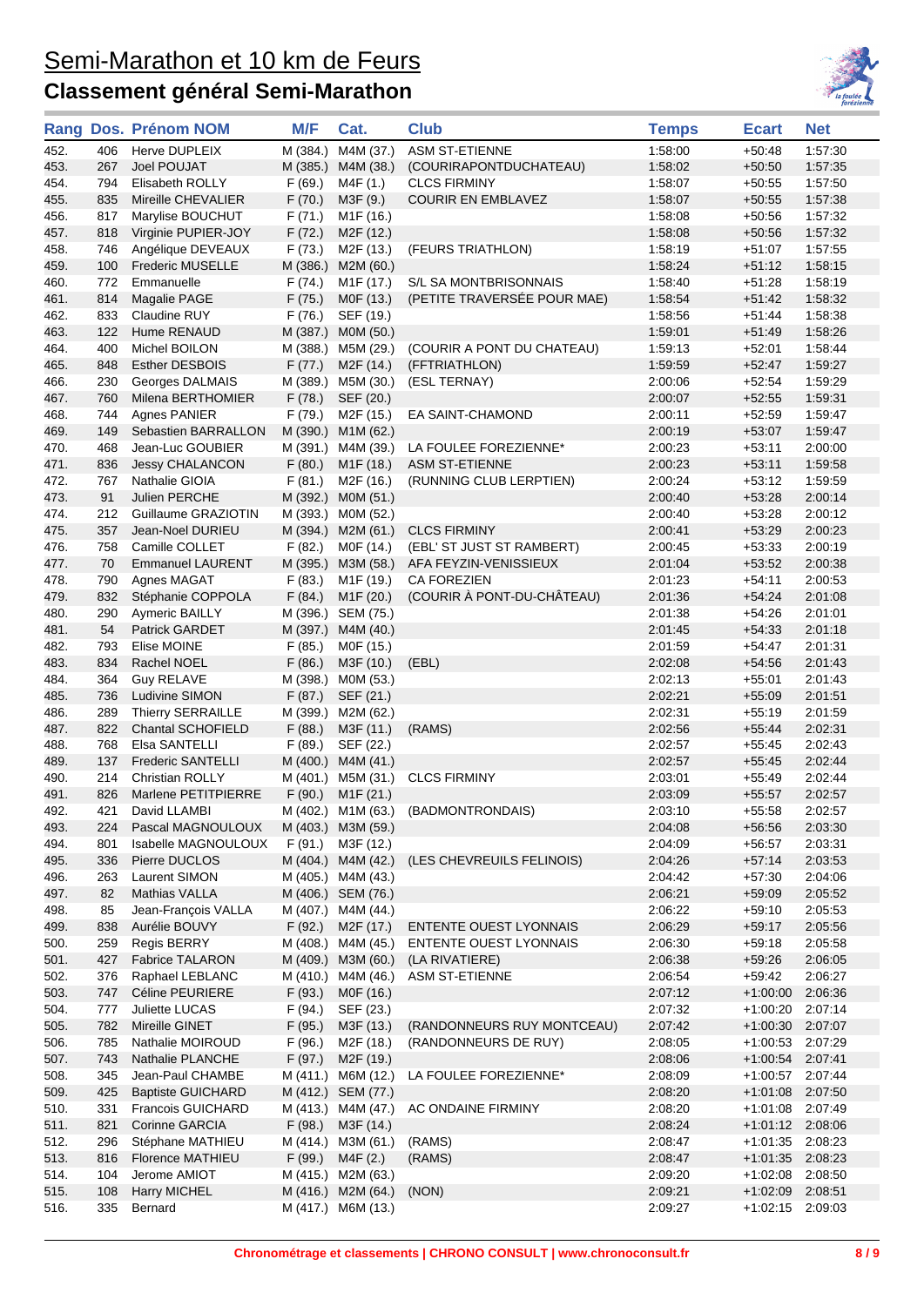

|              |            | Rang Dos. Prénom NOM                | M/F      | Cat.                            | <b>Club</b>                         | <b>Temps</b>       | <b>Ecart</b>         | <b>Net</b>         |
|--------------|------------|-------------------------------------|----------|---------------------------------|-------------------------------------|--------------------|----------------------|--------------------|
| 452.         | 406        | Herve DUPLEIX                       | M (384.) | M4M (37.)                       | ASM ST-ETIENNE                      | 1:58:00            | $+50:48$             | 1:57:30            |
| 453.         | 267        | Joel POUJAT                         | M (385.) | M4M (38.)                       | (COURIRAPONTDUCHATEAU)              | 1:58:02            | $+50:50$             | 1:57:35            |
| 454.         | 794        | Elisabeth ROLLY                     | F(69.)   | M4F (1.)                        | <b>CLCS FIRMINY</b>                 | 1:58:07            | +50:55               | 1:57:50            |
| 455.         | 835        | Mireille CHEVALIER                  | F(70.)   | M3F (9.)                        | <b>COURIR EN EMBLAVEZ</b>           | 1:58:07            | $+50:55$             | 1.57.38            |
| 456.         | 817        | Marylise BOUCHUT                    | F(71.)   | M <sub>1</sub> F (16.)          |                                     | 1:58:08            | $+50:56$             | 1:57:32            |
| 457.         | 818        | Virginie PUPIER-JOY                 | F(72.)   | M2F (12.)                       |                                     | 1:58:08            | $+50:56$             | 1:57:32            |
| 458.         | 746        | Angélique DEVEAUX                   | F(73.)   | M2F (13.)                       | (FEURS TRIATHLON)                   | 1:58:19            | $+51:07$             | 1:57:55            |
| 459.         | 100        | <b>Frederic MUSELLE</b>             | M (386.) | M2M (60.)                       |                                     | 1.58:24            | $+51:12$             | 1:58:15            |
| 460.         | 772        | Emmanuelle                          | F (74.)  | M1F (17.)                       | S/L SA MONTBRISONNAIS               | 1:58:40            | $+51:28$             | 1:58:19            |
| 461.         | 814        | Magalie PAGE                        | F(75.)   | M0F (13.)                       | (PETITE TRAVERSÉE POUR MAE)         | 1:58:54            | $+51.42$             | 1:58:32            |
| 462.         | 833        | Claudine RUY                        | F(76.)   | SEF (19.)                       |                                     | 1:58:56            | $+51.44$             | 1:58:38            |
| 463.         | 122        | Hume RENAUD                         | M (387.) | M0M (50.)                       |                                     | 1:59:01            | $+51:49$             | 1:58:26            |
| 464.         | 400        | Michel BOILON                       |          | M (388.) M5M (29.)              | (COURIR A PONT DU CHATEAU)          | 1:59:13            | $+52:01$             | 1:58:44            |
| 465.         | 848        | <b>Esther DESBOIS</b>               | F(77.)   | M <sub>2</sub> F (14.)          | (FFTRIATHLON)                       | 1:59:59            | $+52:47$             | 1:59:27            |
| 466.         | 230        | Georges DALMAIS                     |          | M (389.) M5M (30.)              | (ESL TERNAY)                        | 2:00:06            | $+52:54$             | 1:59:29            |
| 467.         | 760        | Milena BERTHOMIER                   | F(78.)   | SEF (20.)                       |                                     | 2:00:07            | $+52:55$             | 1:59:31            |
| 468.         | 744        | Agnes PANIER                        | F (79.)  | M2F (15.)                       | EA SAINT-CHAMOND                    | 2:00:11            | $+52:59$             | 1:59:47            |
| 469.         | 149        | Sebastien BARRALLON                 |          | M (390.) M1M (62.)              |                                     | 2:00:19            | $+53:07$             | 1.59:47            |
| 470.         | 468        | Jean-Luc GOUBIER                    |          | M (391.) M4M (39.)              | LA FOULEE FOREZIENNE*               | 2:00:23            | $+53:11$             | 2:00:00            |
| 471.         | 836        | <b>Jessy CHALANCON</b>              | F(80.)   | M <sub>1</sub> F (18.)          | <b>ASM ST-ETIENNE</b>               | 2:00:23            | $+53:11$             | 1:59:58            |
| 472.         | 767        | Nathalie GIOIA                      | F(81.)   | M2F (16.)                       | (RUNNING CLUB LERPTIEN)             | 2:00:24            | $+53:12$             | 1:59:59            |
| 473.         | 91         | Julien PERCHE                       |          | M (392.) M0M (51.)              |                                     | 2:00:40            | $+53:28$             | 2:00:14            |
| 474.         | 212        | Guillaume GRAZIOTIN                 |          | M (393.) M0M (52.)              |                                     | 2:00:40            | $+53:28$             | 2:00:12            |
| 475.         | 357        | Jean-Noel DURIEU                    |          | M (394.) M2M (61.)              | <b>CLCS FIRMINY</b>                 | 2:00:41            | $+53:29$             | 2:00:23            |
| 476.         | 758        | Camille COLLET                      | F(82.)   | M0F (14.)                       | (EBL' ST JUST ST RAMBERT)           | 2:00:45            | $+53:33$             | 2:00:19            |
| 477.         | 70         | <b>Emmanuel LAURENT</b>             | M (395.) | M3M (58.)                       | AFA FEYZIN-VENISSIEUX               | 2:01:04            | $+53:52$             | 2:00:38            |
| 478.         | 790        | Agnes MAGAT                         | F(83.)   | M <sub>1</sub> F (19.)          | <b>CA FOREZIEN</b>                  | 2:01:23            | $+54.11$             | 2:00:53            |
| 479.         | 832        | Stéphanie COPPOLA                   | F(84.)   | M <sub>1</sub> F (20.)          | (COURIR À PONT-DU-CHÂTEAU)          | 2:01:36            | $+54.24$             | 2:01:08            |
| 480.         | 290        | Aymeric BAILLY                      |          | M (396.) SEM (75.)              |                                     | 2:01:38            | $+54.26$             | 2:01:01            |
| 481.         | 54         | Patrick GARDET                      | M (397.) | M4M (40.)                       |                                     | 2:01:45            | $+54.33$             | 2:01:18            |
| 482.         | 793        | Elise MOINE                         | F(85.)   | M0F (15.)                       |                                     | 2:01:59            | $+54.47$             | 2:01:31            |
| 483.         | 834        | Rachel NOEL                         | F(86.)   | M3F (10.)                       | (EBL)                               | 2:02:08            | $+54.56$             | 2:01:43            |
| 484.<br>485. | 364<br>736 | <b>Guy RELAVE</b><br>Ludivine SIMON | F(87.)   | M (398.) M0M (53.)              |                                     | 2:02:13<br>2:02:21 | $+55:01$<br>$+55:09$ | 2:01:43<br>2:01:51 |
| 486.         | 289        | Thierry SERRAILLE                   |          | SEF (21.)<br>M (399.) M2M (62.) |                                     | 2:02:31            | $+55:19$             | 2:01:59            |
| 487.         | 822        | <b>Chantal SCHOFIELD</b>            | F(88.)   | M3F (11.)                       | (RAMS)                              | 2:02:56            | $+55:44$             | 2:02:31            |
| 488.         | 768        | Elsa SANTELLI                       | F (89.)  | SEF (22.)                       |                                     | 2:02:57            | $+55:45$             | 2:02:43            |
| 489.         | 137        | <b>Frederic SANTELLI</b>            |          | M (400.) M4M (41.)              |                                     | 2:02:57            | $+55:45$             | 2:02:44            |
| 490.         | 214        | Christian ROLLY                     |          | M (401.) M5M (31.)              | <b>CLCS FIRMINY</b>                 | 2:03:01            | $+55.49$             | 2:02:44            |
| 491.         | 826        | Marlene PETITPIERRE                 |          | $F(90.)$ M1 $F(21.)$            |                                     | 2:03:09            | $+55:57$             | 2:02:57            |
| 492.         | 421        | David LLAMBI                        |          |                                 | M (402.) M1M (63.) (BADMONTRONDAIS) | 2:03:10            | $+55:58$             | 2:02:57            |
| 493.         | 224        | Pascal MAGNOULOUX                   |          | M (403.) M3M (59.)              |                                     | 2:04:08            | $+56.56$             | 2:03:30            |
| 494.         | 801        | Isabelle MAGNOULOUX                 |          | $F(91.)$ M3F $(12.)$            |                                     | 2:04:09            | +56:57               | 2:03:31            |
| 495.         | 336        | Pierre DUCLOS                       |          | M (404.) M4M (42.)              | (LES CHEVREUILS FELINOIS)           | 2:04:26            | $+57:14$             | 2:03:53            |
| 496.         | 263        | Laurent SIMON                       |          | M (405.) M4M (43.)              |                                     | 2:04:42            | $+57:30$             | 2:04:06            |
| 497.         | 82         | Mathias VALLA                       |          | M (406.) SEM (76.)              |                                     | 2:06:21            | $+59:09$             | 2:05:52            |
| 498.         | 85         | Jean-François VALLA                 |          | M (407.) M4M (44.)              |                                     | 2:06:22            | $+59:10$             | 2:05:53            |
| 499.         | 838        | Aurélie BOUVY                       | F(92.)   | M2F (17.)                       | <b>ENTENTE OUEST LYONNAIS</b>       | 2:06:29            | $+59:17$             | 2:05:56            |
| 500.         | 259        | Regis BERRY                         |          | M (408.) M4M (45.)              | <b>ENTENTE OUEST LYONNAIS</b>       | 2:06:30            | $+59:18$             | 2:05:58            |
| 501.         | 427        | <b>Fabrice TALARON</b>              |          | M (409.) M3M (60.)              | (LA RIVATIERE)                      | 2:06:38            | $+59.26$             | 2:06:05            |
| 502.         | 376        | Raphael LEBLANC                     |          |                                 | M (410.) M4M (46.) ASM ST-ETIENNE   | 2:06:54            | +59:42               | 2:06:27            |
| 503.         | 747        | Céline PEURIERE                     | F(93.)   | M0F (16.)                       |                                     | 2:07:12            | $+1:00:00$           | 2:06:36            |
| 504.         | 777        | Juliette LUCAS                      | F(94.)   | SEF (23.)                       |                                     | 2:07:32            | +1:00:20 2:07:14     |                    |
| 505.         | 782        | Mireille GINET                      | F(95.)   | M3F (13.)                       | (RANDONNEURS RUY MONTCEAU)          | 2:07:42            | +1:00:30 2:07:07     |                    |
| 506.         | 785        | Nathalie MOIROUD                    | F(96.)   | M2F (18.)                       | (RANDONNEURS DE RUY)                | 2:08:05            | $+1:00:53$           | 2:07:29            |
| 507.         | 743        | Nathalie PLANCHE                    | F(97.)   | M <sub>2</sub> F (19.)          |                                     | 2:08:06            | +1:00:54 2:07:41     |                    |
| 508.         | 345        | Jean-Paul CHAMBE                    |          | M (411.) M6M (12.)              | LA FOULEE FOREZIENNE*               | 2:08:09            | $+1.00.57$ 2:07:44   |                    |
| 509.         | 425        | <b>Baptiste GUICHARD</b>            |          | M (412.) SEM (77.)              |                                     | 2:08:20            | +1:01:08 2:07:50     |                    |
| 510.         | 331        | Francois GUICHARD                   |          | M (413.) M4M (47.)              | AC ONDAINE FIRMINY                  | 2:08:20            | +1:01:08 2:07:49     |                    |
| 511.         | 821        | Corinne GARCIA                      | F(98.)   | M3F (14.)                       | 2:08:24                             |                    | $+1:01:12$ 2:08:06   |                    |
| 512.         | 296        | Stéphane MATHIEU                    |          | M (414.) M3M (61.)              | (RAMS)<br>2:08:47                   |                    | +1:01:35 2:08:23     |                    |
| 513.         | 816        | Florence MATHIEU                    | F (99.)  | M4F (2.)                        | (RAMS)<br>2:08:47                   |                    | $+1:01:35$ 2:08:23   |                    |
| 514.         | 104        | Jerome AMIOT                        |          | M (415.) M2M (63.)              | 2:09:20                             |                    | +1:02:08 2:08:50     |                    |
| 515.         | 108        | <b>Harry MICHEL</b>                 |          | M (416.) M2M (64.)              | (NON)                               | 2:09:21            | +1:02:09 2:08:51     |                    |
| 516.         | 335        | Bernard                             |          | M (417.) M6M (13.)              |                                     | 2:09:27            | +1:02:15 2:09:03     |                    |